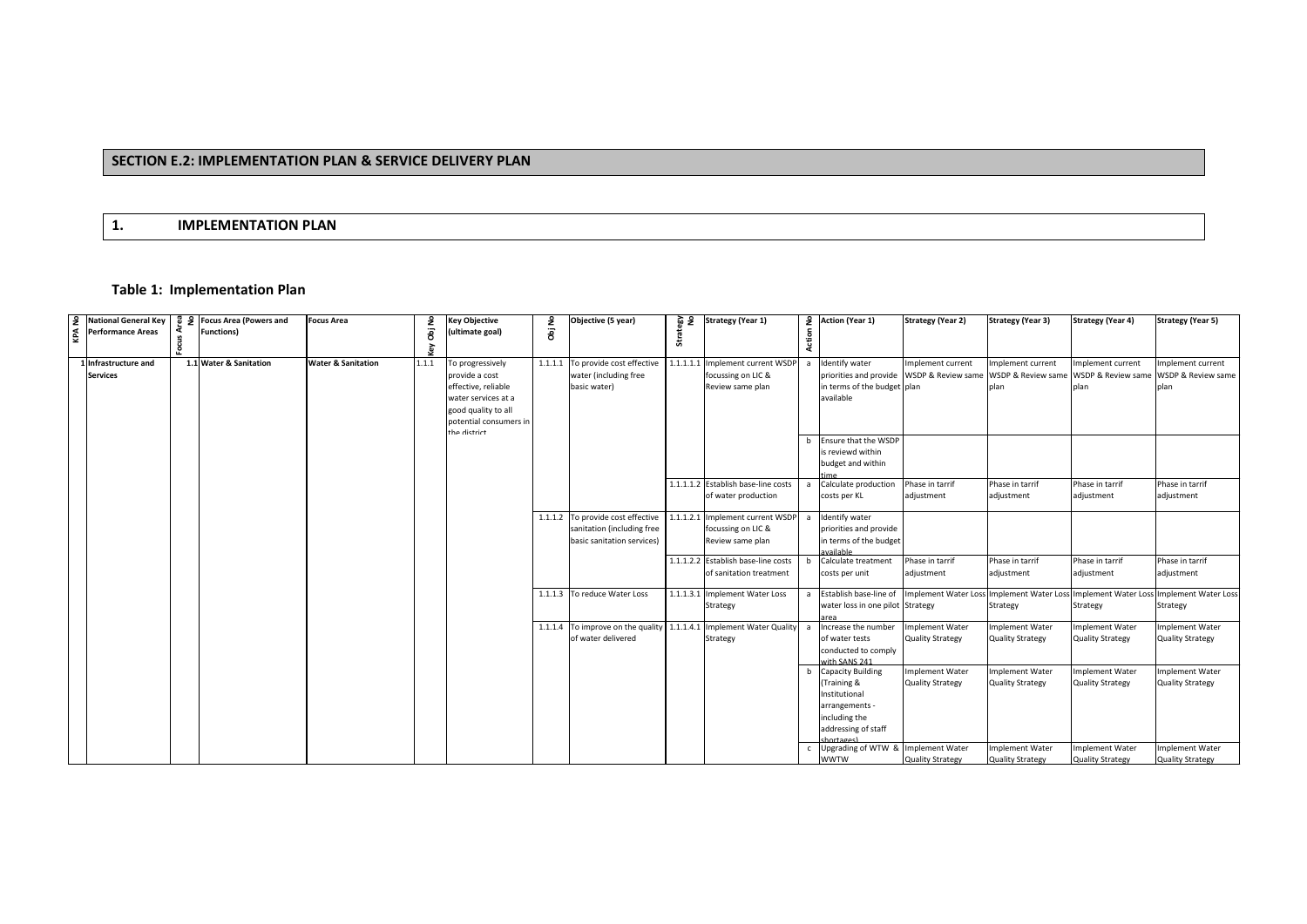## **SECTION E.2: IMPLEMENTATION PLAN & SERVICE DELIVERY PLAN**

## **1. IMPLEMENTATION PLAN**

## **Table 1: Implementation Plan**

|                                                                                                                                                         | 8 운 Focus Area (Powers and | <b>Focus Area</b>             |        | <b>Key Objective</b>   |        | Objective (5 year)                | § खू      | <b>Strategy (Year 1)</b>            |                | 2 Action (Year 1)                    | <b>Strategy (Year 2)</b> | <b>Strategy (Year 3)</b> | <b>Strategy (Year 4)</b>                                       | <b>Strategy (Year 5)</b>    |
|---------------------------------------------------------------------------------------------------------------------------------------------------------|----------------------------|-------------------------------|--------|------------------------|--------|-----------------------------------|-----------|-------------------------------------|----------------|--------------------------------------|--------------------------|--------------------------|----------------------------------------------------------------|-----------------------------|
| $\begin{array}{c c}\n\text{Q} & \text{National General Key} \\ \text{Q} & \text{Performance Areas} \\ \text{Q} & \text{Performance Areas}\n\end{array}$ | <b>Functions)</b>          |                               | Obj No | (ultimate goal)        | Obj No |                                   |           |                                     |                |                                      |                          |                          |                                                                |                             |
|                                                                                                                                                         |                            |                               |        |                        |        |                                   | 븂         |                                     | Action         |                                      |                          |                          |                                                                |                             |
|                                                                                                                                                         |                            |                               |        |                        |        |                                   |           |                                     |                |                                      |                          |                          |                                                                |                             |
| 1 Infrastructure and                                                                                                                                    | 1.1 Water & Sanitation     | <b>Water &amp; Sanitation</b> | 1.1.1  | To progressively       |        | 1.1.1.1 To provide cost effective | 1.1.1.1.1 | Implement current WSDP              |                | Identify water                       | Implement current        | Implement current        | Implement current                                              | Implement current           |
| <b>Services</b>                                                                                                                                         |                            |                               |        | provide a cost         |        | water (including free             |           | focussing on LIC &                  |                | priorities and provide               | WSDP & Review same       | WSDP & Review same       | WSDP & Review same                                             | WSDP & Review same          |
|                                                                                                                                                         |                            |                               |        | effective, reliable    |        | basic water)                      |           | Review same plan                    |                | in terms of the budget plan          |                          | nlan                     | plan                                                           | plan                        |
|                                                                                                                                                         |                            |                               |        | water services at a    |        |                                   |           |                                     |                | available                            |                          |                          |                                                                |                             |
|                                                                                                                                                         |                            |                               |        | good quality to all    |        |                                   |           |                                     |                |                                      |                          |                          |                                                                |                             |
|                                                                                                                                                         |                            |                               |        | potential consumers in |        |                                   |           |                                     |                |                                      |                          |                          |                                                                |                             |
|                                                                                                                                                         |                            |                               |        | tha dictrict           |        |                                   |           |                                     |                |                                      |                          |                          |                                                                |                             |
|                                                                                                                                                         |                            |                               |        |                        |        |                                   |           |                                     |                | b Ensure that the WSDP               |                          |                          |                                                                |                             |
|                                                                                                                                                         |                            |                               |        |                        |        |                                   |           |                                     |                | is reviewd within                    |                          |                          |                                                                |                             |
|                                                                                                                                                         |                            |                               |        |                        |        |                                   |           |                                     |                | budget and within                    |                          |                          |                                                                |                             |
|                                                                                                                                                         |                            |                               |        |                        |        |                                   |           | 1.1.1.1.2 Establish base-line costs |                | Calculate production                 |                          |                          |                                                                |                             |
|                                                                                                                                                         |                            |                               |        |                        |        |                                   |           | of water production                 |                |                                      | Phase in tarrif          | Phase in tarrif          | Phase in tarrif<br>adjustment                                  | Phase in tarrif             |
|                                                                                                                                                         |                            |                               |        |                        |        |                                   |           |                                     |                | costs per KL                         | adjustment               | adjustment               |                                                                | adjustment                  |
|                                                                                                                                                         |                            |                               |        |                        |        | 1.1.1.2 To provide cost effective |           | 1.1.1.2.1 Implement current WSDP    |                | Identify water                       |                          |                          |                                                                |                             |
|                                                                                                                                                         |                            |                               |        |                        |        | sanitation (including free        |           | focussing on LIC &                  |                | priorities and provide               |                          |                          |                                                                |                             |
|                                                                                                                                                         |                            |                               |        |                        |        | basic sanitation services)        |           | Review same plan                    |                | in terms of the budget               |                          |                          |                                                                |                             |
|                                                                                                                                                         |                            |                               |        |                        |        |                                   |           |                                     |                | vailahle                             |                          |                          |                                                                |                             |
|                                                                                                                                                         |                            |                               |        |                        |        |                                   |           | 1.1.1.2.2 Establish base-line costs | b              | Calculate treatment                  | Phase in tarrif          | Phase in tarrif          | Phase in tarrif                                                | Phase in tarrif             |
|                                                                                                                                                         |                            |                               |        |                        |        |                                   |           | of sanitation treatment             |                | costs per unit                       | adjustment               | adjustment               | adjustment                                                     | adjustment                  |
|                                                                                                                                                         |                            |                               |        |                        |        |                                   |           |                                     |                |                                      |                          |                          |                                                                |                             |
|                                                                                                                                                         |                            |                               |        |                        |        | 1.1.1.3 To reduce Water Loss      |           | 1.1.1.3.1 Implement Water Loss      |                | Establish base-line of               |                          |                          | Implement Water Loss Implement Water Loss Implement Water Loss | <b>Implement Water Loss</b> |
|                                                                                                                                                         |                            |                               |        |                        |        |                                   |           | Strategy                            |                | water loss in one pilot Strategy     |                          | Strategy                 | Strategy                                                       | Strategy                    |
|                                                                                                                                                         |                            |                               |        |                        |        |                                   |           |                                     |                | area                                 |                          |                          |                                                                |                             |
|                                                                                                                                                         |                            |                               |        |                        |        | 1.1.1.4 To improve on the quality |           | 1.1.1.4.1 Implement Water Quality   | $\overline{a}$ | ncrease the number                   | mplement Water           | <b>Implement Water</b>   | <b>Implement Water</b>                                         | mplement Water              |
|                                                                                                                                                         |                            |                               |        |                        |        | of water delivered                |           | Strategy                            |                | of water tests                       | <b>Quality Strategy</b>  | <b>Quality Strategy</b>  | <b>Quality Strategy</b>                                        | <b>Quality Strategy</b>     |
|                                                                                                                                                         |                            |                               |        |                        |        |                                   |           |                                     |                | conducted to comply<br>with SANS 241 |                          |                          |                                                                |                             |
|                                                                                                                                                         |                            |                               |        |                        |        |                                   |           |                                     |                | <b>Capacity Building</b>             | Implement Water          | <b>Implement Water</b>   | <b>Implement Water</b>                                         | <b>Implement Water</b>      |
|                                                                                                                                                         |                            |                               |        |                        |        |                                   |           |                                     |                | Training &                           | <b>Quality Strategy</b>  | <b>Quality Strategy</b>  | <b>Quality Strategy</b>                                        | <b>Quality Strategy</b>     |
|                                                                                                                                                         |                            |                               |        |                        |        |                                   |           |                                     |                | Institutional                        |                          |                          |                                                                |                             |
|                                                                                                                                                         |                            |                               |        |                        |        |                                   |           |                                     |                | arrangements -                       |                          |                          |                                                                |                             |
|                                                                                                                                                         |                            |                               |        |                        |        |                                   |           |                                     |                | including the                        |                          |                          |                                                                |                             |
|                                                                                                                                                         |                            |                               |        |                        |        |                                   |           |                                     |                | addressing of staff                  |                          |                          |                                                                |                             |
|                                                                                                                                                         |                            |                               |        |                        |        |                                   |           |                                     |                |                                      |                          |                          |                                                                |                             |
|                                                                                                                                                         |                            |                               |        |                        |        |                                   |           |                                     |                | Upgrading of WTW &                   | <b>Implement Water</b>   | <b>Implement Water</b>   | <b>Implement Water</b>                                         | mplement Water              |
|                                                                                                                                                         |                            |                               |        |                        |        |                                   |           |                                     |                | <b>WWTW</b>                          | <b>Quality Strategy</b>  | <b>Quality Strategy</b>  | <b>Quality Strategy</b>                                        | <b>Quality Strategy</b>     |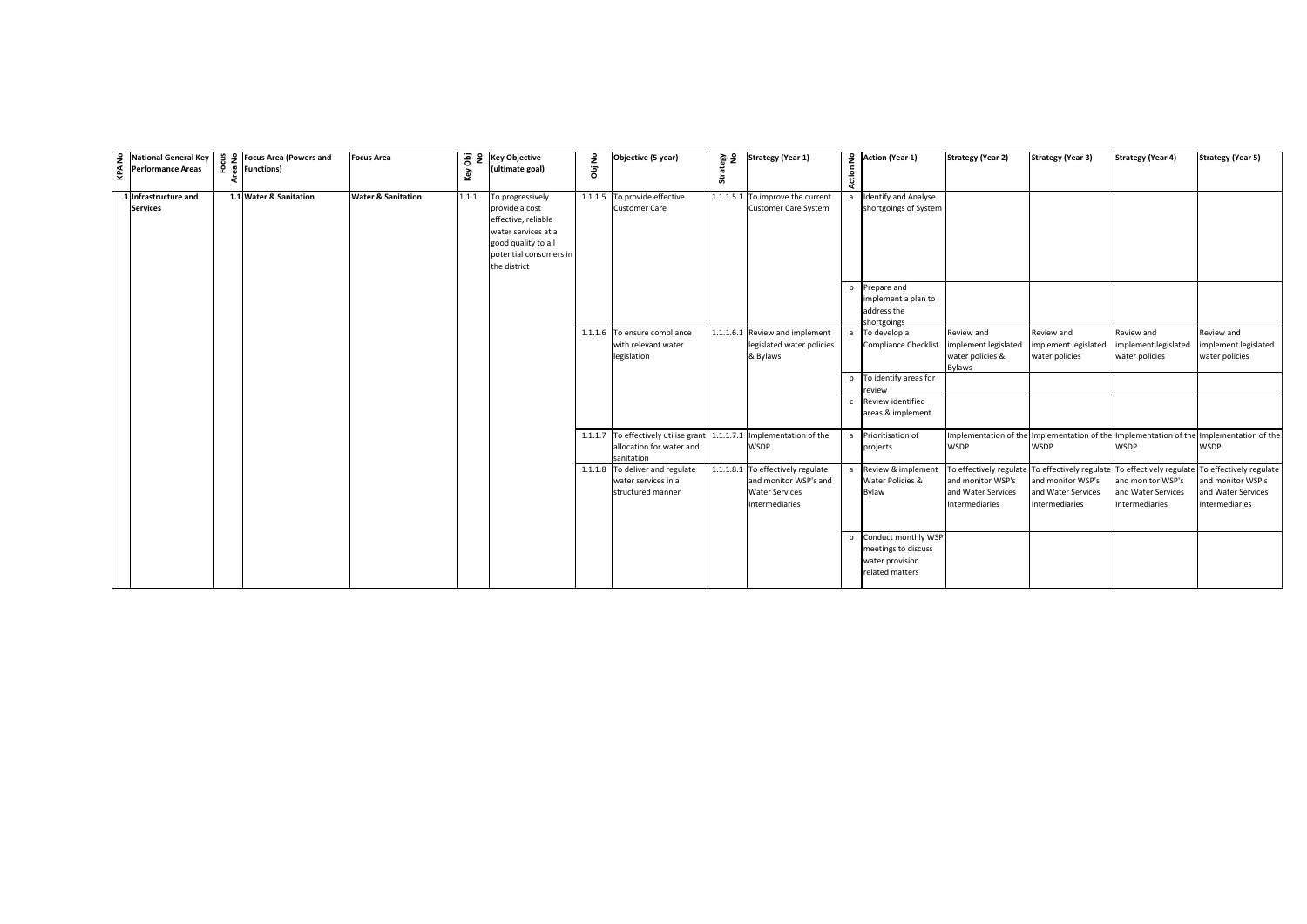| National General Key<br>Performance Areas | $\frac{16}{11}$ $\frac{16}{11}$ Focus Area (Powers and<br>$\bar{c}$ $\bar{g}$ Functions) | <b>Focus Area</b>             | key   | $\overline{8}$ $\overline{2}$ Key Objective<br>(ultimate goal)                                                                                    | ٤<br>ā | Objective (5 year)                                                                                             | § खूँ<br>Strate | <b>Strategy (Year 1)</b>                                                                              | Action         | $\frac{6}{2}$ Action (Year 1)                                                    | <b>Strategy (Year 2)</b>                                                                                                             | <b>Strategy (Year 3)</b>                                  | <b>Strategy (Year 4)</b>                                  | <b>Strategy (Year 5)</b>                                                                               |
|-------------------------------------------|------------------------------------------------------------------------------------------|-------------------------------|-------|---------------------------------------------------------------------------------------------------------------------------------------------------|--------|----------------------------------------------------------------------------------------------------------------|-----------------|-------------------------------------------------------------------------------------------------------|----------------|----------------------------------------------------------------------------------|--------------------------------------------------------------------------------------------------------------------------------------|-----------------------------------------------------------|-----------------------------------------------------------|--------------------------------------------------------------------------------------------------------|
| 1 Infrastructure and<br><b>Services</b>   | 1.1 Water & Sanitation                                                                   | <b>Water &amp; Sanitation</b> | 1.1.1 | To progressively<br>provide a cost<br>effective, reliable<br>water services at a<br>good quality to all<br>potential consumers in<br>the district |        | 1.1.1.5 To provide effective<br><b>Customer Care</b>                                                           |                 | 1.1.1.5.1 To improve the current<br><b>Customer Care System</b>                                       |                | <b>Identify and Analyse</b><br>shortgoings of System                             |                                                                                                                                      |                                                           |                                                           |                                                                                                        |
|                                           |                                                                                          |                               |       |                                                                                                                                                   |        |                                                                                                                |                 |                                                                                                       |                | b Prepare and<br>implement a plan to<br>address the<br>shortgoings               |                                                                                                                                      |                                                           |                                                           |                                                                                                        |
|                                           |                                                                                          |                               |       |                                                                                                                                                   |        | 1.1.1.6 To ensure compliance<br>with relevant water<br>legislation                                             |                 | 1.1.1.6.1 Review and implement<br>legislated water policies<br>& Bylaws                               | $\overline{a}$ | To develop a<br>Compliance Checklist                                             | Review and<br>implement legislated<br>water policies &<br><b>Bylaws</b>                                                              | Review and<br>implement legislated<br>water policies      | Review and<br>implement legislated<br>water policies      | Review and<br>implement legislated<br>water policies                                                   |
|                                           |                                                                                          |                               |       |                                                                                                                                                   |        |                                                                                                                |                 |                                                                                                       |                | b To identify areas for<br>review                                                |                                                                                                                                      |                                                           |                                                           |                                                                                                        |
|                                           |                                                                                          |                               |       |                                                                                                                                                   |        |                                                                                                                |                 |                                                                                                       |                | Review identified<br>areas & implement                                           |                                                                                                                                      |                                                           |                                                           |                                                                                                        |
|                                           |                                                                                          |                               |       |                                                                                                                                                   |        | 1.1.1.7 To effectively utilise grant 1.1.1.7.1 Implementation of the<br>allocation for water and<br>sanitation |                 | <b>WSDP</b>                                                                                           |                | a Prioritisation of<br>projects                                                  | <b>WSDP</b>                                                                                                                          | WSDP                                                      | <b>WSDP</b>                                               | Implementation of the Implementation of the Implementation of the Implementation of the<br><b>WSDP</b> |
|                                           |                                                                                          |                               |       |                                                                                                                                                   |        | 1.1.1.8 To deliver and regulate<br>water services in a<br>structured manner                                    |                 | 1.1.1.8.1 To effectively regulate<br>and monitor WSP's and<br><b>Water Services</b><br>Intermediaries |                | a Review & implement<br>Water Policies &<br>Bylaw                                | To effectively regulate To effectively regulate To effectively regulate<br>and monitor WSP's<br>and Water Services<br>Intermediaries | and monitor WSP's<br>and Water Services<br>Intermediaries | and monitor WSP's<br>and Water Services<br>Intermediaries | To effectively regulate<br>and monitor WSP's<br>and Water Services<br>Intermediaries                   |
|                                           |                                                                                          |                               |       |                                                                                                                                                   |        |                                                                                                                |                 |                                                                                                       |                | Conduct monthly WSP<br>meetings to discuss<br>water provision<br>related matters |                                                                                                                                      |                                                           |                                                           |                                                                                                        |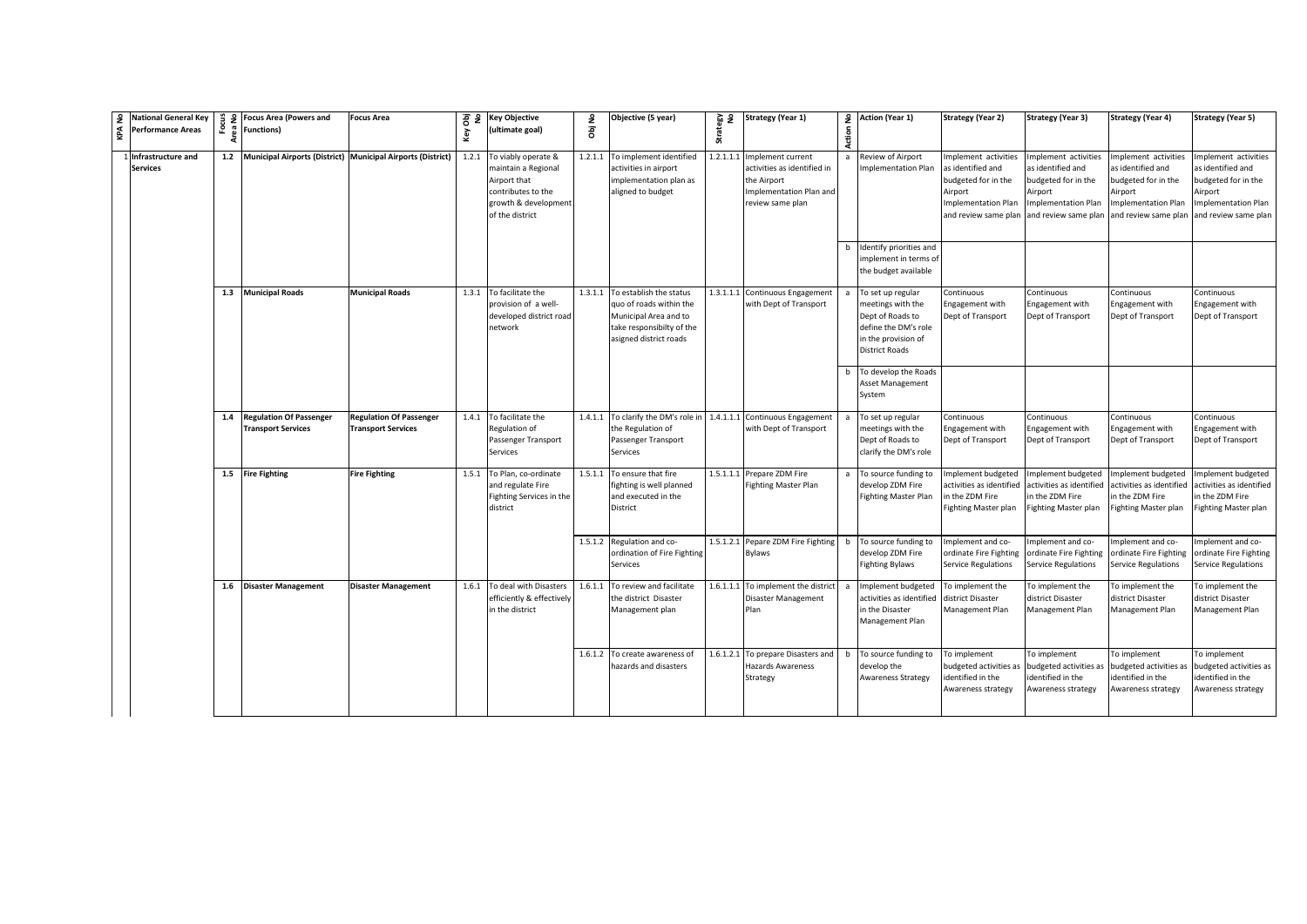| 9 | <b>National General Key</b><br><b>Performance Areas</b> | $\frac{9}{2}$ | <b>Focus Area (Powers and</b><br>운 중 Functions)          | <b>Focus Area</b>                                               | key | 공 운 Key Objective<br>(ultimate goal)                                                                                              | £<br>ā | Objective (5 year)                                                                                                                         | 음 몇<br>Strate | <b>Strategy (Year 1)</b>                                                                                       | Action | 2 Action (Year 1)                                                                                                                  | <b>Strategy (Year 2)</b>                                                                                                         | <b>Strategy (Year 3)</b>                                                                                                          | <b>Strategy (Year 4)</b>                                                                                                              | <b>Strategy (Year 5)</b>                                                                                                   |
|---|---------------------------------------------------------|---------------|----------------------------------------------------------|-----------------------------------------------------------------|-----|-----------------------------------------------------------------------------------------------------------------------------------|--------|--------------------------------------------------------------------------------------------------------------------------------------------|---------------|----------------------------------------------------------------------------------------------------------------|--------|------------------------------------------------------------------------------------------------------------------------------------|----------------------------------------------------------------------------------------------------------------------------------|-----------------------------------------------------------------------------------------------------------------------------------|---------------------------------------------------------------------------------------------------------------------------------------|----------------------------------------------------------------------------------------------------------------------------|
|   | Infrastructure and<br><b>Services</b>                   |               |                                                          | 1.2 Municipal Airports (District) Municipal Airports (District) |     | 1.2.1 To viably operate &<br>naintain a Regional<br>Airport that<br>contributes to the<br>growth & development<br>of the district |        | 1.2.1.1 To implement identified<br>activities in airport<br>implementation plan as<br>aligned to budget                                    | 1.2.1.1.1     | Implement current<br>activities as identified in<br>the Airport<br>Implementation Plan and<br>review same plan |        | Review of Airport<br>mplementation Plan                                                                                            | mplement activities<br>as identified and<br>budgeted for in the<br>Airport<br><b>Implementation Plan</b><br>and review same plan | Implement activities<br>as identified and<br>budgeted for in the<br>Airport<br><b>Implementation Plan</b><br>and review same plan | mplement activities<br>s identified and<br>oudgeted for in the<br><i><b>sirport</b></i><br>mplementation Plan<br>and review same plan | Implement activities<br>as identified and<br>budgeted for in the<br>Airport<br>Implementation Plan<br>and review same plan |
|   |                                                         |               |                                                          |                                                                 |     |                                                                                                                                   |        |                                                                                                                                            |               |                                                                                                                |        | Identify priorities and<br>mplement in terms of<br>the budget available                                                            |                                                                                                                                  |                                                                                                                                   |                                                                                                                                       |                                                                                                                            |
|   |                                                         |               | 1.3 Municipal Roads                                      | <b>Municipal Roads</b>                                          |     | 1.3.1 To facilitate the<br>provision of a well-<br>developed district road<br>network                                             |        | 1.3.1.1 To establish the status<br>quo of roads within the<br>Municipal Area and to<br>take responsibilty of the<br>asigned district roads | 1.3.1.1.1     | Continuous Engagement<br>with Dept of Transport                                                                |        | To set up regular<br>meetings with the<br>Dept of Roads to<br>define the DM's role<br>in the provision of<br><b>District Roads</b> | Continuous<br>ngagement with<br>Dept of Transport                                                                                | Continuous<br>Engagement with<br>Dept of Transport                                                                                | Continuous<br>ngagement with<br>Dept of Transport                                                                                     | Continuous<br>Engagement with<br>Dept of Transport                                                                         |
|   |                                                         |               |                                                          |                                                                 |     |                                                                                                                                   |        |                                                                                                                                            |               |                                                                                                                |        | To develop the Roads<br>Asset Management<br>System                                                                                 |                                                                                                                                  |                                                                                                                                   |                                                                                                                                       |                                                                                                                            |
|   |                                                         |               | 1.4 Regulation Of Passenger<br><b>Transport Services</b> | <b>Regulation Of Passenger</b><br><b>Transport Services</b>     |     | 1.4.1 To facilitate the<br>Regulation of<br>Passenger Transport<br>Services                                                       |        | 1.4.1.1 To clarify the DM's role in<br>the Regulation of<br>Passenger Transport<br><b>Services</b>                                         | 1.4.1.1.1     | Continuous Engagement<br>with Dept of Transport                                                                |        | To set up regular<br>meetings with the<br>Dept of Roads to<br>clarify the DM's role                                                | Continuous<br>Engagement with<br>Dept of Transport                                                                               | Continuous<br>Engagement with<br>Dept of Transport                                                                                | Continuous<br>ngagement with<br>Dept of Transport                                                                                     | Continuous<br>Engagement with<br>Dept of Transport                                                                         |
|   |                                                         |               | 1.5 Fire Fighting                                        | <b>Fire Fighting</b>                                            |     | 1.5.1 To Plan, co-ordinate<br>and regulate Fire<br>Fighting Services in the<br>district                                           |        | 1.5.1.1 To ensure that fire<br>fighting is well planned<br>and executed in the<br>District                                                 |               | 1.5.1.1.1 Prepare ZDM Fire<br><b>Fighting Master Plan</b>                                                      |        | To source funding to<br>develop ZDM Fire<br><b>Fighting Master Plan</b>                                                            | nplement budgeted<br>activities as identified<br>n the ZDM Fire<br>Fighting Master plan                                          | Implement budgeted<br>activities as identified<br>in the ZDM Fire<br><b>Fighting Master plan</b>                                  | mplement budgeted<br>ctivities as identified<br>n the ZDM Fire<br>Fighting Master plan                                                | Implement budgeted<br>activities as identified<br>in the ZDM Fire<br>Fighting Master plan                                  |
|   |                                                         |               |                                                          |                                                                 |     |                                                                                                                                   |        | 1.5.1.2 Regulation and co-<br>ordination of Fire Fighting<br>Services                                                                      | 1.5.1.2.1     | Pepare ZDM Fire Fighting<br><b>Bylaws</b>                                                                      | h      | To source funding to<br>develop ZDM Fire<br><b>Fighting Bylaws</b>                                                                 | mplement and co-<br>ordinate Fire Fighting<br>Service Regulations                                                                | Implement and co-<br>ordinate Fire Fighting<br><b>Service Regulations</b>                                                         | mplement and co-<br>ordinate Fire Fighting<br>Service Regulations                                                                     | Implement and co-<br>ordinate Fire Fighting<br>Service Regulations                                                         |
|   |                                                         |               | 1.6 Disaster Management                                  | <b>Disaster Management</b>                                      |     | 1.6.1 To deal with Disasters<br>efficiently & effectively<br>in the district                                                      |        | 1.6.1.1 To review and facilitate<br>the district Disaster<br>Management plan                                                               | 1.6.1.1.1     | To implement the district<br>Disaster Management<br>Plan                                                       |        | mplement budgeted<br>activities as identified<br>in the Disaster<br>Management Plan                                                | To implement the<br>district Disaster<br>Management Plan                                                                         | To implement the<br>district Disaster<br>Management Plan                                                                          | o implement the<br>district Disaster<br><b>Management Plan</b>                                                                        | To implement the<br>district Disaster<br>Management Plan                                                                   |
|   |                                                         |               |                                                          |                                                                 |     |                                                                                                                                   |        | 1.6.1.2 To create awareness of<br>hazards and disasters                                                                                    | 1.6.1.2.1     | To prepare Disasters and<br>Hazards Awareness<br>Strategy                                                      |        | To source funding to<br>develop the<br><b>Awareness Strategy</b>                                                                   | To implement<br>budgeted activities as<br>dentified in the<br>Awareness strategy                                                 | To implement<br>budgeted activities as<br>identified in the<br>Awareness strategy                                                 | To implement<br>oudgeted activities as<br>dentified in the<br>Awareness strategy                                                      | To implement<br>budgeted activities as<br>identified in the<br>Awareness strategy                                          |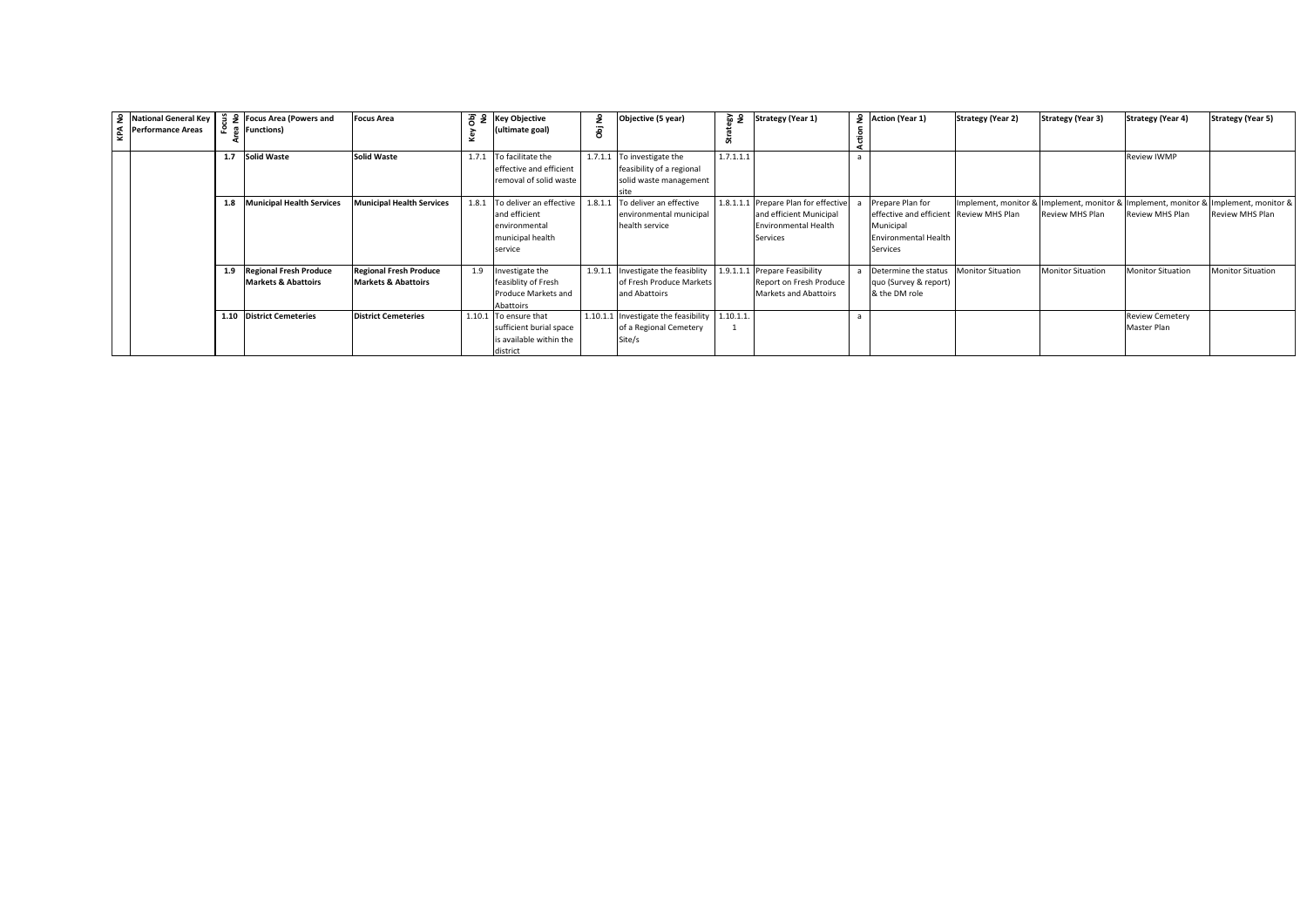|  | 중   Performance Areas |     | $\frac{3}{2}$ National General Key $\frac{3}{2}$ $\frac{3}{2}$ Focus Area (Powers and<br>운 종 Functions) | <b>Focus Area</b>                                               |        | $\frac{1}{6}$ $\frac{1}{6}$ $\frac{1}{6}$ Key Objective<br>(ultimate goal)               | £<br>ā  | Objective (5 year)                                                                | এ এ       | <b>Strategy (Year 1)</b>                                                                                   | 9 Action (Year 1)                                                                                                   | <b>Strategy (Year 2)</b> | <b>Strategy (Year 3)</b> | <b>Strategy (Year 4)</b>                                                          | <b>Strategy (Year 5)</b> |
|--|-----------------------|-----|---------------------------------------------------------------------------------------------------------|-----------------------------------------------------------------|--------|------------------------------------------------------------------------------------------|---------|-----------------------------------------------------------------------------------|-----------|------------------------------------------------------------------------------------------------------------|---------------------------------------------------------------------------------------------------------------------|--------------------------|--------------------------|-----------------------------------------------------------------------------------|--------------------------|
|  |                       |     | 1.7 Solid Waste                                                                                         | <b>Solid Waste</b>                                              | 1.7.1  | To facilitate the<br>effective and efficient<br>removal of solid waste                   |         | 1.7.1.1 To investigate the<br>feasibility of a regional<br>solid waste management | 1.7.1.1.1 |                                                                                                            |                                                                                                                     |                          |                          | <b>Review IWMP</b>                                                                |                          |
|  |                       | 1.8 | <b>Municipal Health Services</b>                                                                        | <b>Municipal Health Services</b>                                | 1.8.1  | To deliver an effective<br>and efficient<br>environmental<br>municipal health<br>service | 1.8.1.1 | To deliver an effective<br>environmental municipal<br>health service              |           | 1.8.1.1.1 Prepare Plan for effective<br>and efficient Municipal<br><b>Environmental Health</b><br>Services | Prepare Plan for<br>effective and efficient Review MHS Plan<br>Municipal<br><b>Environmental Health</b><br>Services | Implement, monitor &     | <b>Review MHS Plan</b>   | Implement, monitor & Implement, monitor & Implement, monitor &<br>Review MHS Plan | <b>Review MHS Plan</b>   |
|  |                       | 1.9 | <b>Regional Fresh Produce</b><br><b>Markets &amp; Abattoirs</b>                                         | <b>Regional Fresh Produce</b><br><b>Markets &amp; Abattoirs</b> | 1.9    | Investigate the<br>feasiblity of Fresh<br>Produce Markets and<br>Abattoirs               |         | 1.9.1.1 Investigate the feasiblity<br>of Fresh Produce Markets<br>and Abattoirs   |           | 1.9.1.1.1 Prepare Feasibility<br>Report on Fresh Produce<br>Markets and Abattoirs                          | Determine the status Monitor Situation<br>quo (Survey & report)<br>& the DM role                                    |                          | <b>Monitor Situation</b> | <b>Monitor Situation</b>                                                          | <b>Monitor Situation</b> |
|  |                       |     | 1.10 District Cemeteries                                                                                | <b>District Cemeteries</b>                                      | 1.10.1 | To ensure that<br>sufficient burial space<br>is available within the<br>district         |         | 1.10.1.1 Investigate the feasibility<br>of a Regional Cemetery<br>Site/s          | 1.10.1.1. |                                                                                                            |                                                                                                                     |                          |                          | <b>Review Cemetery</b><br>Master Plan                                             |                          |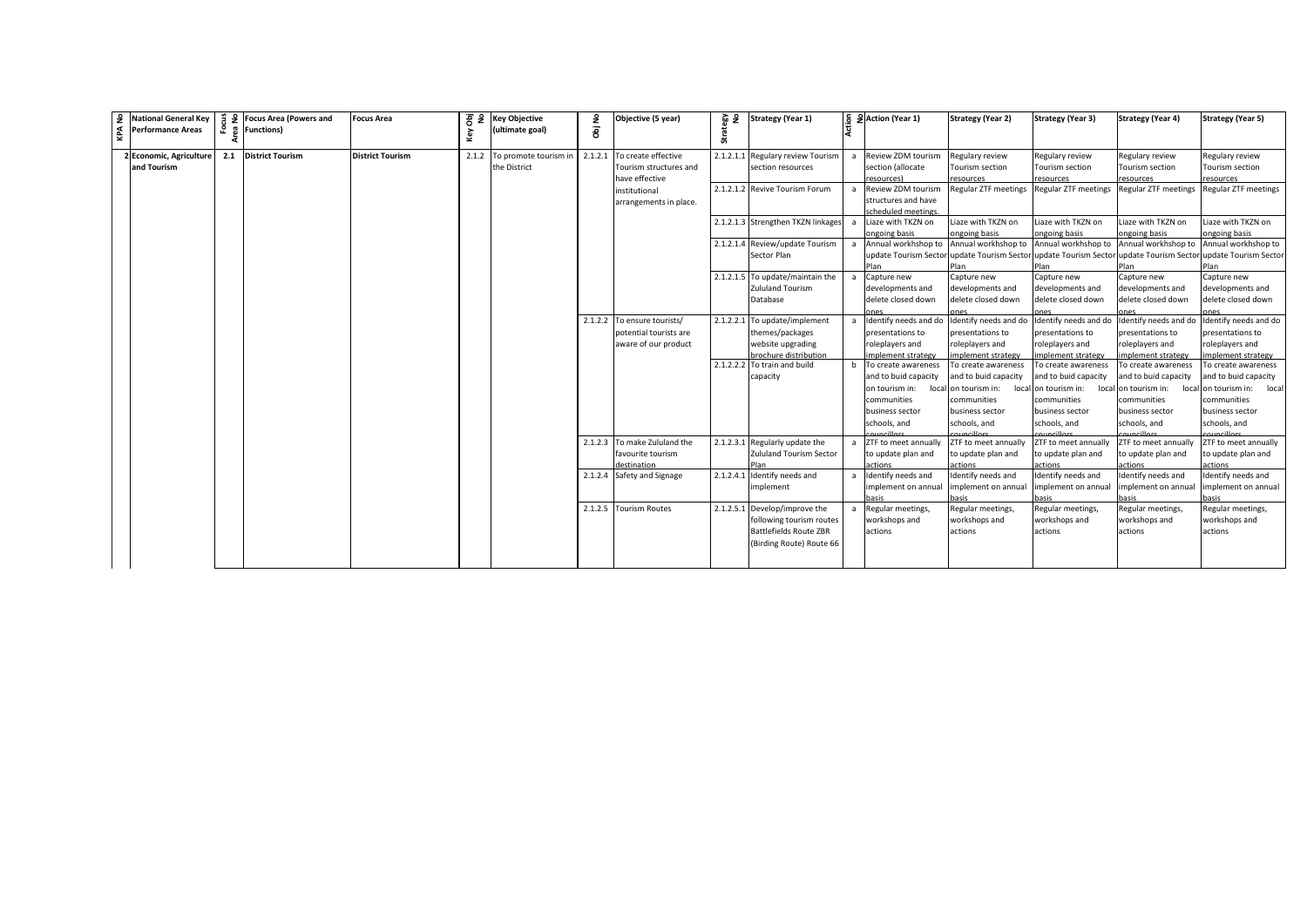| £<br>KPA | <b>National General Key</b><br><b>Performance Areas</b> | ಕೆ ಕಿ<br>ء | <b>Focus Area (Powers and</b><br><b>Functions)</b> | <b>Focus Area</b>       | Obj<br>No<br>Key | <b>Key Objective</b><br>(ultimate goal) | £<br>ā | Objective (5 year)           | 요 몇       | <b>Strategy (Year 1)</b>           |                | 5 SAction (Year 1)                      | <b>Strategy (Year 2)</b>                                                               | <b>Strategy (Year 3)</b>                  | <b>Strategy (Year 4)</b>                                    | <b>Strategy (Year 5)</b>    |
|----------|---------------------------------------------------------|------------|----------------------------------------------------|-------------------------|------------------|-----------------------------------------|--------|------------------------------|-----------|------------------------------------|----------------|-----------------------------------------|----------------------------------------------------------------------------------------|-------------------------------------------|-------------------------------------------------------------|-----------------------------|
|          |                                                         |            |                                                    |                         |                  |                                         |        |                              |           |                                    |                |                                         |                                                                                        |                                           |                                                             |                             |
|          | 2 Economic, Agriculture                                 | 2.1        | <b>District Tourism</b>                            | <b>District Tourism</b> |                  | 2.1.2 To promote tourism in             |        | 2.1.2.1 To create effective  | 2.1.2.1.1 | Regulary review Tourism            |                | Review ZDM tourism                      | Regulary review                                                                        | Regulary review                           | Regulary review                                             | Regulary review             |
|          | and Tourism                                             |            |                                                    |                         |                  | the District                            |        | Tourism structures and       |           | section resources                  |                | section (allocate                       | Tourism section                                                                        | Tourism section                           | Tourism section                                             | Tourism section             |
|          |                                                         |            |                                                    |                         |                  |                                         |        | have effective               |           |                                    |                | resources)                              | esources <sup>-</sup>                                                                  | resources                                 | esources                                                    | esources                    |
|          |                                                         |            |                                                    |                         |                  |                                         |        | institutional                |           | 2.1.2.1.2 Revive Tourism Forum     | a              | Review ZDM tourism                      | <b>Regular ZTF meetings</b>                                                            | Regular ZTF meetings Regular ZTF meetings |                                                             | <b>Regular ZTF meetings</b> |
|          |                                                         |            |                                                    |                         |                  |                                         |        | arrangements in place.       |           |                                    |                | structures and have                     |                                                                                        |                                           |                                                             |                             |
|          |                                                         |            |                                                    |                         |                  |                                         |        |                              |           |                                    |                | scheduled meetings.                     |                                                                                        |                                           |                                                             |                             |
|          |                                                         |            |                                                    |                         |                  |                                         |        |                              |           | 2.1.2.1.3 Strengthen TKZN linkages | $\overline{a}$ | Liaze with TKZN on                      | iaze with TKZN on                                                                      | Liaze with TKZN on                        | iaze with TKZN on                                           | Liaze with TKZN on          |
|          |                                                         |            |                                                    |                         |                  |                                         |        |                              |           |                                    |                | ongoing basis                           | ongoing basis                                                                          | ongoing basis                             | ongoing basis                                               | ongoing basis               |
|          |                                                         |            |                                                    |                         |                  |                                         |        |                              |           | 2.1.2.1.4 Review/update Tourism    | a              | Annual workhshop to Annual workhshop to |                                                                                        |                                           | Annual workhshop to Annual workhshop to Annual workhshop to |                             |
|          |                                                         |            |                                                    |                         |                  |                                         |        |                              |           | Sector Plan                        |                |                                         | update Tourism Sector update Tourism Sector update Tourism Sector update Tourism Secto |                                           |                                                             | update Tourism Sector       |
|          |                                                         |            |                                                    |                         |                  |                                         |        |                              |           |                                    |                |                                         |                                                                                        |                                           | Plan                                                        |                             |
|          |                                                         |            |                                                    |                         |                  |                                         |        |                              |           | 2.1.2.1.5 To update/maintain the   | a              | Capture new                             | Capture new                                                                            | Capture new                               | Capture new                                                 | Capture new                 |
|          |                                                         |            |                                                    |                         |                  |                                         |        |                              |           | <b>Zululand Tourism</b>            |                | developments and                        | developments and                                                                       | developments and                          | developments and                                            | developments and            |
|          |                                                         |            |                                                    |                         |                  |                                         |        |                              |           | Database                           |                | delete closed down                      | delete closed down                                                                     | delete closed down                        | delete closed down                                          | delete closed down          |
|          |                                                         |            |                                                    |                         |                  |                                         |        | 2.1.2.2 To ensure tourists/  | 2.1.2.2.1 | To update/implement                |                | Identify needs and do                   | Identify needs and do                                                                  | Identify needs and do                     | Identify needs and do                                       | Identify needs and do       |
|          |                                                         |            |                                                    |                         |                  |                                         |        | potential tourists are       |           | themes/packages                    |                | presentations to                        | presentations to                                                                       | presentations to                          | presentations to                                            | presentations to            |
|          |                                                         |            |                                                    |                         |                  |                                         |        | aware of our product         |           | website upgrading                  |                | roleplayers and                         | roleplayers and                                                                        | roleplayers and                           | roleplayers and                                             | roleplayers and             |
|          |                                                         |            |                                                    |                         |                  |                                         |        |                              |           | brochure distribution              |                | mplement strategy                       | mplement strategy                                                                      | implement strategy                        | nnlement strategy                                           | nnlement strategy           |
|          |                                                         |            |                                                    |                         |                  |                                         |        |                              |           | 2.1.2.2.2 To train and build       |                | To create awareness                     | To create awareness                                                                    | To create awareness                       | To create awareness                                         | To create awareness         |
|          |                                                         |            |                                                    |                         |                  |                                         |        |                              |           | capacity                           |                | and to buid capacity                    | and to buid capacity                                                                   | and to buid capacity                      | and to buid capacity                                        | and to buid capacity        |
|          |                                                         |            |                                                    |                         |                  |                                         |        |                              |           |                                    |                | on tourism in:<br>local                 | on tourism in:<br>loca                                                                 | on tourism in:                            | local on tourism in:<br>loca                                | on tourism in: local        |
|          |                                                         |            |                                                    |                         |                  |                                         |        |                              |           |                                    |                | communities                             | communities                                                                            | communities                               | communities                                                 | communities                 |
|          |                                                         |            |                                                    |                         |                  |                                         |        |                              |           |                                    |                | business sector                         | business sector                                                                        | business sector                           | business sector                                             | business sector             |
|          |                                                         |            |                                                    |                         |                  |                                         |        |                              |           |                                    |                | schools, and                            | schools, and                                                                           | schools, and                              | schools, and                                                | schools, and                |
|          |                                                         |            |                                                    |                         |                  |                                         |        |                              |           |                                    |                |                                         |                                                                                        |                                           |                                                             |                             |
|          |                                                         |            |                                                    |                         |                  |                                         |        | 2.1.2.3 To make Zululand the |           | 2.1.2.3.1 Regularly update the     | $\overline{a}$ | ZTF to meet annually                    | ZTF to meet annually                                                                   | ZTF to meet annually                      | ZTF to meet annually                                        | ZTF to meet annually        |
|          |                                                         |            |                                                    |                         |                  |                                         |        | favourite tourism            |           | Zululand Tourism Sector            |                | to update plan and                      | to update plan and                                                                     | to update plan and                        | to update plan and                                          | to update plan and          |
|          |                                                         |            |                                                    |                         |                  |                                         |        | destination                  |           |                                    |                | ctions                                  | <b>ctions</b>                                                                          | actions                                   | ctions                                                      | ctions                      |
|          |                                                         |            |                                                    |                         |                  |                                         |        | 2.1.2.4 Safety and Signage   |           | 2.1.2.4.1 Identify needs and       |                | Identify needs and                      | Identify needs and                                                                     | Identify needs and                        | Identify needs and                                          | Identify needs and          |
|          |                                                         |            |                                                    |                         |                  |                                         |        |                              |           | mplement                           |                | mplement on annual                      | implement on annual                                                                    | implement on annual                       | implement on annual                                         | mplement on annual          |
|          |                                                         |            |                                                    |                         |                  |                                         |        |                              |           |                                    |                |                                         |                                                                                        |                                           |                                                             | asis                        |
|          |                                                         |            |                                                    |                         |                  |                                         |        | 2.1.2.5 Tourism Routes       |           | 2.1.2.5.1 Develop/improve the      |                | a Regular meetings,                     | Regular meetings,                                                                      | Regular meetings,                         | Regular meetings,                                           | Regular meetings,           |
|          |                                                         |            |                                                    |                         |                  |                                         |        |                              |           | following tourism routes           |                | workshops and                           | workshops and                                                                          | workshops and                             | workshops and                                               | workshops and               |
|          |                                                         |            |                                                    |                         |                  |                                         |        |                              |           | <b>Battlefields Route ZBR</b>      |                | actions                                 | actions                                                                                | actions                                   | actions                                                     | actions                     |
|          |                                                         |            |                                                    |                         |                  |                                         |        |                              |           | (Birding Route) Route 66           |                |                                         |                                                                                        |                                           |                                                             |                             |
|          |                                                         |            |                                                    |                         |                  |                                         |        |                              |           |                                    |                |                                         |                                                                                        |                                           |                                                             |                             |
|          |                                                         |            |                                                    |                         |                  |                                         |        |                              |           |                                    |                |                                         |                                                                                        |                                           |                                                             |                             |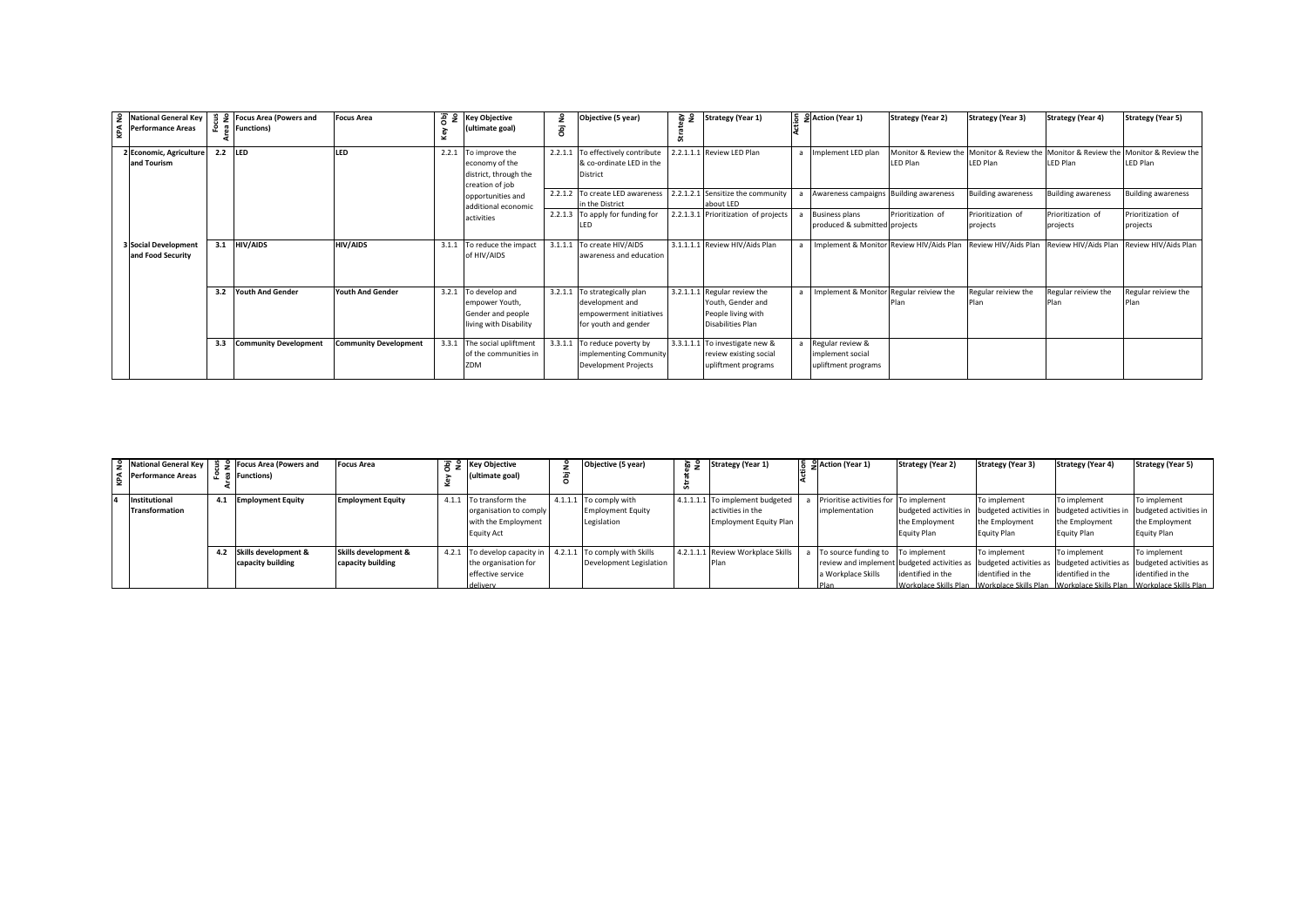| $\frac{9}{2}$ | <b>National General Key</b><br><b>Performance Areas</b> | ۰.  | 을 9 Focus Area (Powers and<br>ှု Functions) | <b>Focus Area</b>            | 품 동<br>Key | <b>Key Objective</b><br>(ultimate goal)                                               | £<br>ā  | Objective (5 year)                                                                                  | ؏ 졅 | <b>Strategy (Year 1)</b>                                                                            | 등 SAction (Year 1)                                          | <b>Strategy (Year 2)</b>         | <b>Strategy (Year 3)</b>      | <b>Strategy (Year 4)</b>                                                                                | <b>Strategy (Year 5)</b>      |
|---------------|---------------------------------------------------------|-----|---------------------------------------------|------------------------------|------------|---------------------------------------------------------------------------------------|---------|-----------------------------------------------------------------------------------------------------|-----|-----------------------------------------------------------------------------------------------------|-------------------------------------------------------------|----------------------------------|-------------------------------|---------------------------------------------------------------------------------------------------------|-------------------------------|
|               | 2 Economic, Agriculture<br>and Tourism                  |     | 2.2 LED                                     | LED                          |            | 2.2.1 To improve the<br>economy of the<br>district, through the<br>creation of job    | 2.2.1.1 | To effectively contribute<br>& co-ordinate LED in the<br><b>District</b>                            |     | 2.2.1.1.1 Review LED Plan                                                                           | Implement LED plan                                          | Monitor & Review the<br>LED Plan | LED Plan                      | Monitor & Review the Monitor & Review the Monitor & Review the<br>LED Plan                              | LED Plan                      |
|               |                                                         |     |                                             |                              |            | opportunities and<br>additional economic                                              |         | 2.2.1.2 To create LED awareness<br>in the District                                                  |     | 2.2.1.2.1 Sensitize the community<br>about LED                                                      | Awareness campaigns Building awareness                      |                                  | <b>Building awareness</b>     | Building awareness                                                                                      | <b>Building awareness</b>     |
|               |                                                         |     |                                             |                              |            | activities                                                                            |         | 2.2.1.3 To apply for funding for                                                                    |     | 2.2.1.3.1 Prioritization of projects                                                                | <b>Business plans</b><br>produced & submitted projects      | Prioritization of                | Prioritization of<br>projects | Prioritization of<br>projects                                                                           | Prioritization of<br>projects |
|               | <b>3 Social Development</b><br>and Food Security        | 3.1 | <b>HIV/AIDS</b>                             | <b>HIV/AIDS</b>              |            | 3.1.1 To reduce the impact<br>of HIV/AIDS                                             | 3.1.1.1 | To create HIV/AIDS<br>awareness and education                                                       |     | 3.1.1.1.1 Review HIV/Aids Plan                                                                      |                                                             |                                  |                               | Implement & Monitor Review HIV/Aids Plan Review HIV/Aids Plan Review HIV/Aids Plan Review HIV/Aids Plan |                               |
|               |                                                         | 3.2 | <b>Youth And Gender</b>                     | <b>Youth And Gender</b>      |            | 3.2.1 To develop and<br>empower Youth.<br>Gender and people<br>living with Disability |         | 3.2.1.1 To strategically plan<br>development and<br>empowerment initiatives<br>for youth and gender |     | 3.2.1.1.1 Regular review the<br>Youth, Gender and<br>People living with<br><b>Disabilities Plan</b> | Implement & Monitor Regular reiview the                     |                                  | Regular reiview the           | Regular reiview the                                                                                     | Regular reiview the           |
|               |                                                         | 3.3 | <b>Community Development</b>                | <b>Community Development</b> |            | 3.3.1 The social upliftment<br>of the communities in<br>ZDM                           | 3.3.1.1 | To reduce poverty by<br>implementing Community<br><b>Development Projects</b>                       |     | 3.3.1.1.1 To investigate new &<br>review existing social<br>upliftment programs                     | Regular review &<br>implement social<br>upliftment programs |                                  |                               |                                                                                                         |                               |

| Performance Areas               |     | Artional General Key   $\frac{9}{2}$ $\frac{9}{2}$ Focus Area (Powers and<br><b>Functions</b> ) | <b>Focus Area</b>                         | $\sqrt{2}$ $\sqrt{5}$ Key Objective<br>ultimate goal)                                                                        | £ | Objective (5 year)                                                | ౖ ప | <b>Strategy (Year 1)</b>                                                              | $\frac{1}{6}$ $\frac{1}{2}$ Action (Year 1)                            | <b>Strategy (Year 2)</b>                                                                                     | <b>Strategy (Year 3)</b>                      | <b>Strategy (Year 4)</b>                      | <b>Strategy (Year 5)</b>                                                                                                                                                                                                                         |
|---------------------------------|-----|-------------------------------------------------------------------------------------------------|-------------------------------------------|------------------------------------------------------------------------------------------------------------------------------|---|-------------------------------------------------------------------|-----|---------------------------------------------------------------------------------------|------------------------------------------------------------------------|--------------------------------------------------------------------------------------------------------------|-----------------------------------------------|-----------------------------------------------|--------------------------------------------------------------------------------------------------------------------------------------------------------------------------------------------------------------------------------------------------|
| Institutional<br>Transformation | 4.1 | <b>Employment Equity</b>                                                                        | <b>Employment Equity</b>                  | 4.1.1 To transform the<br>organisation to comply<br>with the Employment<br><b>Equity Act</b>                                 |   | 4.1.1.1 To comply with<br><b>Employment Equity</b><br>Legislation |     | 4.1.1.1.1 To implement budgeted<br>activities in the<br><b>Employment Equity Plan</b> | Prioritise activities for To implement<br>implementation               | budgeted activities in budgeted activities in budgeted activities in<br>the Employment<br><b>Equity Plan</b> | To implement<br>the Employment<br>Equity Plan | To implement<br>the Employment<br>Equity Plan | To implement<br>budgeted activities in<br>the Employment<br>Equity Plan                                                                                                                                                                          |
|                                 | 4.2 | Skills development &<br>capacity building                                                       | Skills development &<br>capacity building | 4.2.1 To develop capacity in 4.2.1.1 To comply with Skills<br>the organisation for<br>effective service<br><b>I</b> delivery |   | Development Legislation                                           |     | 4.2.1.1.1 Review Workplace Skills<br>Plan                                             | To source funding to To implement<br>a Workplace Skills<br><b>Plan</b> | identified in the                                                                                            | To implement<br>identified in the             | To implement<br>identified in the             | To implement<br>review and implement budgeted activities as budgeted activities as budgeted activities as budgeted activities as<br>identified in the<br>Workplace Skills Plan Workplace Skills Plan Workplace Skills Plan Workplace Skills Plan |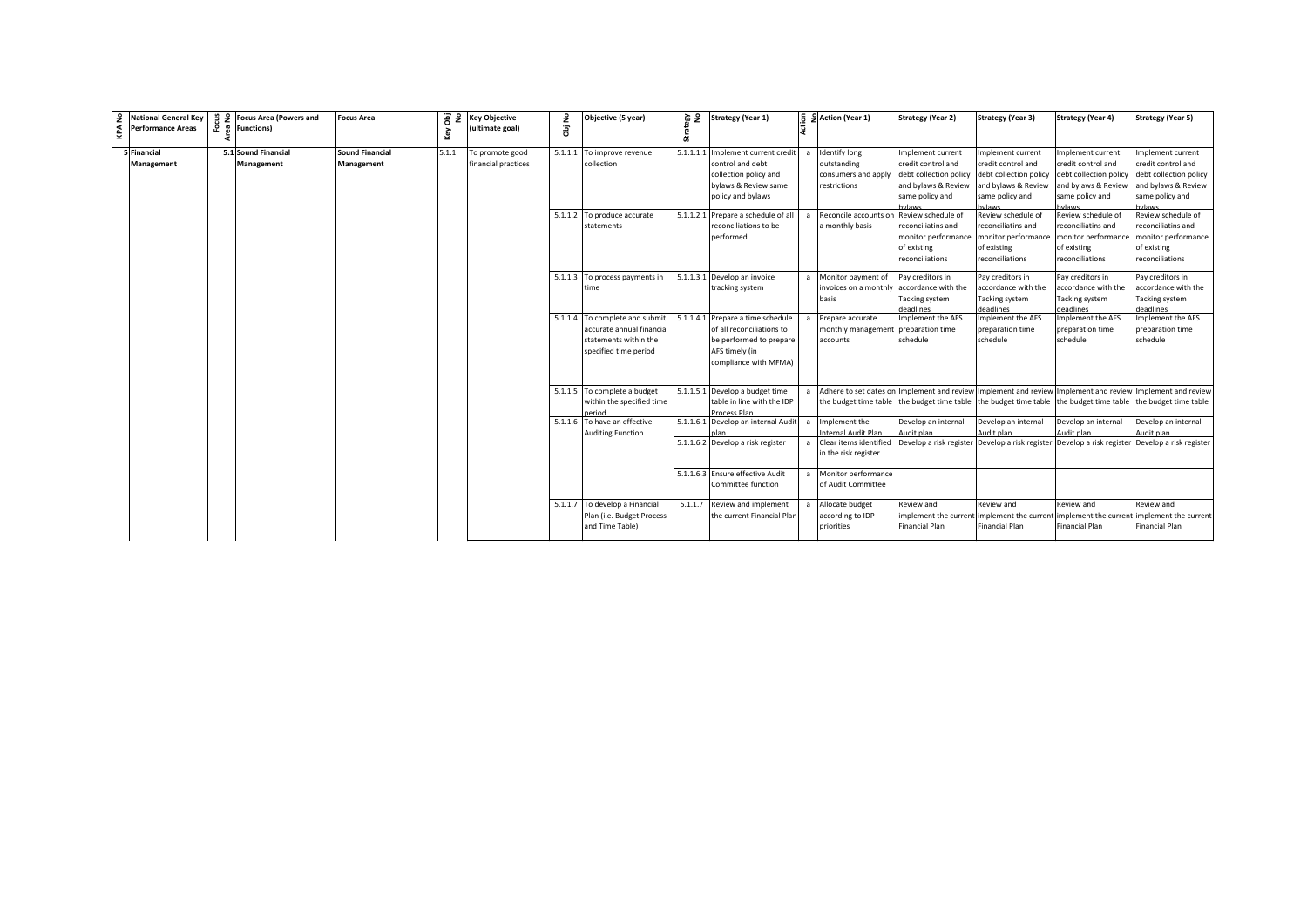| КPA | 9 National General Key<br><b>Performance Areas</b> | 을 9 Focus Area (Powers and<br>운 훕 Functions) | Focus Area                                  | ā<br>$\epsilon$<br>Key | <b>Key Objective</b><br>(ultimate goal) | å<br>ā  | Objective (5 year)                                                                                            | 음 쎥       | <b>Strategy (Year 1)</b>                                                                                                                                  |                | 등 의 Action (Year 1)                                                                                                                     | <b>Strategy (Year 2)</b>                                                                                                          | <b>Strategy (Year 3)</b>                                                                                                                                 | <b>Strategy (Year 4)</b>                                                                                | <b>Strategy (Year 5)</b>                                                                                                             |
|-----|----------------------------------------------------|----------------------------------------------|---------------------------------------------|------------------------|-----------------------------------------|---------|---------------------------------------------------------------------------------------------------------------|-----------|-----------------------------------------------------------------------------------------------------------------------------------------------------------|----------------|-----------------------------------------------------------------------------------------------------------------------------------------|-----------------------------------------------------------------------------------------------------------------------------------|----------------------------------------------------------------------------------------------------------------------------------------------------------|---------------------------------------------------------------------------------------------------------|--------------------------------------------------------------------------------------------------------------------------------------|
|     | 5 Financial<br><b>Management</b>                   | 5.1 Sound Financial<br>Management            | <b>Sound Financial</b><br><b>Management</b> | 5.1.1                  | To promote good<br>financial practices  | 5.1.1.1 | To improve revenue<br>collection<br>5.1.1.2 To produce accurate                                               | 5.1.1.1.1 | Implement current credit<br>control and debt<br>collection policy and<br>bylaws & Review same<br>policy and bylaws<br>5.1.1.2.1 Prepare a schedule of all | $\overline{a}$ | <b>Identify long</b><br>outstanding<br>consumers and apply<br>restrictions<br>Reconcile accounts on                                     | Implement current<br>credit control and<br>debt collection policy<br>and bylaws & Review<br>same policy and<br>Review schedule of | Implement current<br>credit control and<br>debt collection policy debt collection policy<br>and bylaws & Review<br>same policy and<br>Review schedule of | Implement current<br>credit control and<br>and bylaws & Review<br>same policy and<br>Review schedule of | mplement current<br>credit control and<br>debt collection policy<br>and bylaws & Review<br>same policy and<br>Review schedule of     |
|     |                                                    |                                              |                                             |                        |                                         |         | statements                                                                                                    |           | reconciliations to be<br>performed                                                                                                                        |                | a monthly basis                                                                                                                         | reconciliatins and<br>monitor performance<br>of existing<br>reconciliations                                                       | reconciliatins and<br>monitor performance<br>of existing<br>reconciliations                                                                              | reconciliatins and<br>monitor performance<br>of existing<br>reconciliations                             | reconciliatins and<br>monitor performance<br>of existing<br>reconciliations                                                          |
|     |                                                    |                                              |                                             |                        |                                         |         | 5.1.1.3 To process payments in<br>ime                                                                         |           | 5.1.1.3.1 Develop an invoice<br>tracking system                                                                                                           | $\overline{a}$ | Monitor payment of<br>invoices on a monthly<br>basis                                                                                    | Pay creditors in<br>accordance with the<br><b>Tacking system</b><br>leadlines                                                     | Pay creditors in<br>accordance with the<br>Tacking system<br>deadlines                                                                                   | Pay creditors in<br>accordance with the<br>Tacking system<br>deadlines                                  | Pay creditors in<br>accordance with the<br>Tacking system<br>deadlines                                                               |
|     |                                                    |                                              |                                             |                        |                                         |         | 5.1.1.4 To complete and submit<br>accurate annual financial<br>statements within the<br>specified time period |           | 5.1.1.4.1 Prepare a time schedule<br>of all reconciliations to<br>be performed to prepare<br>AFS timely (in<br>compliance with MFMA)                      | $\overline{a}$ | Prepare accurate<br>monthly management preparation time<br>accounts                                                                     | Implement the AFS<br>schedule                                                                                                     | Implement the AFS<br>preparation time<br>schedule                                                                                                        | mplement the AFS<br>preparation time<br>schedule                                                        | mplement the AFS<br>preparation time<br>schedule                                                                                     |
|     |                                                    |                                              |                                             |                        |                                         |         | 5.1.1.5 To complete a budget<br>within the specified time<br>aeriod                                           |           | 5.1.1.5.1 Develop a budget time<br>table in line with the IDP<br>Process Plan                                                                             | $\mathsf{a}$   | Adhere to set dates on<br>the budget time table the budget time table the budget time table the budget time table the budget time table |                                                                                                                                   |                                                                                                                                                          |                                                                                                         | Implement and review Implement and review Implement and review Implement and review                                                  |
|     |                                                    |                                              |                                             |                        |                                         |         | 5.1.1.6 To have an effective<br><b>Auditing Function</b>                                                      |           | 5.1.1.6.1 Develop an internal Audit<br>5.1.1.6.2 Develop a risk register                                                                                  | $\overline{a}$ | Implement the<br>Internal Audit Plan<br>a Clear items identified                                                                        | Develop an internal<br>Audit plan                                                                                                 | Develop an internal<br>Audit plan                                                                                                                        | Develop an internal<br>Audit plan                                                                       | Develop an internal<br>Audit plan<br>Develop a risk register Develop a risk register Develop a risk register Develop a risk register |
|     |                                                    |                                              |                                             |                        |                                         |         |                                                                                                               |           | 5.1.1.6.3 Ensure effective Audit                                                                                                                          |                | in the risk register<br>a Monitor performance                                                                                           |                                                                                                                                   |                                                                                                                                                          |                                                                                                         |                                                                                                                                      |
|     |                                                    |                                              |                                             |                        |                                         |         |                                                                                                               |           | Committee function                                                                                                                                        |                | of Audit Committee                                                                                                                      |                                                                                                                                   |                                                                                                                                                          |                                                                                                         |                                                                                                                                      |
|     |                                                    |                                              |                                             |                        |                                         |         | 5.1.1.7 To develop a Financial<br>Plan (i.e. Budget Process<br>and Time Table)                                | 5.1.1.7   | Review and implement<br>the current Financial Plan                                                                                                        |                | Allocate budget<br>according to IDP<br>priorities                                                                                       | Review and<br>implement the currer<br><b>Financial Plan</b>                                                                       | Review and<br>implement the current implement the curren<br><b>Financial Plan</b>                                                                        | Review and<br>Financial Plan                                                                            | Review and<br>implement the current<br>Financial Plan                                                                                |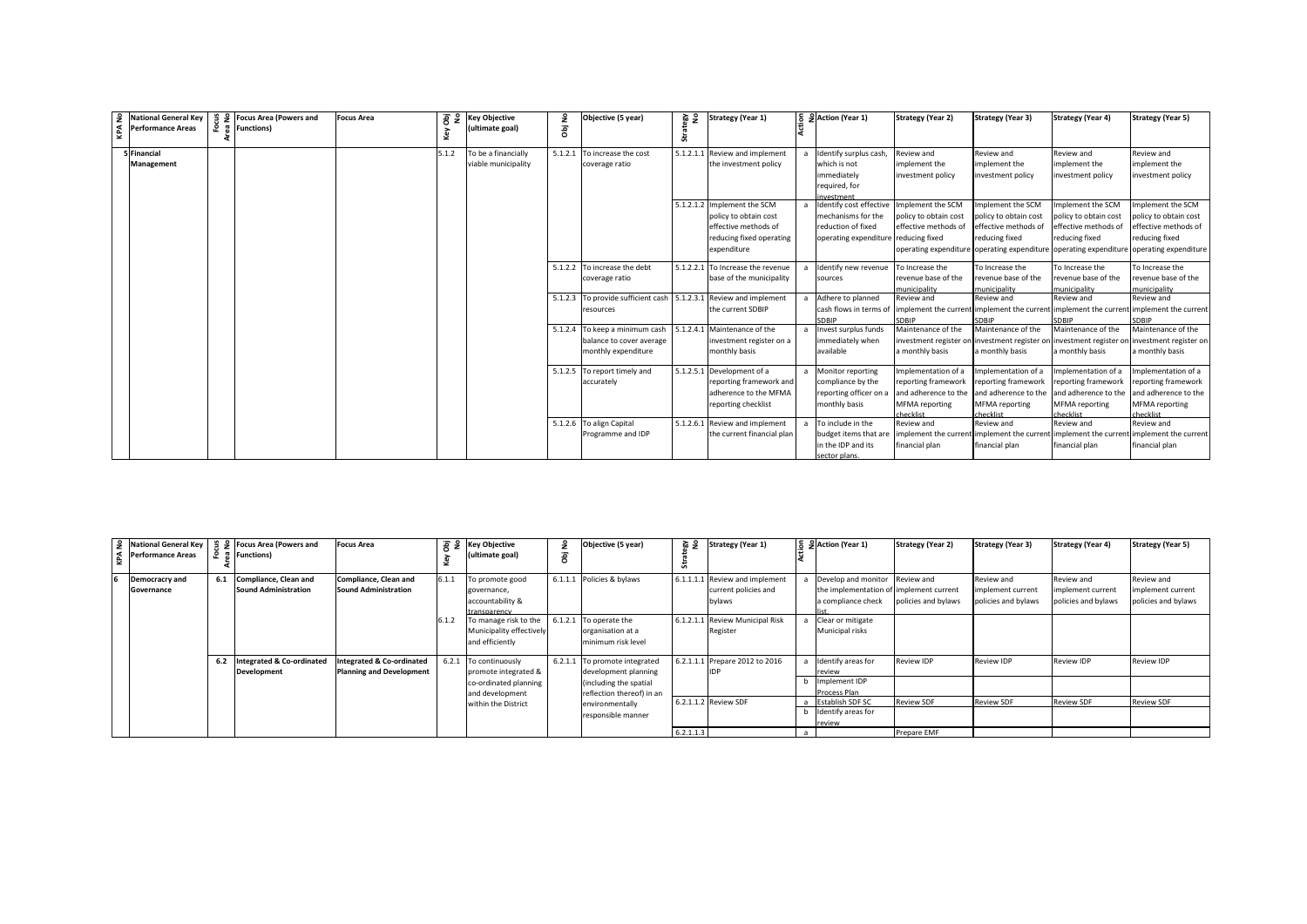| 9 National General Key<br>Performance Areas | 훈 | 을 9 Focus Area (Powers and<br>유 Functions) | <b>Focus Area</b> | Obj<br>No<br>Key | <b>Key Objective</b><br>(ultimate goal)    | ā | Objective (5 year)                                                                | 음 烧 | <b>Strategy (Year 1)</b>                                                                              | 등 운 Action (Year 1)                                                                                                            | <b>Strategy (Year 2)</b>                                                                                              | <b>Strategy (Year 3)</b>                                                                                                     | <b>Strategy (Year 4)</b>                                                        | <b>Strategy (Year 5)</b>                                                                        |
|---------------------------------------------|---|--------------------------------------------|-------------------|------------------|--------------------------------------------|---|-----------------------------------------------------------------------------------|-----|-------------------------------------------------------------------------------------------------------|--------------------------------------------------------------------------------------------------------------------------------|-----------------------------------------------------------------------------------------------------------------------|------------------------------------------------------------------------------------------------------------------------------|---------------------------------------------------------------------------------|-------------------------------------------------------------------------------------------------|
| 5 Financial<br>Management                   |   |                                            |                   | 5.1.2            | To be a financially<br>viable municipality |   | 5.1.2.1 To increase the cost<br>coverage ratio                                    |     | 5.1.2.1.1 Review and implement<br>the investment policy<br>5.1.2.1.2 Implement the SCM                | Identify surplus cash,<br>which is not<br>mmediately<br>required, for<br>westment<br>Identify cost effective Implement the SCM | Review and<br>implement the<br>investment policy                                                                      | Review and<br>mplement the<br>investment policy<br>Implement the SCM                                                         | Review and<br>implement the<br>investment policy<br>Implement the SCM           | Review and<br>implement the<br>investment policy<br>mplement the SCM                            |
|                                             |   |                                            |                   |                  |                                            |   |                                                                                   |     | policy to obtain cost<br>effective methods of<br>reducing fixed operating<br>expenditure              | mechanisms for the<br>reduction of fixed<br>operating expenditure reducing fixed                                               | policy to obtain cost<br>effective methods of<br>operating expenditure operating expenditure operating expenditure    | policy to obtain cost<br>effective methods of<br>reducing fixed                                                              | policy to obtain cost<br>effective methods of<br>reducing fixed                 | policy to obtain cost<br>effective methods of<br>reducing fixed<br>operating expenditure        |
|                                             |   |                                            |                   |                  |                                            |   | 5.1.2.2 To increase the debt<br>coverage ratio                                    |     | 5.1.2.2.1 To Increase the revenue<br>base of the municipality                                         | Identify new revenue<br>sources                                                                                                | To Increase the<br>revenue base of the<br>municipality                                                                | To Increase the<br>revenue base of the<br>municipality                                                                       | To Increase the<br>revenue base of the<br>municipality                          | To Increase the<br>revenue base of the<br>municipality                                          |
|                                             |   |                                            |                   |                  |                                            |   | 5.1.2.3 To provide sufficient cash<br>resources                                   |     | 5.1.2.3.1 Review and implement<br>the current SDBIP                                                   | Adhere to planned<br><b>SDBIP</b>                                                                                              | Review and<br>cash flows in terms of implement the current implement the current implement the current<br><b>DRIP</b> | Review and                                                                                                                   | <b>Review and</b><br>SDRIP                                                      | Review and<br>implement the current                                                             |
|                                             |   |                                            |                   |                  |                                            |   | 5.1.2.4 To keep a minimum cash<br>balance to cover average<br>monthly expenditure |     | 5.1.2.4.1 Maintenance of the<br>investment register on a<br>monthly basis                             | nvest surplus funds<br>mmediately when<br>available                                                                            | Maintenance of the<br>investment register on investment register on investment register or<br>a monthly basis         | Maintenance of the<br>a monthly basis                                                                                        | Maintenance of the<br>a monthly basis                                           | Maintenance of the<br>investment register on<br>a monthly basis                                 |
|                                             |   |                                            |                   |                  |                                            |   | 5.1.2.5 To report timely and<br>accurately                                        |     | 5.1.2.5.1 Development of a<br>reporting framework and<br>adherence to the MFMA<br>reporting checklist | Monitor reporting<br>compliance by the<br>reporting officer on a<br>monthly basis                                              | mplementation of a<br>reporting framework<br>and adherence to the<br><b>MFMA</b> reporting<br>herklist                | Implementation of a<br>reporting framework<br>and adherence to the and adherence to the<br><b>MFMA</b> reporting<br>hecklist | Implementation of a<br>reporting framework<br><b>MFMA</b> reporting<br>hecklist | mplementation of a<br>reporting framework<br>and adherence to the<br>MFMA reporting<br>hecklist |
|                                             |   |                                            |                   |                  |                                            |   | 5.1.2.6 To align Capital<br>Programme and IDP                                     |     | 5.1.2.6.1 Review and implement<br>the current financial plan                                          | To include in the<br>budget items that are<br>in the IDP and its<br>ector plans                                                | Review and<br>implement the currer<br>financial plan                                                                  | Review and<br>implement the current implement the curren<br>financial plan                                                   | Review and<br>financial plan                                                    | Review and<br>implement the current<br>financial plan                                           |

| Performance Areas                   |     | 9 National General Key   € 9 Focus Area (Powers and<br>유 Functions) | Focus Area                                                              |       | $\frac{1}{6}$ $\frac{1}{6}$ $\frac{1}{6}$ Key Objective<br>ultimate goal)           | æ       | Objective (5 year)                                                                                   | 을 몇       | <b>Strategy (Year 1)</b>                                         | 등 의 Action (Year 1)                                                                             | <b>Strategy (Year 2)</b>         | <b>Strategy (Year 3)</b>                               | <b>Strategy (Year 4)</b>                               | <b>Strategy (Year 5)</b>                               |
|-------------------------------------|-----|---------------------------------------------------------------------|-------------------------------------------------------------------------|-------|-------------------------------------------------------------------------------------|---------|------------------------------------------------------------------------------------------------------|-----------|------------------------------------------------------------------|-------------------------------------------------------------------------------------------------|----------------------------------|--------------------------------------------------------|--------------------------------------------------------|--------------------------------------------------------|
| Democracry and<br><b>Governance</b> | 6.1 | Compliance, Clean and<br><b>Sound Administration</b>                | Compliance, Clean and<br><b>Sound Administration</b>                    |       | o promote good<br>governance,<br>accountability &<br>transparency                   |         | 6.1.1.1 Policies & bylaws                                                                            |           | 6.1.1.1.1 Review and implement<br>current policies and<br>bylaws | Develop and monitor Review and<br>the implementation of implement current<br>a compliance check | policies and bylaws              | Review and<br>implement current<br>policies and bylaws | Review and<br>implement current<br>policies and bylaws | Review and<br>implement current<br>policies and bylaws |
|                                     |     |                                                                     |                                                                         | 6.1.2 | To manage risk to the 6.1.2.1<br>Municipality effectively<br>and efficiently        |         | To operate the<br>organisation at a<br>minimum risk level                                            |           | 6.1.2.1.1 Review Municipal Risk<br>Register                      | Clear or mitigate<br>Municipal risks                                                            |                                  |                                                        |                                                        |                                                        |
|                                     | 6.2 | Integrated & Co-ordinated<br>Development                            | <b>Integrated &amp; Co-ordinated</b><br><b>Planning and Development</b> | 6.2.1 | To continuously<br>promote integrated &<br>co-ordinated planning<br>and development | 6.2.1.1 | To promote integrated<br>development planning<br>(including the spatial<br>reflection thereof) in an |           | 6.2.1.1.1 Prepare 2012 to 2016                                   | Identify areas for<br>review<br>Implement IDP<br>Process Plan                                   | Review IDP                       | Review IDP                                             | Review IDP                                             | <b>Review IDP</b>                                      |
|                                     |     |                                                                     |                                                                         |       | within the District                                                                 |         | environmentally<br>responsible manner                                                                | 6.2.1.1.3 | 6.2.1.1.2 Review SDF                                             | <b>Establish SDF SC</b><br>Identify areas for<br>review                                         | <b>Review SDF</b><br>Prepare EMF | <b>Review SDF</b>                                      | <b>Review SDF</b>                                      | <b>Review SDF</b>                                      |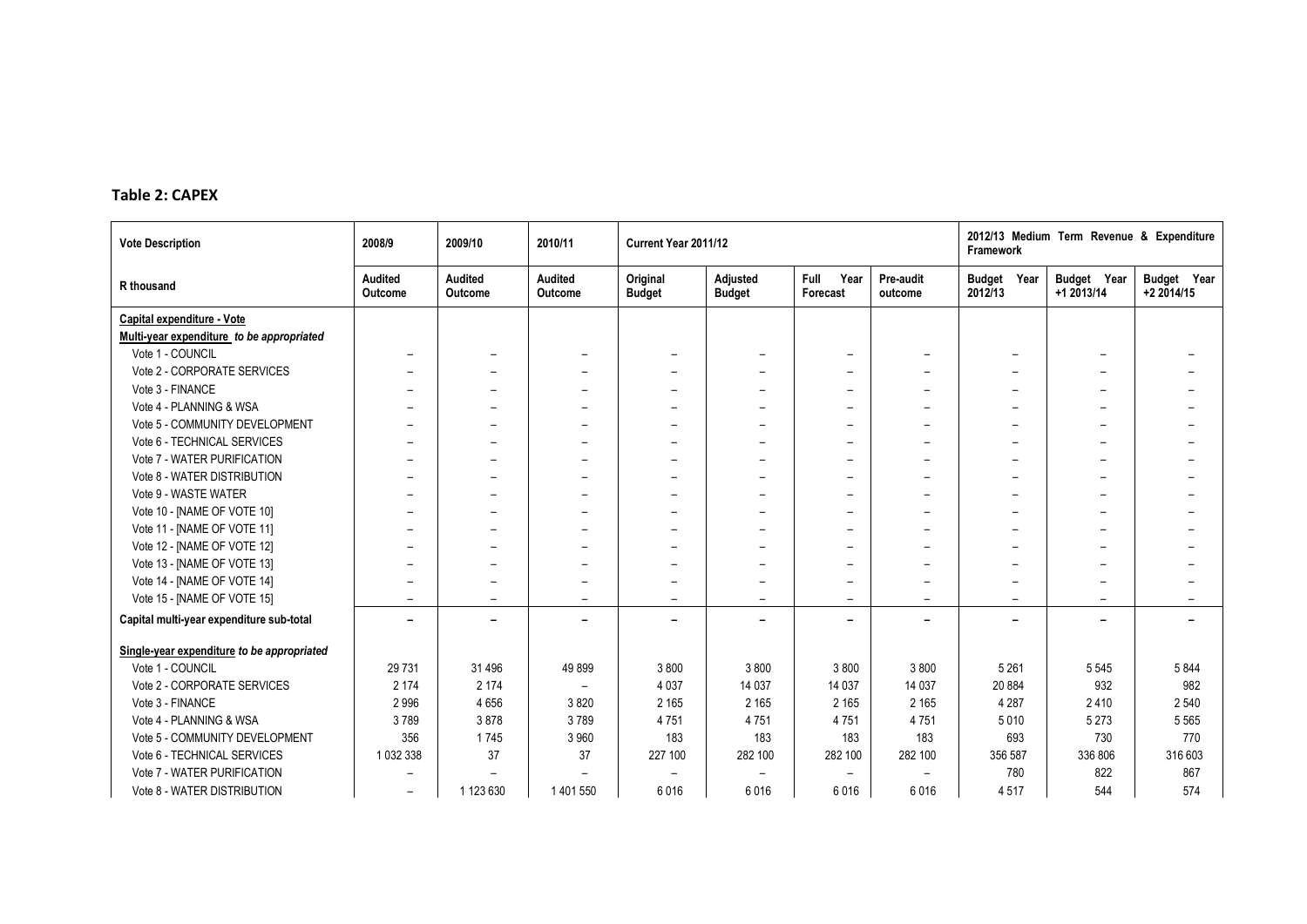## **Table 2: CAPEX**

| <b>Vote Description</b>                    | 2008/9                   | 2009/10                   | 2010/11                   | Current Year 2011/12      |                                  |                          |                          | Framework                | 2012/13 Medium Term Revenue & Expenditure |                           |
|--------------------------------------------|--------------------------|---------------------------|---------------------------|---------------------------|----------------------------------|--------------------------|--------------------------|--------------------------|-------------------------------------------|---------------------------|
| R thousand                                 | Audited<br>Outcome       | <b>Audited</b><br>Outcome | <b>Audited</b><br>Outcome | Original<br><b>Budget</b> | <b>Adjusted</b><br><b>Budget</b> | Full<br>Year<br>Forecast | Pre-audit<br>outcome     | Budget Year<br>2012/13   | Budget Year<br>+1 2013/14                 | Budget Year<br>+2 2014/15 |
| Capital expenditure - Vote                 |                          |                           |                           |                           |                                  |                          |                          |                          |                                           |                           |
| Multi-year expenditure to be appropriated  |                          |                           |                           |                           |                                  |                          |                          |                          |                                           |                           |
| Vote 1 - COUNCIL                           | $\overline{\phantom{m}}$ | $\overline{\phantom{0}}$  | $\overline{\phantom{0}}$  |                           | $\overline{\phantom{m}}$         | $\overline{\phantom{a}}$ |                          |                          |                                           |                           |
| Vote 2 - CORPORATE SERVICES                |                          |                           |                           |                           |                                  | $\overline{\phantom{0}}$ |                          |                          |                                           |                           |
| Vote 3 - FINANCE                           |                          |                           |                           |                           |                                  | $\overline{\phantom{0}}$ |                          |                          |                                           |                           |
| Vote 4 - PLANNING & WSA                    | $\overline{\phantom{0}}$ | $\overline{\phantom{0}}$  |                           |                           |                                  | $\overline{\phantom{0}}$ |                          |                          |                                           |                           |
| Vote 5 - COMMUNITY DEVELOPMENT             | $\overline{\phantom{0}}$ | $\overline{\phantom{0}}$  |                           |                           |                                  | $\overline{\phantom{0}}$ |                          |                          |                                           |                           |
| Vote 6 - TECHNICAL SERVICES                | $\overline{\phantom{0}}$ |                           |                           |                           | $\overline{\phantom{0}}$         | $\overline{\phantom{0}}$ |                          |                          |                                           |                           |
| Vote 7 - WATER PURIFICATION                |                          |                           |                           |                           |                                  |                          |                          |                          |                                           |                           |
| Vote 8 - WATER DISTRIBUTION                |                          |                           |                           |                           |                                  |                          |                          |                          |                                           |                           |
| Vote 9 - WASTE WATER                       |                          |                           |                           |                           |                                  |                          |                          |                          |                                           |                           |
| Vote 10 - [NAME OF VOTE 10]                |                          |                           |                           |                           |                                  | $\overline{\phantom{0}}$ |                          |                          |                                           |                           |
| Vote 11 - [NAME OF VOTE 11]                |                          |                           |                           |                           | $\overline{\phantom{0}}$         | $\overline{\phantom{0}}$ |                          |                          |                                           |                           |
| Vote 12 - [NAME OF VOTE 12]                | $\overline{\phantom{0}}$ | $\overline{\phantom{0}}$  |                           |                           | $\overline{\phantom{0}}$         | $\overline{\phantom{0}}$ |                          |                          |                                           |                           |
| Vote 13 - [NAME OF VOTE 13]                |                          |                           |                           |                           |                                  | $\overline{\phantom{0}}$ |                          |                          |                                           |                           |
| Vote 14 - [NAME OF VOTE 14]                | $\overline{\phantom{0}}$ | $\overline{\phantom{0}}$  |                           |                           | $\overline{\phantom{a}}$         | $\overline{\phantom{0}}$ |                          |                          |                                           |                           |
| Vote 15 - [NAME OF VOTE 15]                | $\overline{\phantom{0}}$ | $\overline{\phantom{0}}$  | $\qquad \qquad$           | $\overline{\phantom{a}}$  | $\qquad \qquad$                  | $\overline{\phantom{0}}$ | $\overline{\phantom{a}}$ | $\overline{\phantom{a}}$ | $\overline{\phantom{a}}$                  |                           |
| Capital multi-year expenditure sub-total   | $\overline{\phantom{0}}$ | $\overline{\phantom{0}}$  |                           |                           | $\overline{\phantom{0}}$         | $\overline{\phantom{0}}$ |                          |                          | $\overline{\phantom{0}}$                  |                           |
| Single-year expenditure to be appropriated |                          |                           |                           |                           |                                  |                          |                          |                          |                                           |                           |
| Vote 1 - COUNCIL                           | 29 7 31                  | 31 496                    | 49899                     | 3800                      | 3800                             | 3800                     | 3800                     | 5 2 6 1                  | 5 5 4 5                                   | 5844                      |
| Vote 2 - CORPORATE SERVICES                | 2 1 7 4                  | 2 174                     |                           | 4 0 3 7                   | 14 037                           | 14 037                   | 14 037                   | 20 884                   | 932                                       | 982                       |
| Vote 3 - FINANCE                           | 2996                     | 4656                      | 3820                      | 2 1 6 5                   | 2 1 6 5                          | 2 1 6 5                  | 2 1 6 5                  | 4 2 8 7                  | 2410                                      | 2 5 4 0                   |
| Vote 4 - PLANNING & WSA                    | 3789                     | 3878                      | 3789                      | 4751                      | 4751                             | 4751                     | 4751                     | 5010                     | 5 2 7 3                                   | 5 5 6 5                   |
| Vote 5 - COMMUNITY DEVELOPMENT             | 356                      | 1745                      | 3 9 6 0                   | 183                       | 183                              | 183                      | 183                      | 693                      | 730                                       | 770                       |
| Vote 6 - TECHNICAL SERVICES                | 1 032 338                | 37                        | 37                        | 227 100                   | 282 100                          | 282 100                  | 282 100                  | 356 587                  | 336 806                                   | 316 603                   |
| Vote 7 - WATER PURIFICATION                |                          |                           |                           |                           |                                  | $\overline{\phantom{0}}$ |                          | 780                      | 822                                       | 867                       |
| Vote 8 - WATER DISTRIBUTION                | $\overline{\phantom{0}}$ | 1 123 630                 | 1 401 550                 | 6016                      | 6016                             | 6016                     | 6016                     | 4517                     | 544                                       | 574                       |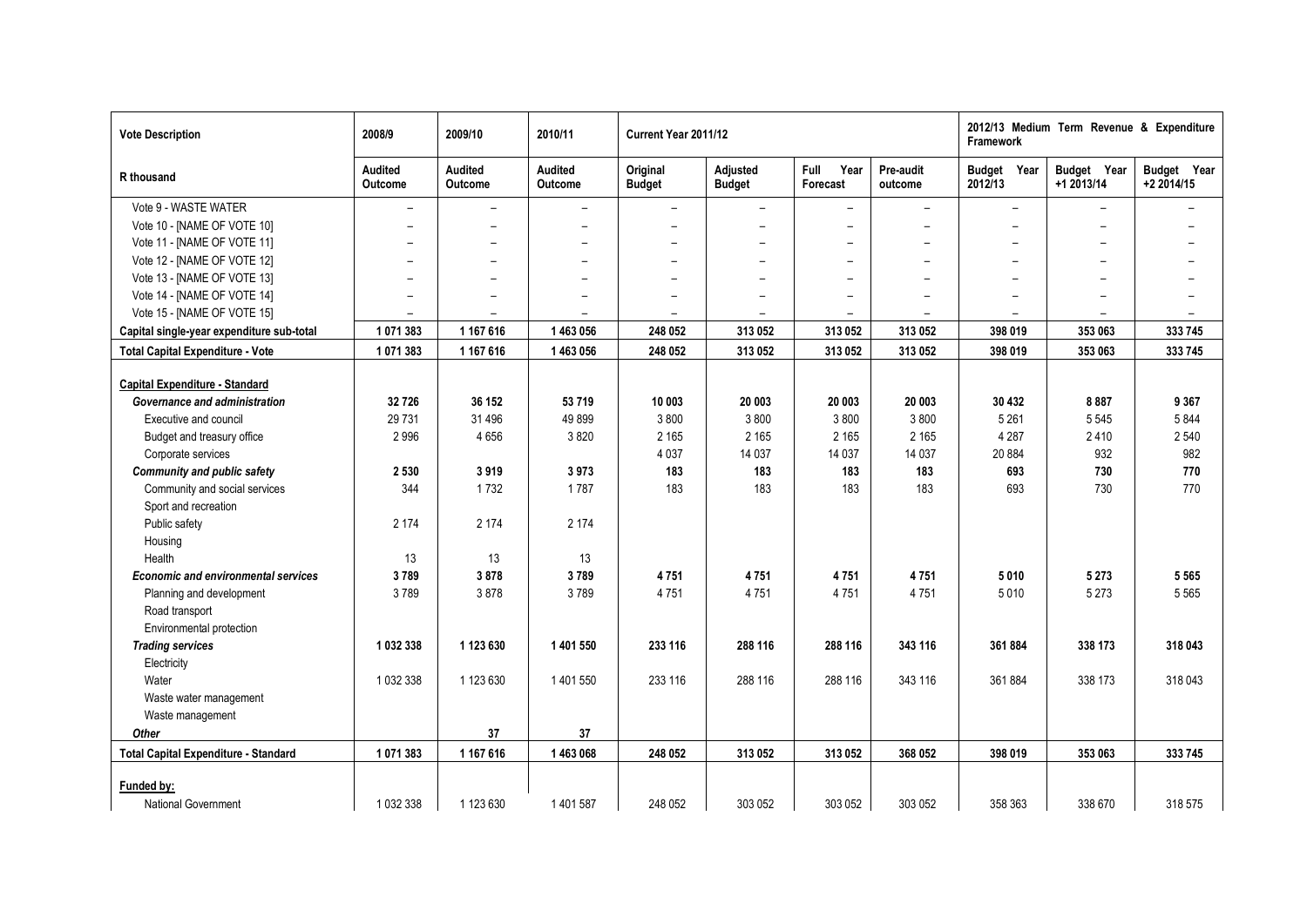| <b>Vote Description</b>                     | 2008/9                   | 2009/10                          | 2010/11                  | Current Year 2011/12      |                           |                          |                          | Framework                | 2012/13 Medium Term Revenue & Expenditure |                           |
|---------------------------------------------|--------------------------|----------------------------------|--------------------------|---------------------------|---------------------------|--------------------------|--------------------------|--------------------------|-------------------------------------------|---------------------------|
| R thousand                                  | Audited<br>Outcome       | <b>Audited</b><br><b>Outcome</b> | Audited<br>Outcome       | Original<br><b>Budget</b> | Adjusted<br><b>Budget</b> | Full<br>Year<br>Forecast | Pre-audit<br>outcome     | Budget Year<br>2012/13   | Budget Year<br>+1 2013/14                 | Budget Year<br>+2 2014/15 |
| Vote 9 - WASTE WATER                        | $\overline{\phantom{a}}$ | $\overline{\phantom{0}}$         | $\overline{\phantom{m}}$ | $\overline{\phantom{a}}$  | $\overline{\phantom{0}}$  | $\overline{\phantom{0}}$ | $\overline{\phantom{a}}$ | $\qquad \qquad -$        | $\overline{\phantom{0}}$                  |                           |
| Vote 10 - [NAME OF VOTE 10]                 | $\overline{\phantom{0}}$ | $\overline{\phantom{0}}$         | $\overline{\phantom{0}}$ | $\overline{\phantom{0}}$  | $\overline{\phantom{0}}$  | $\overline{\phantom{0}}$ | $\overline{\phantom{0}}$ | $\overline{\phantom{0}}$ | $\equiv$                                  |                           |
| Vote 11 - [NAME OF VOTE 11]                 | $\overline{\phantom{a}}$ | $\overline{\phantom{0}}$         | $\overline{a}$           | $\overline{\phantom{0}}$  |                           | $\overline{\phantom{0}}$ | $\overline{a}$           | $\overline{\phantom{0}}$ |                                           |                           |
| Vote 12 - [NAME OF VOTE 12]                 | $\overline{\phantom{0}}$ | $\overline{\phantom{0}}$         | $\overline{\phantom{0}}$ | $\overline{\phantom{0}}$  |                           | $\overline{\phantom{0}}$ | $\overline{\phantom{0}}$ | $\overline{\phantom{0}}$ |                                           |                           |
| Vote 13 - [NAME OF VOTE 13]                 | $\overline{\phantom{0}}$ |                                  |                          |                           |                           | $\overline{\phantom{0}}$ | $\overline{a}$           |                          |                                           |                           |
| Vote 14 - [NAME OF VOTE 14]                 | $\overline{\phantom{0}}$ | $\overline{\phantom{0}}$         | $\overline{\phantom{0}}$ |                           |                           |                          | $\overline{\phantom{a}}$ |                          | $\qquad \qquad$                           |                           |
| Vote 15 - [NAME OF VOTE 15]                 | $\overline{\phantom{m}}$ |                                  |                          |                           |                           |                          | $\overline{\phantom{0}}$ |                          |                                           |                           |
| Capital single-year expenditure sub-total   | 1071383                  | 1 167 616                        | 1463056                  | 248 052                   | 313 052                   | 313 052                  | 313 052                  | 398 019                  | 353 063                                   | 333 745                   |
| <b>Total Capital Expenditure - Vote</b>     | 1071383                  | 1 167 616                        | 1 463 056                | 248 052                   | 313 052                   | 313 052                  | 313 052                  | 398 019                  | 353 063                                   | 333 745                   |
|                                             |                          |                                  |                          |                           |                           |                          |                          |                          |                                           |                           |
| <b>Capital Expenditure - Standard</b>       |                          |                                  |                          |                           |                           |                          |                          |                          |                                           |                           |
| Governance and administration               | 32726                    | 36 152                           | 53 719                   | 10 003                    | 20 003                    | 20 003                   | 20 003                   | 30 432                   | 8887                                      | 9 3 6 7                   |
| Executive and council                       | 29 7 31                  | 31 496                           | 49899                    | 3800                      | 3800                      | 3800                     | 3800                     | 5 2 6 1                  | 5 5 4 5                                   | 5844                      |
| Budget and treasury office                  | 2996                     | 4656                             | 3820                     | 2 1 6 5                   | 2 1 6 5                   | 2 1 6 5                  | 2 1 6 5                  | 4 2 8 7                  | 2410                                      | 2 5 4 0                   |
| Corporate services                          |                          |                                  |                          | 4 0 3 7                   | 14 037                    | 14 0 37                  | 14 037                   | 20 8 84                  | 932                                       | 982                       |
| <b>Community and public safety</b>          | 2 5 3 0                  | 3919                             | 3973                     | 183                       | 183                       | 183                      | 183                      | 693                      | 730                                       | 770                       |
| Community and social services               | 344                      | 1732                             | 1787                     | 183                       | 183                       | 183                      | 183                      | 693                      | 730                                       | 770                       |
| Sport and recreation                        |                          |                                  |                          |                           |                           |                          |                          |                          |                                           |                           |
| Public safety                               | 2 1 7 4                  | 2 1 7 4                          | 2 1 7 4                  |                           |                           |                          |                          |                          |                                           |                           |
| Housing                                     |                          |                                  |                          |                           |                           |                          |                          |                          |                                           |                           |
| Health                                      | 13                       | 13                               | 13                       |                           |                           |                          |                          |                          |                                           |                           |
| <b>Economic and environmental services</b>  | 3789                     | 3878                             | 3789                     | 4751                      | 4751                      | 4751                     | 4751                     | 5010                     | 5 2 7 3                                   | 5 5 6 5                   |
| Planning and development                    | 3789                     | 3878                             | 3789                     | 4751                      | 4751                      | 4751                     | 4751                     | 5010                     | 5 2 7 3                                   | 5 5 6 5                   |
| Road transport                              |                          |                                  |                          |                           |                           |                          |                          |                          |                                           |                           |
| Environmental protection                    |                          |                                  |                          |                           |                           |                          |                          |                          |                                           |                           |
| <b>Trading services</b>                     | 1 032 338                | 1 123 630                        | 1 401 550                | 233 116                   | 288 116                   | 288 116                  | 343 116                  | 361884                   | 338 173                                   | 318 043                   |
| Electricity                                 |                          |                                  |                          |                           |                           |                          |                          |                          |                                           |                           |
| Water                                       | 1 032 338                | 1 123 630                        | 1 401 550                | 233 116                   | 288 116                   | 288 116                  | 343 116                  | 361884                   | 338 173                                   | 318043                    |
| Waste water management                      |                          |                                  |                          |                           |                           |                          |                          |                          |                                           |                           |
| Waste management                            |                          |                                  |                          |                           |                           |                          |                          |                          |                                           |                           |
| Other                                       |                          | 37                               | 37                       |                           |                           |                          |                          |                          |                                           |                           |
| <b>Total Capital Expenditure - Standard</b> | 1071383                  | 1 167 616                        | 1463068                  | 248 052                   | 313 052                   | 313 052                  | 368 052                  | 398 019                  | 353 063                                   | 333 745                   |
|                                             |                          |                                  |                          |                           |                           |                          |                          |                          |                                           |                           |
| Funded by:                                  |                          |                                  |                          |                           |                           |                          |                          |                          |                                           |                           |
| <b>National Government</b>                  | 1 032 338                | 1 123 630                        | 1 401 587                | 248 052                   | 303 052                   | 303 052                  | 303 052                  | 358 363                  | 338 670                                   | 318 575                   |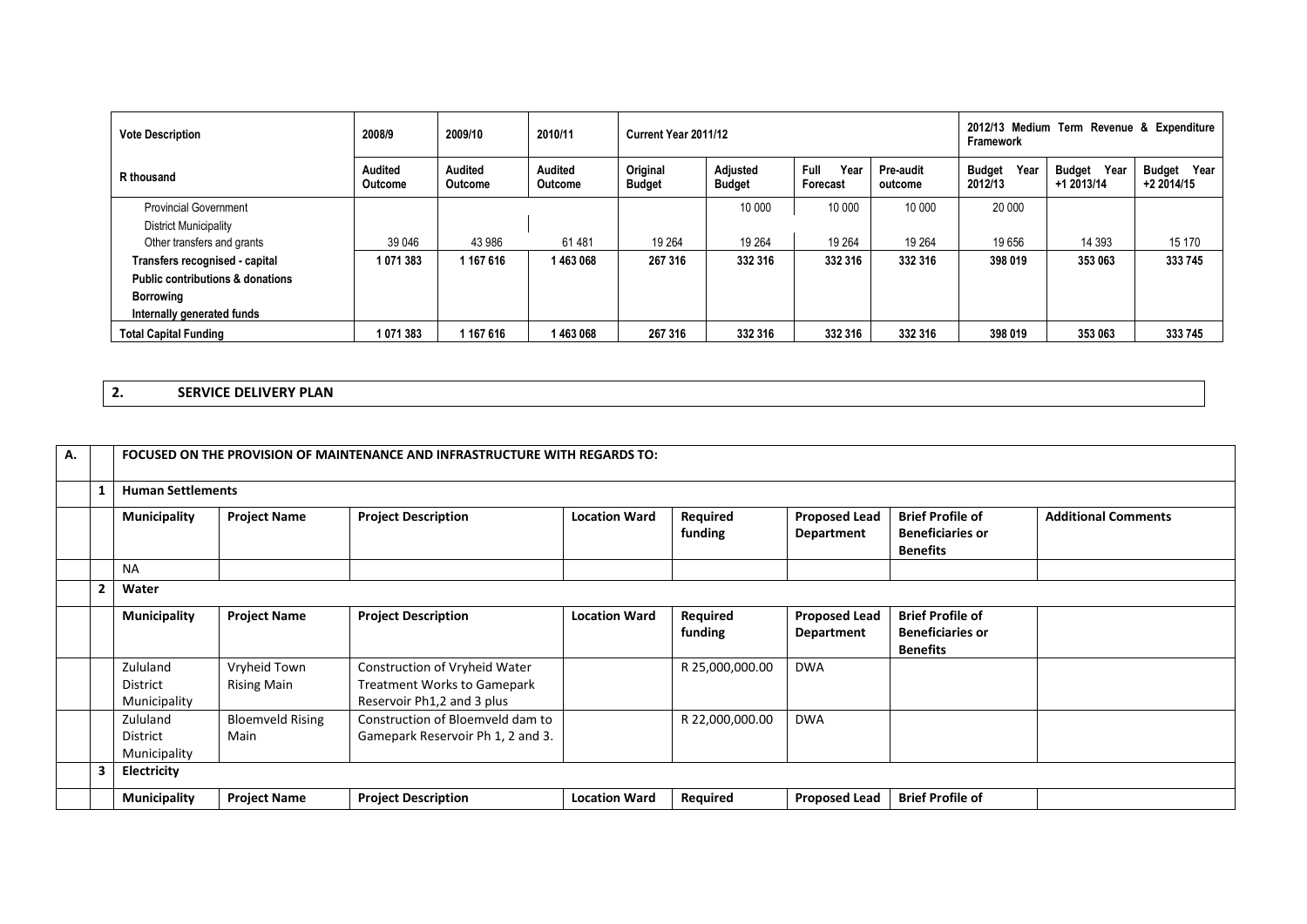| <b>Vote Description</b>                     | 2008/9             | 2009/10                   | 2010/11            | Current Year 2011/12      |                           |                          | 2012/13 Medium Term Revenue & Expenditure<br>Framework |                                  |                              |                                     |
|---------------------------------------------|--------------------|---------------------------|--------------------|---------------------------|---------------------------|--------------------------|--------------------------------------------------------|----------------------------------|------------------------------|-------------------------------------|
| R thousand                                  | Audited<br>Outcome | Audited<br><b>Outcome</b> | Audited<br>Outcome | Original<br><b>Budget</b> | Adjusted<br><b>Budget</b> | Year<br>Full<br>Forecast | Pre-audit<br>outcome                                   | Year<br><b>Budget</b><br>2012/13 | Year<br>Budget<br>+1 2013/14 | <b>Budget</b><br>Year<br>+2 2014/15 |
| <b>Provincial Government</b>                |                    |                           |                    |                           | 10 000                    | 10 000                   | 10 000                                                 | 20 000                           |                              |                                     |
| <b>District Municipality</b>                |                    |                           |                    |                           |                           |                          |                                                        |                                  |                              |                                     |
| Other transfers and grants                  | 39 046             | 43 986                    | 61481              | 19 2 64                   | 19 264                    | 19 2 64                  | 19 264                                                 | 19656                            | 14 3 9 3                     | 15 170                              |
| Transfers recognised - capital              | 1071383            | 1 167 616                 | 1463068            | 267 316                   | 332 316                   | 332 316                  | 332 316                                                | 398 019                          | 353 063                      | 333 745                             |
| <b>Public contributions &amp; donations</b> |                    |                           |                    |                           |                           |                          |                                                        |                                  |                              |                                     |
| <b>Borrowing</b>                            |                    |                           |                    |                           |                           |                          |                                                        |                                  |                              |                                     |
| Internally generated funds                  |                    |                           |                    |                           |                           |                          |                                                        |                                  |                              |                                     |
| <b>Total Capital Funding</b>                | 1071383            | 1 167 616                 | 1463068            | 267 316                   | 332 316                   | 332 316                  | 332 316                                                | 398 019                          | 353 063                      | 333 745                             |

**2. SERVICE DELIVERY PLAN**

| А. |   | FOCUSED ON THE PROVISION OF MAINTENANCE AND INFRASTRUCTURE WITH REGARDS TO: |                                    |                                                                                                   |                      |                     |                                           |                                                                       |                            |  |  |  |
|----|---|-----------------------------------------------------------------------------|------------------------------------|---------------------------------------------------------------------------------------------------|----------------------|---------------------|-------------------------------------------|-----------------------------------------------------------------------|----------------------------|--|--|--|
|    | 1 | <b>Human Settlements</b>                                                    |                                    |                                                                                                   |                      |                     |                                           |                                                                       |                            |  |  |  |
|    |   | <b>Municipality</b>                                                         | <b>Project Name</b>                | <b>Project Description</b>                                                                        | <b>Location Ward</b> | Required<br>funding | <b>Proposed Lead</b><br><b>Department</b> | <b>Brief Profile of</b><br><b>Beneficiaries or</b><br><b>Benefits</b> | <b>Additional Comments</b> |  |  |  |
|    |   | <b>NA</b>                                                                   |                                    |                                                                                                   |                      |                     |                                           |                                                                       |                            |  |  |  |
|    | 2 | Water                                                                       |                                    |                                                                                                   |                      |                     |                                           |                                                                       |                            |  |  |  |
|    |   | <b>Municipality</b>                                                         | <b>Project Name</b>                | <b>Project Description</b>                                                                        | <b>Location Ward</b> | Required<br>funding | <b>Proposed Lead</b><br>Department        | <b>Brief Profile of</b><br><b>Beneficiaries or</b><br><b>Benefits</b> |                            |  |  |  |
|    |   | Zululand<br>District<br>Municipality                                        | Vryheid Town<br><b>Rising Main</b> | Construction of Vryheid Water<br><b>Treatment Works to Gamepark</b><br>Reservoir Ph1,2 and 3 plus |                      | R 25,000,000.00     | <b>DWA</b>                                |                                                                       |                            |  |  |  |
|    |   | Zululand<br>District<br>Municipality                                        | <b>Bloemveld Rising</b><br>Main    | Construction of Bloemveld dam to<br>Gamepark Reservoir Ph 1, 2 and 3.                             |                      | R 22,000,000.00     | <b>DWA</b>                                |                                                                       |                            |  |  |  |
|    | 3 | Electricity                                                                 |                                    |                                                                                                   |                      |                     |                                           |                                                                       |                            |  |  |  |
|    |   | <b>Municipality</b>                                                         | <b>Project Name</b>                | <b>Project Description</b>                                                                        | <b>Location Ward</b> | Required            | <b>Proposed Lead</b>                      | <b>Brief Profile of</b>                                               |                            |  |  |  |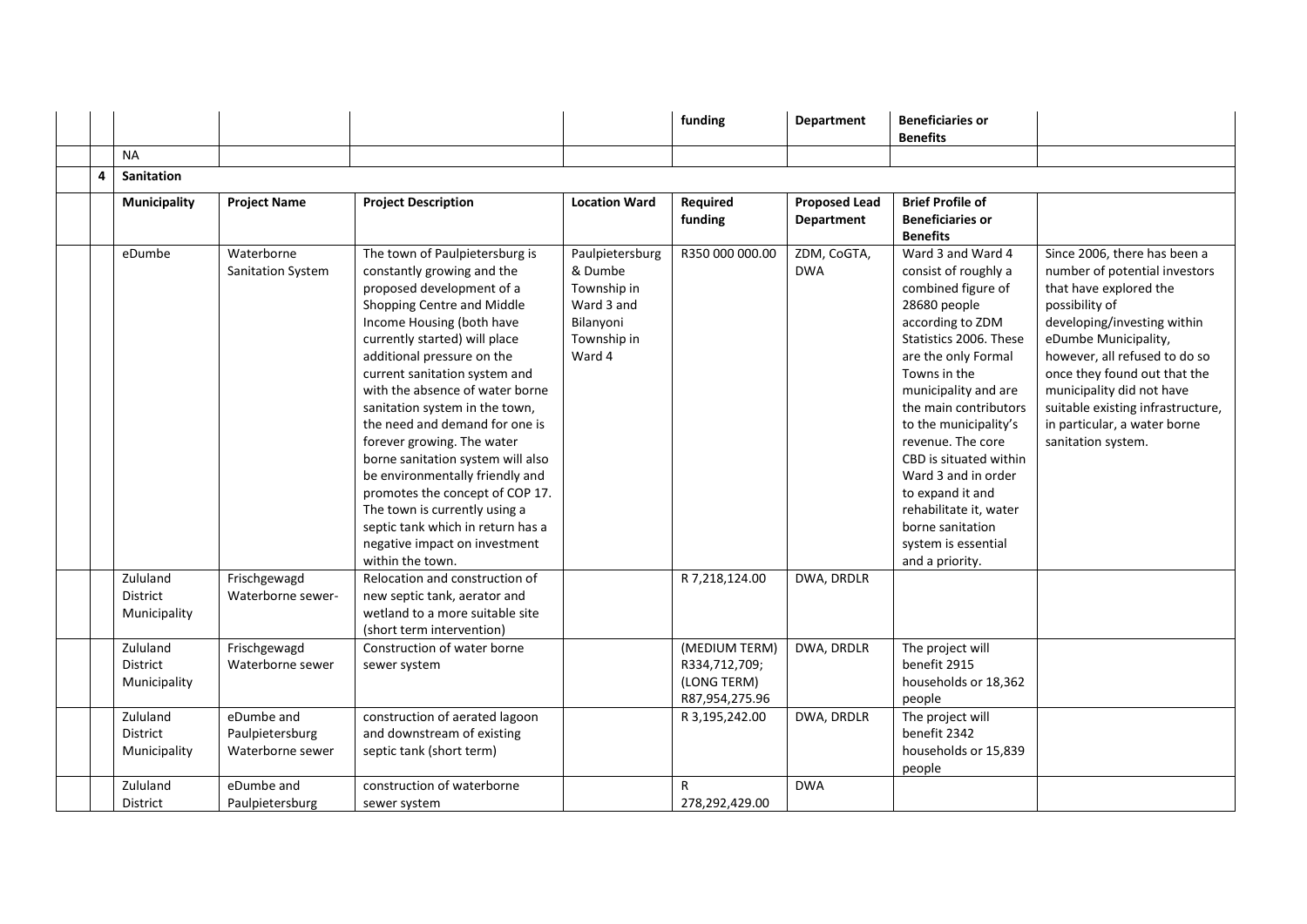|   |                                             |                                                   |                                                                                                                                                                                                                                                                                                                                                                                                                                                                                                                                                                                                                                 |                                                                                               | funding                                                         | <b>Department</b>                  | <b>Beneficiaries or</b><br><b>Benefits</b>                                                                                                                                                                                                                                                                                                                                                                                       |                                                                                                                                                                                                                                                                                                                                                           |
|---|---------------------------------------------|---------------------------------------------------|---------------------------------------------------------------------------------------------------------------------------------------------------------------------------------------------------------------------------------------------------------------------------------------------------------------------------------------------------------------------------------------------------------------------------------------------------------------------------------------------------------------------------------------------------------------------------------------------------------------------------------|-----------------------------------------------------------------------------------------------|-----------------------------------------------------------------|------------------------------------|----------------------------------------------------------------------------------------------------------------------------------------------------------------------------------------------------------------------------------------------------------------------------------------------------------------------------------------------------------------------------------------------------------------------------------|-----------------------------------------------------------------------------------------------------------------------------------------------------------------------------------------------------------------------------------------------------------------------------------------------------------------------------------------------------------|
|   | <b>NA</b>                                   |                                                   |                                                                                                                                                                                                                                                                                                                                                                                                                                                                                                                                                                                                                                 |                                                                                               |                                                                 |                                    |                                                                                                                                                                                                                                                                                                                                                                                                                                  |                                                                                                                                                                                                                                                                                                                                                           |
| 4 | <b>Sanitation</b>                           |                                                   |                                                                                                                                                                                                                                                                                                                                                                                                                                                                                                                                                                                                                                 |                                                                                               |                                                                 |                                    |                                                                                                                                                                                                                                                                                                                                                                                                                                  |                                                                                                                                                                                                                                                                                                                                                           |
|   | <b>Municipality</b>                         | <b>Project Name</b>                               | <b>Project Description</b>                                                                                                                                                                                                                                                                                                                                                                                                                                                                                                                                                                                                      | <b>Location Ward</b>                                                                          | Required<br>funding                                             | <b>Proposed Lead</b><br>Department | <b>Brief Profile of</b><br><b>Beneficiaries or</b><br><b>Benefits</b>                                                                                                                                                                                                                                                                                                                                                            |                                                                                                                                                                                                                                                                                                                                                           |
|   | eDumbe                                      | Waterborne<br>Sanitation System                   | The town of Paulpietersburg is<br>constantly growing and the<br>proposed development of a<br>Shopping Centre and Middle<br>Income Housing (both have<br>currently started) will place<br>additional pressure on the<br>current sanitation system and<br>with the absence of water borne<br>sanitation system in the town,<br>the need and demand for one is<br>forever growing. The water<br>borne sanitation system will also<br>be environmentally friendly and<br>promotes the concept of COP 17.<br>The town is currently using a<br>septic tank which in return has a<br>negative impact on investment<br>within the town. | Paulpietersburg<br>& Dumbe<br>Township in<br>Ward 3 and<br>Bilanyoni<br>Township in<br>Ward 4 | R350 000 000.00                                                 | ZDM, CoGTA,<br><b>DWA</b>          | Ward 3 and Ward 4<br>consist of roughly a<br>combined figure of<br>28680 people<br>according to ZDM<br>Statistics 2006. These<br>are the only Formal<br>Towns in the<br>municipality and are<br>the main contributors<br>to the municipality's<br>revenue. The core<br>CBD is situated within<br>Ward 3 and in order<br>to expand it and<br>rehabilitate it, water<br>borne sanitation<br>system is essential<br>and a priority. | Since 2006, there has been a<br>number of potential investors<br>that have explored the<br>possibility of<br>developing/investing within<br>eDumbe Municipality,<br>however, all refused to do so<br>once they found out that the<br>municipality did not have<br>suitable existing infrastructure,<br>in particular, a water borne<br>sanitation system. |
|   | Zululand<br>District<br>Municipality        | Frischgewagd<br>Waterborne sewer-                 | Relocation and construction of<br>new septic tank, aerator and<br>wetland to a more suitable site<br>(short term intervention)                                                                                                                                                                                                                                                                                                                                                                                                                                                                                                  |                                                                                               | R 7,218,124.00                                                  | DWA, DRDLR                         |                                                                                                                                                                                                                                                                                                                                                                                                                                  |                                                                                                                                                                                                                                                                                                                                                           |
|   | Zululand<br><b>District</b><br>Municipality | Frischgewagd<br>Waterborne sewer                  | Construction of water borne<br>sewer system                                                                                                                                                                                                                                                                                                                                                                                                                                                                                                                                                                                     |                                                                                               | (MEDIUM TERM)<br>R334,712,709;<br>(LONG TERM)<br>R87,954,275.96 | DWA, DRDLR                         | The project will<br>benefit 2915<br>households or 18,362<br>people                                                                                                                                                                                                                                                                                                                                                               |                                                                                                                                                                                                                                                                                                                                                           |
|   | Zululand<br><b>District</b><br>Municipality | eDumbe and<br>Paulpietersburg<br>Waterborne sewer | construction of aerated lagoon<br>and downstream of existing<br>septic tank (short term)                                                                                                                                                                                                                                                                                                                                                                                                                                                                                                                                        |                                                                                               | R 3,195,242.00                                                  | DWA, DRDLR                         | The project will<br>benefit 2342<br>households or 15,839<br>people                                                                                                                                                                                                                                                                                                                                                               |                                                                                                                                                                                                                                                                                                                                                           |
|   | Zululand<br><b>District</b>                 | eDumbe and<br>Paulpietersburg                     | construction of waterborne<br>sewer system                                                                                                                                                                                                                                                                                                                                                                                                                                                                                                                                                                                      |                                                                                               | R<br>278,292,429.00                                             | <b>DWA</b>                         |                                                                                                                                                                                                                                                                                                                                                                                                                                  |                                                                                                                                                                                                                                                                                                                                                           |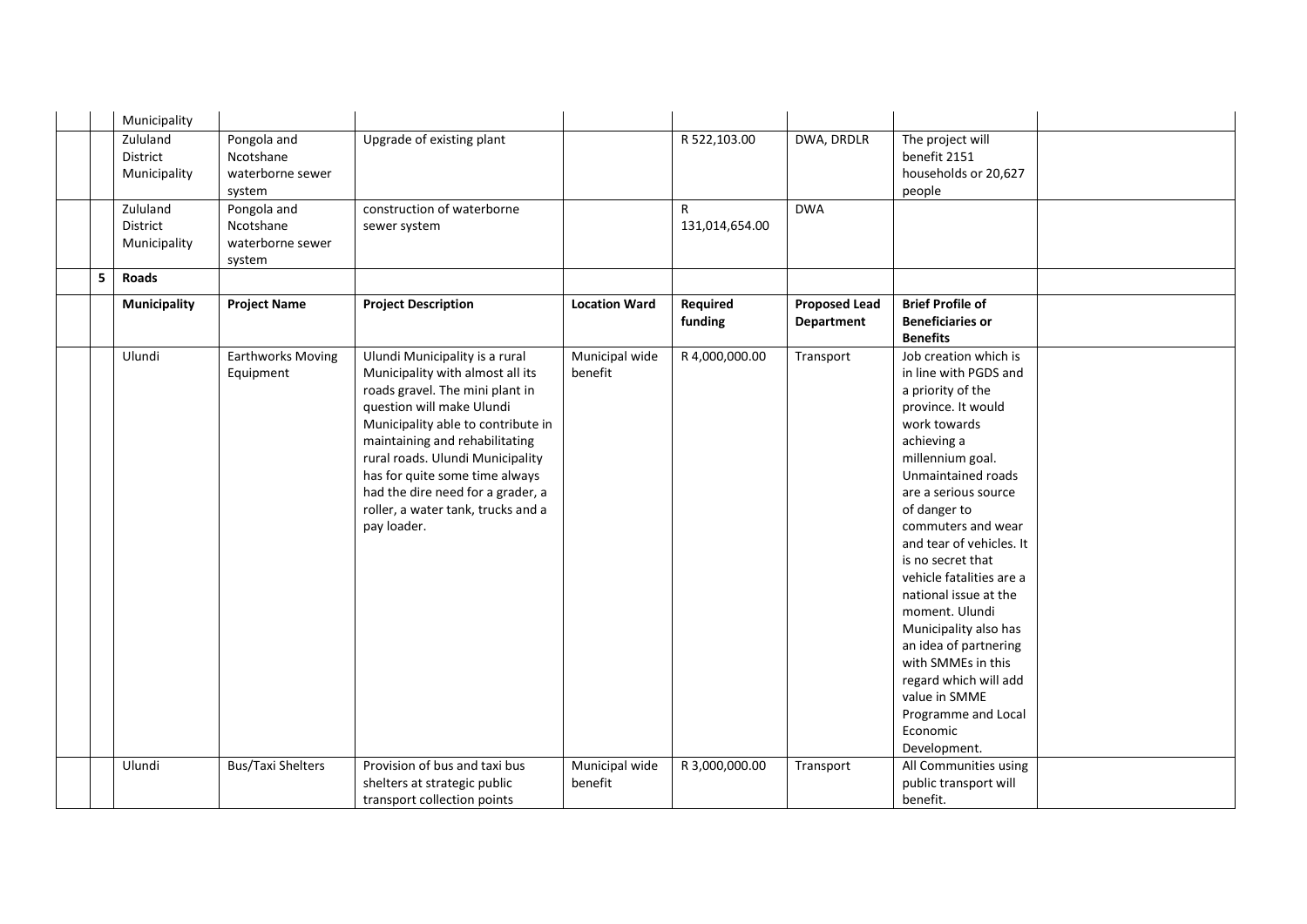|   | Municipality                         |                                                        |                                                                                                                                                                                                                                                                                                                                                                            |                           |                     |                                    |                                                                                                                                                                                                                                                                                                                                                                                                                                                                                                                               |  |
|---|--------------------------------------|--------------------------------------------------------|----------------------------------------------------------------------------------------------------------------------------------------------------------------------------------------------------------------------------------------------------------------------------------------------------------------------------------------------------------------------------|---------------------------|---------------------|------------------------------------|-------------------------------------------------------------------------------------------------------------------------------------------------------------------------------------------------------------------------------------------------------------------------------------------------------------------------------------------------------------------------------------------------------------------------------------------------------------------------------------------------------------------------------|--|
|   | Zululand<br>District<br>Municipality | Pongola and<br>Ncotshane<br>waterborne sewer<br>system | Upgrade of existing plant                                                                                                                                                                                                                                                                                                                                                  |                           | R 522,103.00        | DWA, DRDLR                         | The project will<br>benefit 2151<br>households or 20,627<br>people                                                                                                                                                                                                                                                                                                                                                                                                                                                            |  |
|   | Zululand<br>District<br>Municipality | Pongola and<br>Ncotshane<br>waterborne sewer<br>system | construction of waterborne<br>sewer system                                                                                                                                                                                                                                                                                                                                 |                           | R<br>131,014,654.00 | <b>DWA</b>                         |                                                                                                                                                                                                                                                                                                                                                                                                                                                                                                                               |  |
| 5 | <b>Roads</b>                         |                                                        |                                                                                                                                                                                                                                                                                                                                                                            |                           |                     |                                    |                                                                                                                                                                                                                                                                                                                                                                                                                                                                                                                               |  |
|   | <b>Municipality</b>                  | <b>Project Name</b>                                    | <b>Project Description</b>                                                                                                                                                                                                                                                                                                                                                 | <b>Location Ward</b>      | Required<br>funding | <b>Proposed Lead</b><br>Department | <b>Brief Profile of</b><br><b>Beneficiaries or</b><br><b>Benefits</b>                                                                                                                                                                                                                                                                                                                                                                                                                                                         |  |
|   | Ulundi                               | <b>Earthworks Moving</b><br>Equipment                  | Ulundi Municipality is a rural<br>Municipality with almost all its<br>roads gravel. The mini plant in<br>question will make Ulundi<br>Municipality able to contribute in<br>maintaining and rehabilitating<br>rural roads. Ulundi Municipality<br>has for quite some time always<br>had the dire need for a grader, a<br>roller, a water tank, trucks and a<br>pay loader. | Municipal wide<br>benefit | R 4,000,000.00      | Transport                          | Job creation which is<br>in line with PGDS and<br>a priority of the<br>province. It would<br>work towards<br>achieving a<br>millennium goal.<br>Unmaintained roads<br>are a serious source<br>of danger to<br>commuters and wear<br>and tear of vehicles. It<br>is no secret that<br>vehicle fatalities are a<br>national issue at the<br>moment. Ulundi<br>Municipality also has<br>an idea of partnering<br>with SMMEs in this<br>regard which will add<br>value in SMME<br>Programme and Local<br>Economic<br>Development. |  |
|   | Ulundi                               | <b>Bus/Taxi Shelters</b>                               | Provision of bus and taxi bus<br>shelters at strategic public<br>transport collection points                                                                                                                                                                                                                                                                               | Municipal wide<br>benefit | R 3,000,000.00      | Transport                          | All Communities using<br>public transport will<br>benefit.                                                                                                                                                                                                                                                                                                                                                                                                                                                                    |  |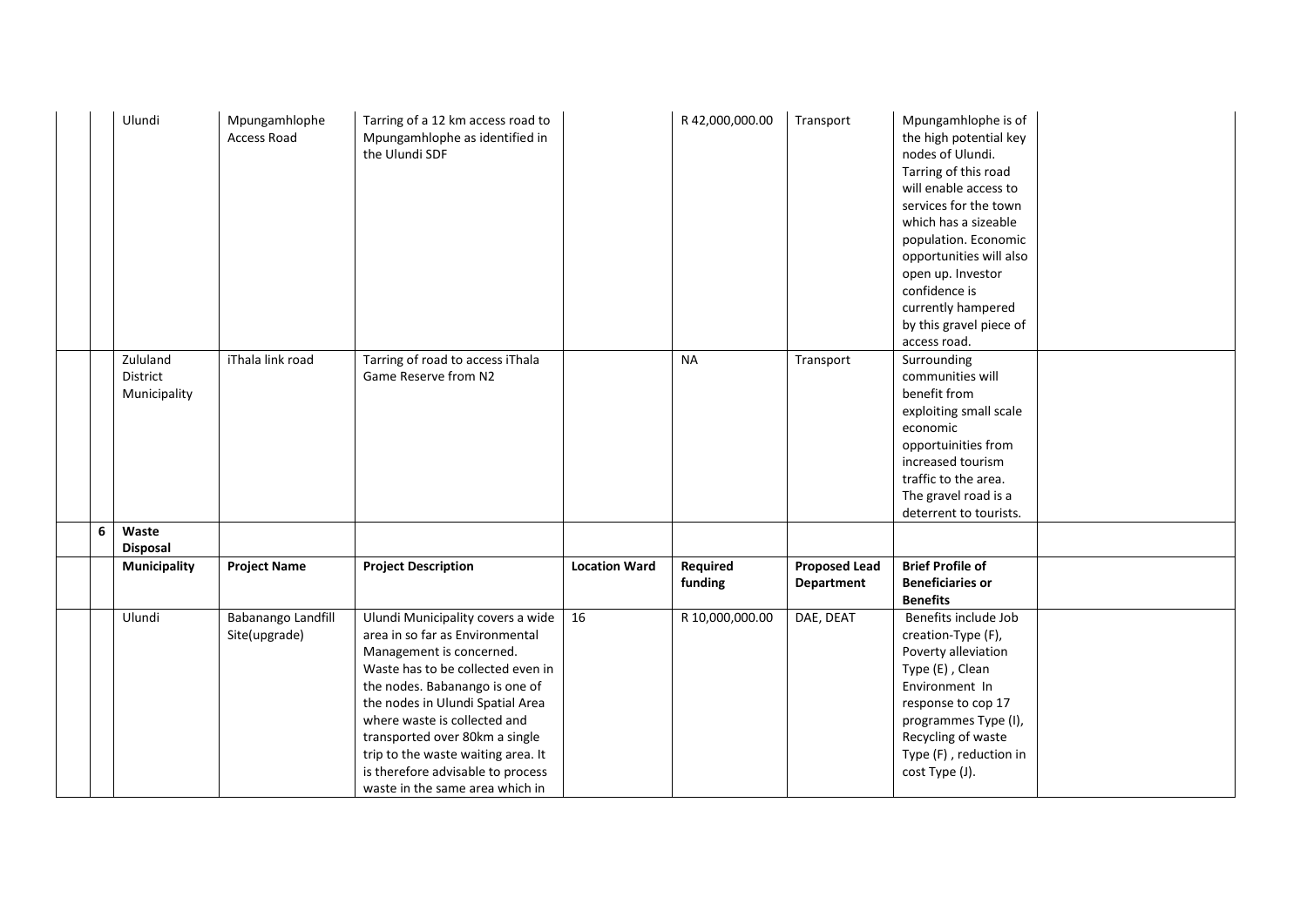|   | Ulundi                               | Mpungamhlophe<br><b>Access Road</b> | Tarring of a 12 km access road to<br>Mpungamhlophe as identified in<br>the Ulundi SDF                                                                                                                                                                                                                                                                                                       |                      | R 42,000,000.00     | Transport                          | Mpungamhlophe is of<br>the high potential key<br>nodes of Ulundi.<br>Tarring of this road<br>will enable access to<br>services for the town<br>which has a sizeable<br>population. Economic<br>opportunities will also<br>open up. Investor<br>confidence is<br>currently hampered<br>by this gravel piece of<br>access road. |  |
|---|--------------------------------------|-------------------------------------|---------------------------------------------------------------------------------------------------------------------------------------------------------------------------------------------------------------------------------------------------------------------------------------------------------------------------------------------------------------------------------------------|----------------------|---------------------|------------------------------------|-------------------------------------------------------------------------------------------------------------------------------------------------------------------------------------------------------------------------------------------------------------------------------------------------------------------------------|--|
|   | Zululand<br>District<br>Municipality | iThala link road                    | Tarring of road to access iThala<br>Game Reserve from N2                                                                                                                                                                                                                                                                                                                                    |                      | <b>NA</b>           | Transport                          | Surrounding<br>communities will<br>benefit from<br>exploiting small scale<br>economic<br>opportuinities from<br>increased tourism<br>traffic to the area.<br>The gravel road is a<br>deterrent to tourists.                                                                                                                   |  |
| 6 | Waste<br><b>Disposal</b>             |                                     |                                                                                                                                                                                                                                                                                                                                                                                             |                      |                     |                                    |                                                                                                                                                                                                                                                                                                                               |  |
|   | <b>Municipality</b>                  | <b>Project Name</b>                 | <b>Project Description</b>                                                                                                                                                                                                                                                                                                                                                                  | <b>Location Ward</b> | Required<br>funding | <b>Proposed Lead</b><br>Department | <b>Brief Profile of</b><br><b>Beneficiaries or</b><br><b>Benefits</b>                                                                                                                                                                                                                                                         |  |
|   | Ulundi                               | Babanango Landfill<br>Site(upgrade) | Ulundi Municipality covers a wide<br>area in so far as Environmental<br>Management is concerned.<br>Waste has to be collected even in<br>the nodes. Babanango is one of<br>the nodes in Ulundi Spatial Area<br>where waste is collected and<br>transported over 80km a single<br>trip to the waste waiting area. It<br>is therefore advisable to process<br>waste in the same area which in | 16                   | R 10,000,000.00     | DAE, DEAT                          | Benefits include Job<br>creation-Type (F),<br>Poverty alleviation<br>Type (E), Clean<br>Environment In<br>response to cop 17<br>programmes Type (I),<br>Recycling of waste<br>Type (F), reduction in<br>cost Type (J).                                                                                                        |  |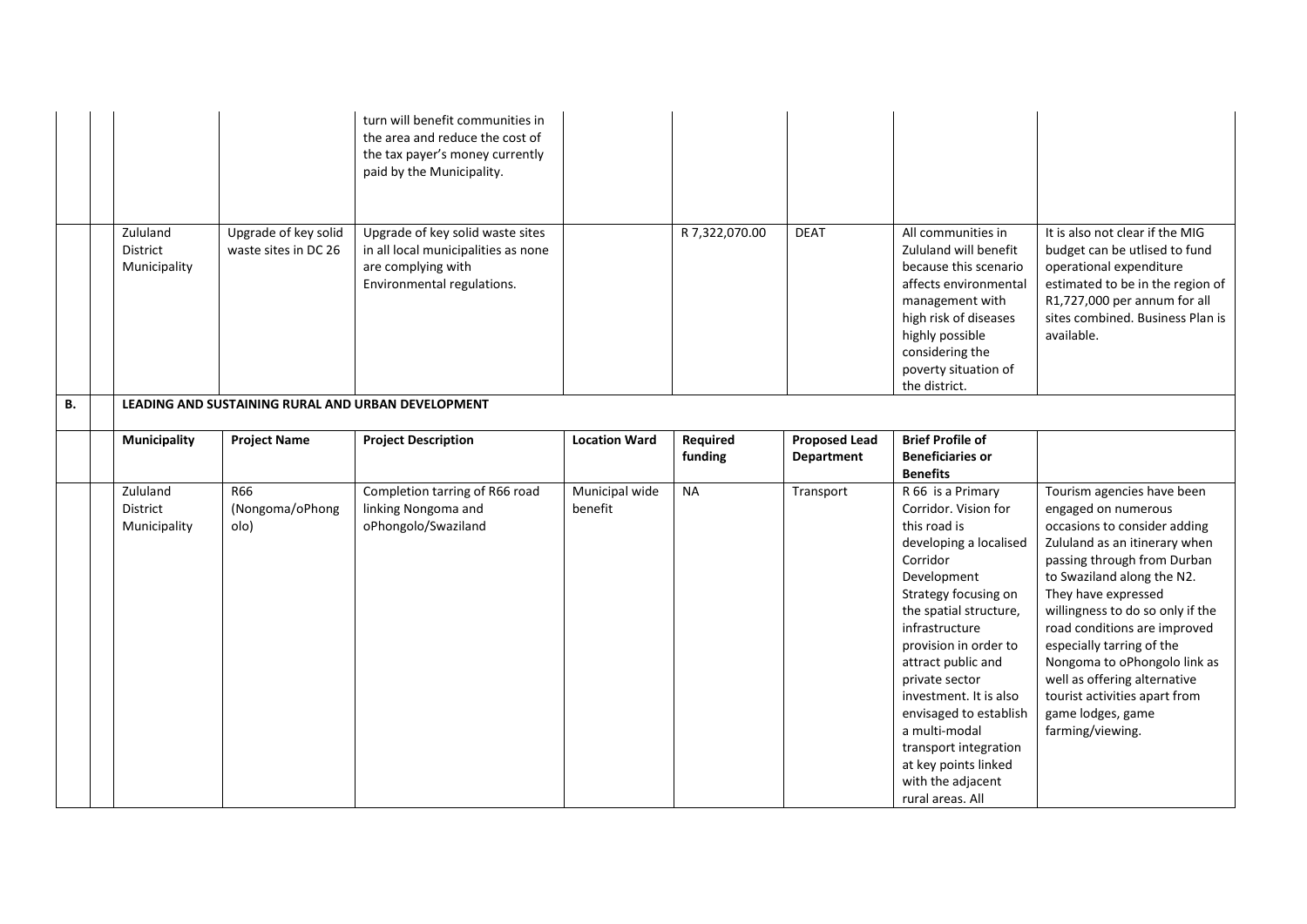|    |                                      |                                              | turn will benefit communities in<br>the area and reduce the cost of<br>the tax payer's money currently<br>paid by the Municipality. |                           |                     |                                    |                                                                                                                                                                                                                                                                                                                                                                                                                    |                                                                                                                                                                                                                                                                                                                                                                                                                                                   |
|----|--------------------------------------|----------------------------------------------|-------------------------------------------------------------------------------------------------------------------------------------|---------------------------|---------------------|------------------------------------|--------------------------------------------------------------------------------------------------------------------------------------------------------------------------------------------------------------------------------------------------------------------------------------------------------------------------------------------------------------------------------------------------------------------|---------------------------------------------------------------------------------------------------------------------------------------------------------------------------------------------------------------------------------------------------------------------------------------------------------------------------------------------------------------------------------------------------------------------------------------------------|
|    | Zululand<br>District<br>Municipality | Upgrade of key solid<br>waste sites in DC 26 | Upgrade of key solid waste sites<br>in all local municipalities as none<br>are complying with<br>Environmental regulations.         |                           | R 7,322,070.00      | <b>DEAT</b>                        | All communities in<br>Zululand will benefit<br>because this scenario<br>affects environmental<br>management with<br>high risk of diseases<br>highly possible<br>considering the<br>poverty situation of<br>the district.                                                                                                                                                                                           | It is also not clear if the MIG<br>budget can be utlised to fund<br>operational expenditure<br>estimated to be in the region of<br>R1,727,000 per annum for all<br>sites combined. Business Plan is<br>available.                                                                                                                                                                                                                                 |
| В. |                                      |                                              | LEADING AND SUSTAINING RURAL AND URBAN DEVELOPMENT                                                                                  |                           |                     |                                    |                                                                                                                                                                                                                                                                                                                                                                                                                    |                                                                                                                                                                                                                                                                                                                                                                                                                                                   |
|    | Municipality                         | <b>Project Name</b>                          | <b>Project Description</b>                                                                                                          | <b>Location Ward</b>      | Required<br>funding | <b>Proposed Lead</b><br>Department | <b>Brief Profile of</b><br><b>Beneficiaries or</b><br><b>Benefits</b>                                                                                                                                                                                                                                                                                                                                              |                                                                                                                                                                                                                                                                                                                                                                                                                                                   |
|    | Zululand<br>District<br>Municipality | R66<br>(Nongoma/oPhong<br>olo)               | Completion tarring of R66 road<br>linking Nongoma and<br>oPhongolo/Swaziland                                                        | Municipal wide<br>benefit | <b>NA</b>           | Transport                          | R 66 is a Primary<br>Corridor. Vision for<br>this road is<br>developing a localised<br>Corridor<br>Development<br>Strategy focusing on<br>the spatial structure,<br>infrastructure<br>provision in order to<br>attract public and<br>private sector<br>investment. It is also<br>envisaged to establish<br>a multi-modal<br>transport integration<br>at key points linked<br>with the adjacent<br>rural areas. All | Tourism agencies have been<br>engaged on numerous<br>occasions to consider adding<br>Zululand as an itinerary when<br>passing through from Durban<br>to Swaziland along the N2.<br>They have expressed<br>willingness to do so only if the<br>road conditions are improved<br>especially tarring of the<br>Nongoma to oPhongolo link as<br>well as offering alternative<br>tourist activities apart from<br>game lodges, game<br>farming/viewing. |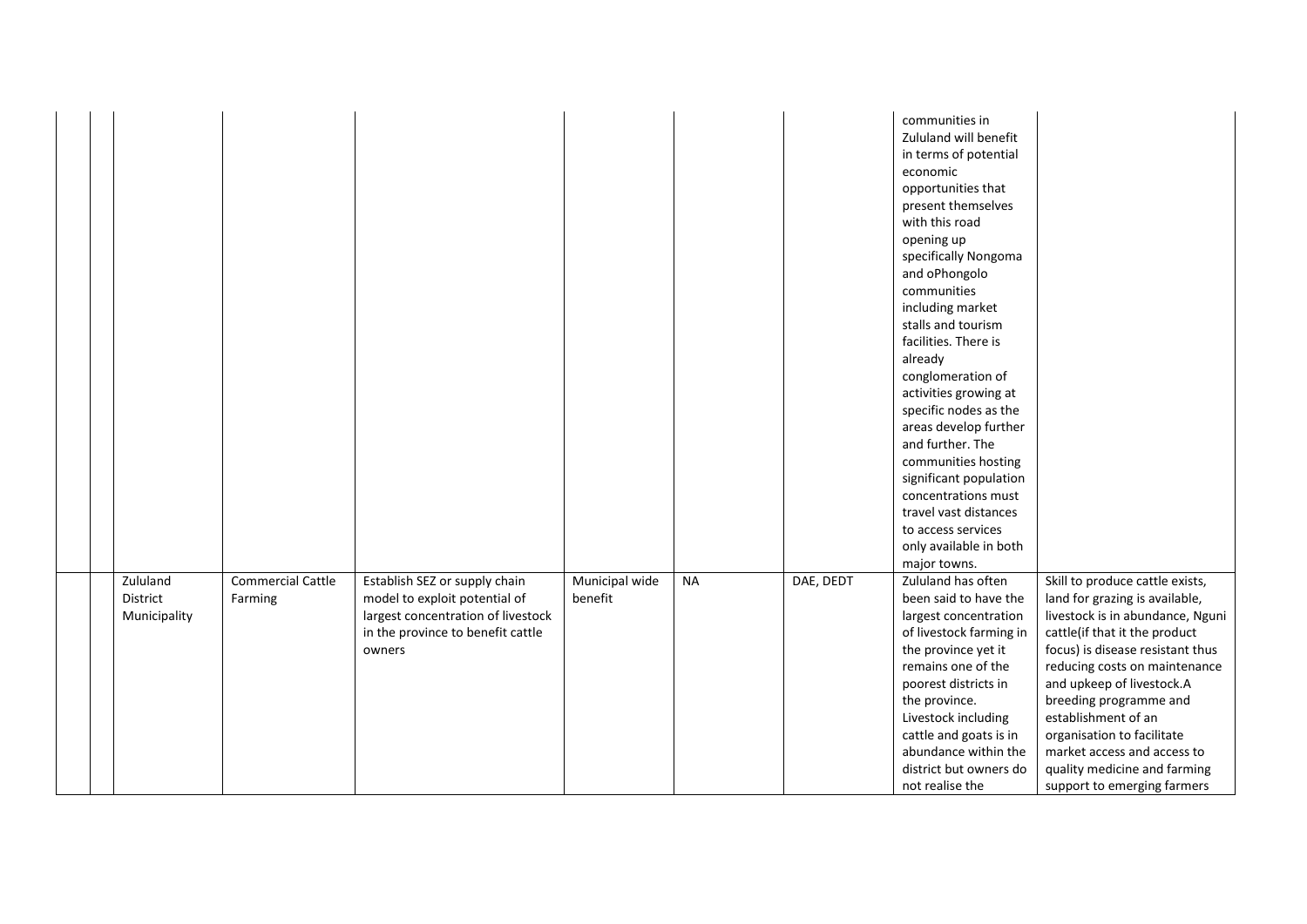|                                      |                                     |                                                                                                                                                     |                           |           |           | communities in<br>Zululand will benefit<br>in terms of potential<br>economic<br>opportunities that<br>present themselves<br>with this road<br>opening up<br>specifically Nongoma<br>and oPhongolo<br>communities<br>including market<br>stalls and tourism<br>facilities. There is<br>already<br>conglomeration of<br>activities growing at<br>specific nodes as the<br>areas develop further<br>and further. The<br>communities hosting<br>significant population<br>concentrations must<br>travel vast distances<br>to access services<br>only available in both<br>major towns. |                                                                                                                                                                                                                                                                                                                                                                                                                       |
|--------------------------------------|-------------------------------------|-----------------------------------------------------------------------------------------------------------------------------------------------------|---------------------------|-----------|-----------|------------------------------------------------------------------------------------------------------------------------------------------------------------------------------------------------------------------------------------------------------------------------------------------------------------------------------------------------------------------------------------------------------------------------------------------------------------------------------------------------------------------------------------------------------------------------------------|-----------------------------------------------------------------------------------------------------------------------------------------------------------------------------------------------------------------------------------------------------------------------------------------------------------------------------------------------------------------------------------------------------------------------|
| Zululand<br>District<br>Municipality | <b>Commercial Cattle</b><br>Farming | Establish SEZ or supply chain<br>model to exploit potential of<br>largest concentration of livestock<br>in the province to benefit cattle<br>owners | Municipal wide<br>benefit | <b>NA</b> | DAE, DEDT | Zululand has often<br>been said to have the<br>largest concentration<br>of livestock farming in<br>the province yet it<br>remains one of the<br>poorest districts in<br>the province.<br>Livestock including<br>cattle and goats is in<br>abundance within the<br>district but owners do<br>not realise the                                                                                                                                                                                                                                                                        | Skill to produce cattle exists,<br>land for grazing is available,<br>livestock is in abundance, Nguni<br>cattle(if that it the product<br>focus) is disease resistant thus<br>reducing costs on maintenance<br>and upkeep of livestock.A<br>breeding programme and<br>establishment of an<br>organisation to facilitate<br>market access and access to<br>quality medicine and farming<br>support to emerging farmers |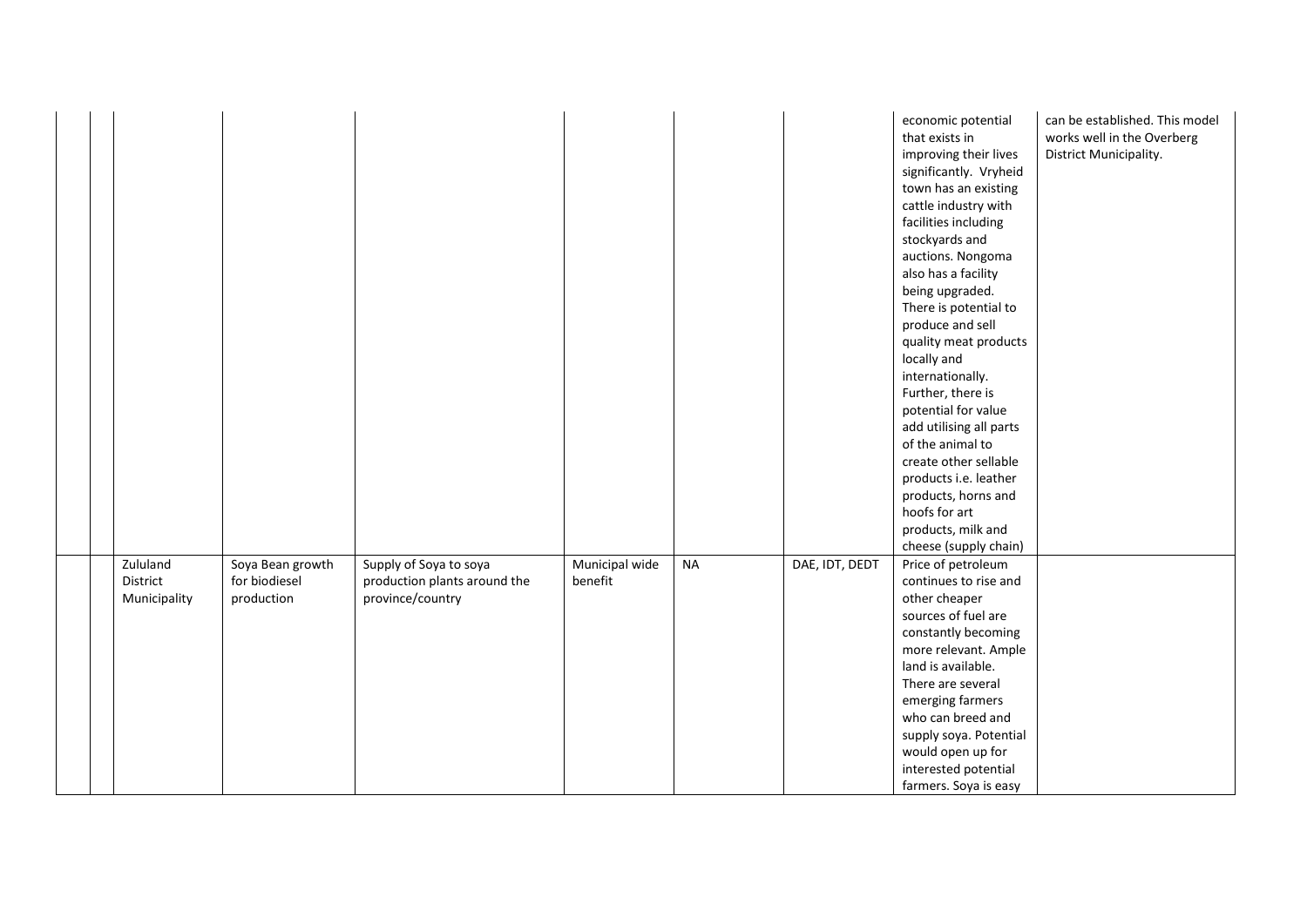|                                      |                                                 |                                                                            |                           |           |                | economic potential<br>that exists in<br>improving their lives<br>significantly. Vryheid<br>town has an existing<br>cattle industry with<br>facilities including<br>stockyards and<br>auctions. Nongoma<br>also has a facility<br>being upgraded.<br>There is potential to<br>produce and sell<br>quality meat products<br>locally and<br>internationally.<br>Further, there is<br>potential for value<br>add utilising all parts<br>of the animal to<br>create other sellable<br>products i.e. leather<br>products, horns and<br>hoofs for art<br>products, milk and<br>cheese (supply chain) | can be established. This model<br>works well in the Overberg<br>District Municipality. |
|--------------------------------------|-------------------------------------------------|----------------------------------------------------------------------------|---------------------------|-----------|----------------|-----------------------------------------------------------------------------------------------------------------------------------------------------------------------------------------------------------------------------------------------------------------------------------------------------------------------------------------------------------------------------------------------------------------------------------------------------------------------------------------------------------------------------------------------------------------------------------------------|----------------------------------------------------------------------------------------|
| Zululand<br>District<br>Municipality | Soya Bean growth<br>for biodiesel<br>production | Supply of Soya to soya<br>production plants around the<br>province/country | Municipal wide<br>benefit | <b>NA</b> | DAE, IDT, DEDT | Price of petroleum<br>continues to rise and<br>other cheaper<br>sources of fuel are<br>constantly becoming<br>more relevant. Ample<br>land is available.<br>There are several<br>emerging farmers<br>who can breed and<br>supply soya. Potential<br>would open up for<br>interested potential<br>farmers. Soya is easy                                                                                                                                                                                                                                                                        |                                                                                        |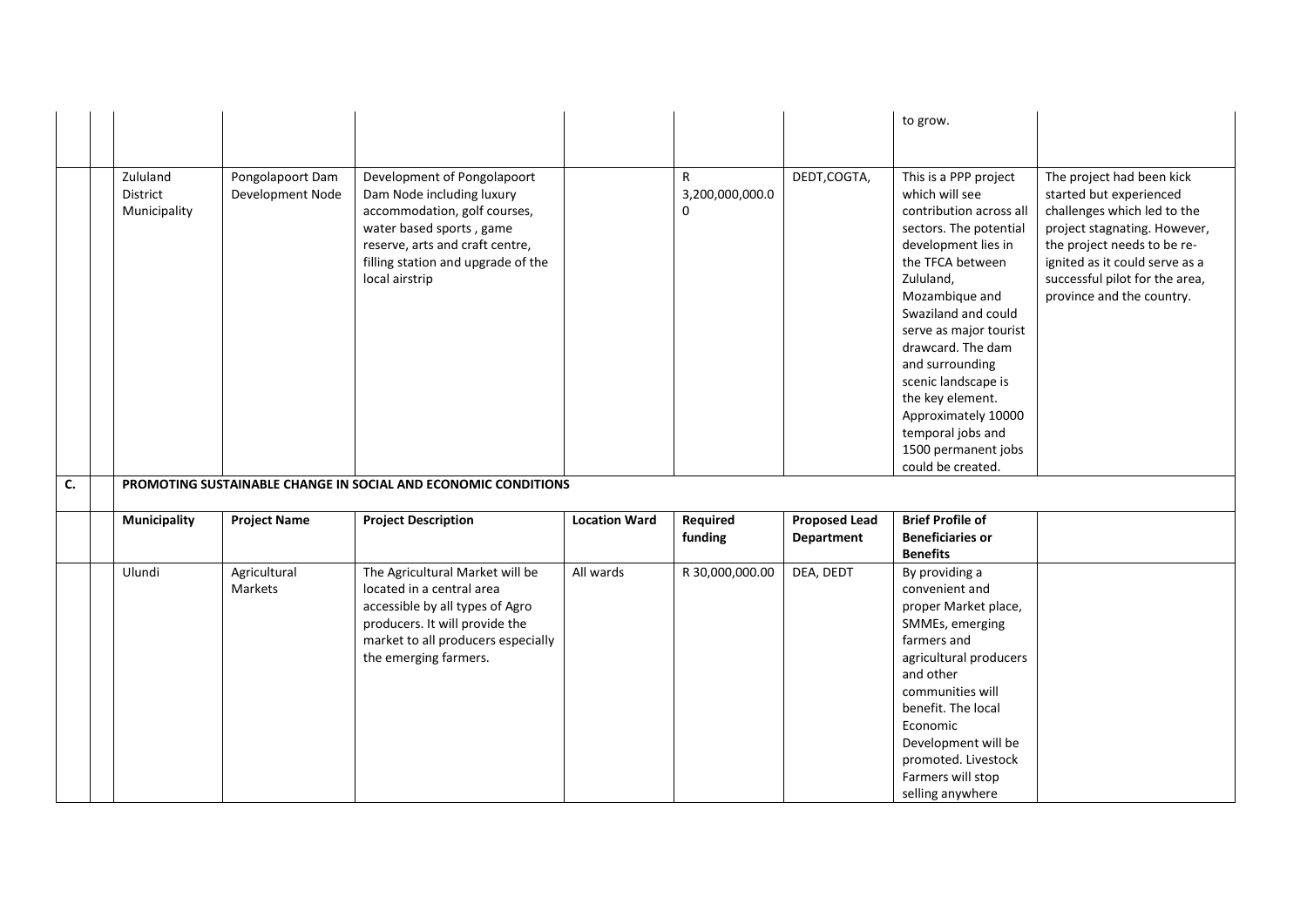|    |                                      |                                      |                                                                                                                                                                                                                 |                      |                                                 |                                    | to grow.                                                                                                                                                                                                                                                                                                                                                                                           |                                                                                                                                                                                                                                                     |
|----|--------------------------------------|--------------------------------------|-----------------------------------------------------------------------------------------------------------------------------------------------------------------------------------------------------------------|----------------------|-------------------------------------------------|------------------------------------|----------------------------------------------------------------------------------------------------------------------------------------------------------------------------------------------------------------------------------------------------------------------------------------------------------------------------------------------------------------------------------------------------|-----------------------------------------------------------------------------------------------------------------------------------------------------------------------------------------------------------------------------------------------------|
|    | Zululand<br>District<br>Municipality | Pongolapoort Dam<br>Development Node | Development of Pongolapoort<br>Dam Node including luxury<br>accommodation, golf courses,<br>water based sports, game<br>reserve, arts and craft centre,<br>filling station and upgrade of the<br>local airstrip |                      | $\mathsf{R}$<br>3,200,000,000.0<br>$\mathbf{0}$ | DEDT,COGTA,                        | This is a PPP project<br>which will see<br>contribution across all<br>sectors. The potential<br>development lies in<br>the TFCA between<br>Zululand,<br>Mozambique and<br>Swaziland and could<br>serve as major tourist<br>drawcard. The dam<br>and surrounding<br>scenic landscape is<br>the key element.<br>Approximately 10000<br>temporal jobs and<br>1500 permanent jobs<br>could be created. | The project had been kick<br>started but experienced<br>challenges which led to the<br>project stagnating. However,<br>the project needs to be re-<br>ignited as it could serve as a<br>successful pilot for the area,<br>province and the country. |
| C. |                                      |                                      | PROMOTING SUSTAINABLE CHANGE IN SOCIAL AND ECONOMIC CONDITIONS                                                                                                                                                  |                      |                                                 |                                    |                                                                                                                                                                                                                                                                                                                                                                                                    |                                                                                                                                                                                                                                                     |
|    | <b>Municipality</b>                  | <b>Project Name</b>                  | <b>Project Description</b>                                                                                                                                                                                      | <b>Location Ward</b> | Required<br>funding                             | <b>Proposed Lead</b><br>Department | <b>Brief Profile of</b><br><b>Beneficiaries or</b><br><b>Benefits</b>                                                                                                                                                                                                                                                                                                                              |                                                                                                                                                                                                                                                     |
|    | Ulundi                               | Agricultural<br>Markets              | The Agricultural Market will be<br>located in a central area<br>accessible by all types of Agro<br>producers. It will provide the<br>market to all producers especially<br>the emerging farmers.                | All wards            | R 30,000,000.00                                 | DEA, DEDT                          | By providing a<br>convenient and<br>proper Market place,<br>SMMEs, emerging<br>farmers and<br>agricultural producers<br>and other<br>communities will<br>benefit. The local<br>Economic<br>Development will be<br>promoted. Livestock<br>Farmers will stop<br>selling anywhere                                                                                                                     |                                                                                                                                                                                                                                                     |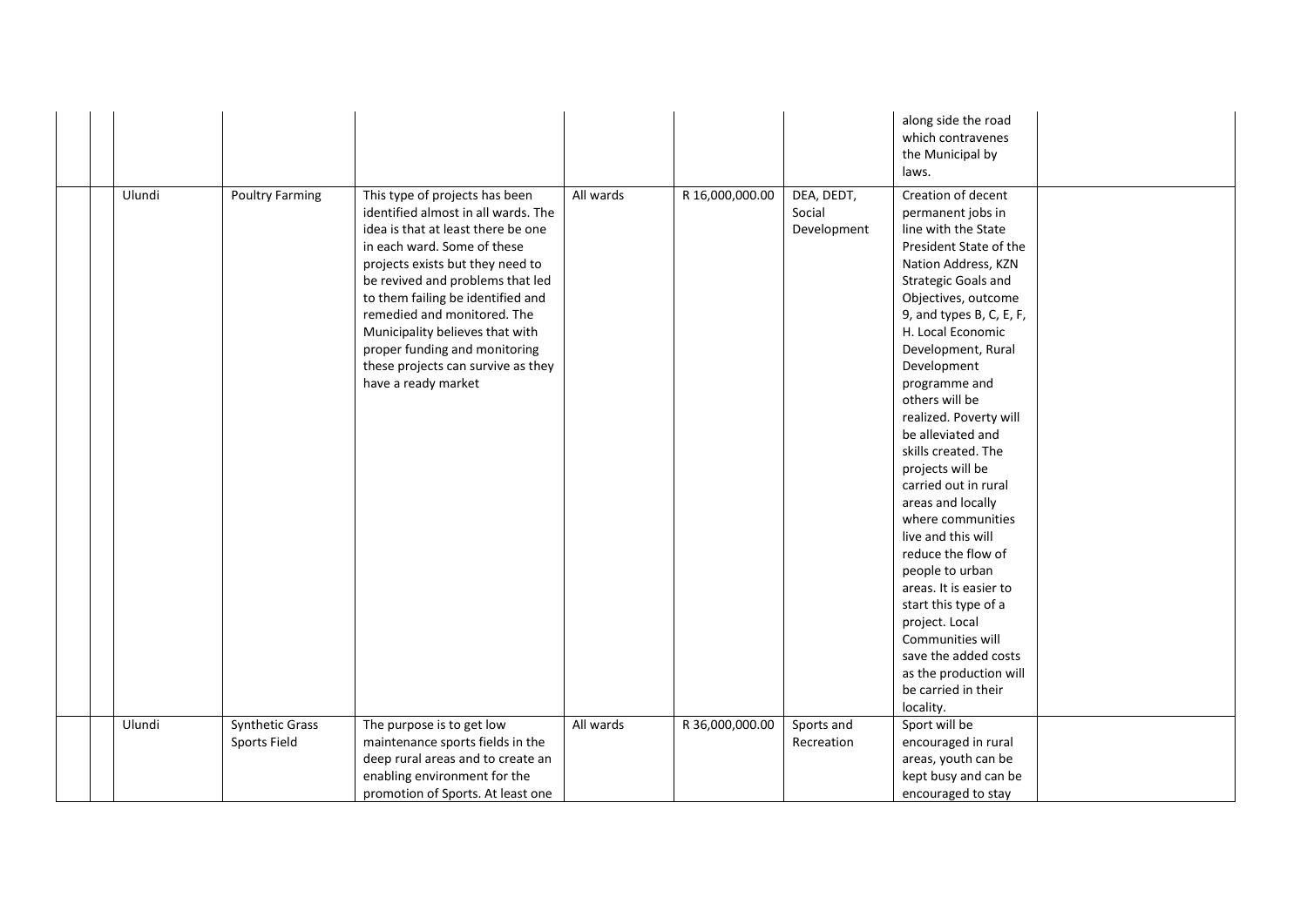|  |        |                        |                                                                                                                                                                                                                                                                                                                                                                                                                         |           |                 |                                     | along side the road<br>which contravenes<br>the Municipal by<br>laws.                                                                                                                                                                                                                                                                                                                                                                                                                                                                                                                                                                                                                     |  |
|--|--------|------------------------|-------------------------------------------------------------------------------------------------------------------------------------------------------------------------------------------------------------------------------------------------------------------------------------------------------------------------------------------------------------------------------------------------------------------------|-----------|-----------------|-------------------------------------|-------------------------------------------------------------------------------------------------------------------------------------------------------------------------------------------------------------------------------------------------------------------------------------------------------------------------------------------------------------------------------------------------------------------------------------------------------------------------------------------------------------------------------------------------------------------------------------------------------------------------------------------------------------------------------------------|--|
|  | Ulundi | <b>Poultry Farming</b> | This type of projects has been<br>identified almost in all wards. The<br>idea is that at least there be one<br>in each ward. Some of these<br>projects exists but they need to<br>be revived and problems that led<br>to them failing be identified and<br>remedied and monitored. The<br>Municipality believes that with<br>proper funding and monitoring<br>these projects can survive as they<br>have a ready market | All wards | R 16,000,000.00 | DEA, DEDT,<br>Social<br>Development | Creation of decent<br>permanent jobs in<br>line with the State<br>President State of the<br>Nation Address, KZN<br><b>Strategic Goals and</b><br>Objectives, outcome<br>9, and types B, C, E, F,<br>H. Local Economic<br>Development, Rural<br>Development<br>programme and<br>others will be<br>realized. Poverty will<br>be alleviated and<br>skills created. The<br>projects will be<br>carried out in rural<br>areas and locally<br>where communities<br>live and this will<br>reduce the flow of<br>people to urban<br>areas. It is easier to<br>start this type of a<br>project. Local<br>Communities will<br>save the added costs<br>as the production will<br>be carried in their |  |
|  | Ulundi | <b>Synthetic Grass</b> | The purpose is to get low                                                                                                                                                                                                                                                                                                                                                                                               | All wards | R 36,000,000.00 | Sports and                          | locality.<br>Sport will be                                                                                                                                                                                                                                                                                                                                                                                                                                                                                                                                                                                                                                                                |  |
|  |        | Sports Field           | maintenance sports fields in the                                                                                                                                                                                                                                                                                                                                                                                        |           |                 | Recreation                          | encouraged in rural                                                                                                                                                                                                                                                                                                                                                                                                                                                                                                                                                                                                                                                                       |  |
|  |        |                        | deep rural areas and to create an<br>enabling environment for the                                                                                                                                                                                                                                                                                                                                                       |           |                 |                                     | areas, youth can be<br>kept busy and can be                                                                                                                                                                                                                                                                                                                                                                                                                                                                                                                                                                                                                                               |  |
|  |        |                        | promotion of Sports. At least one                                                                                                                                                                                                                                                                                                                                                                                       |           |                 |                                     | encouraged to stay                                                                                                                                                                                                                                                                                                                                                                                                                                                                                                                                                                                                                                                                        |  |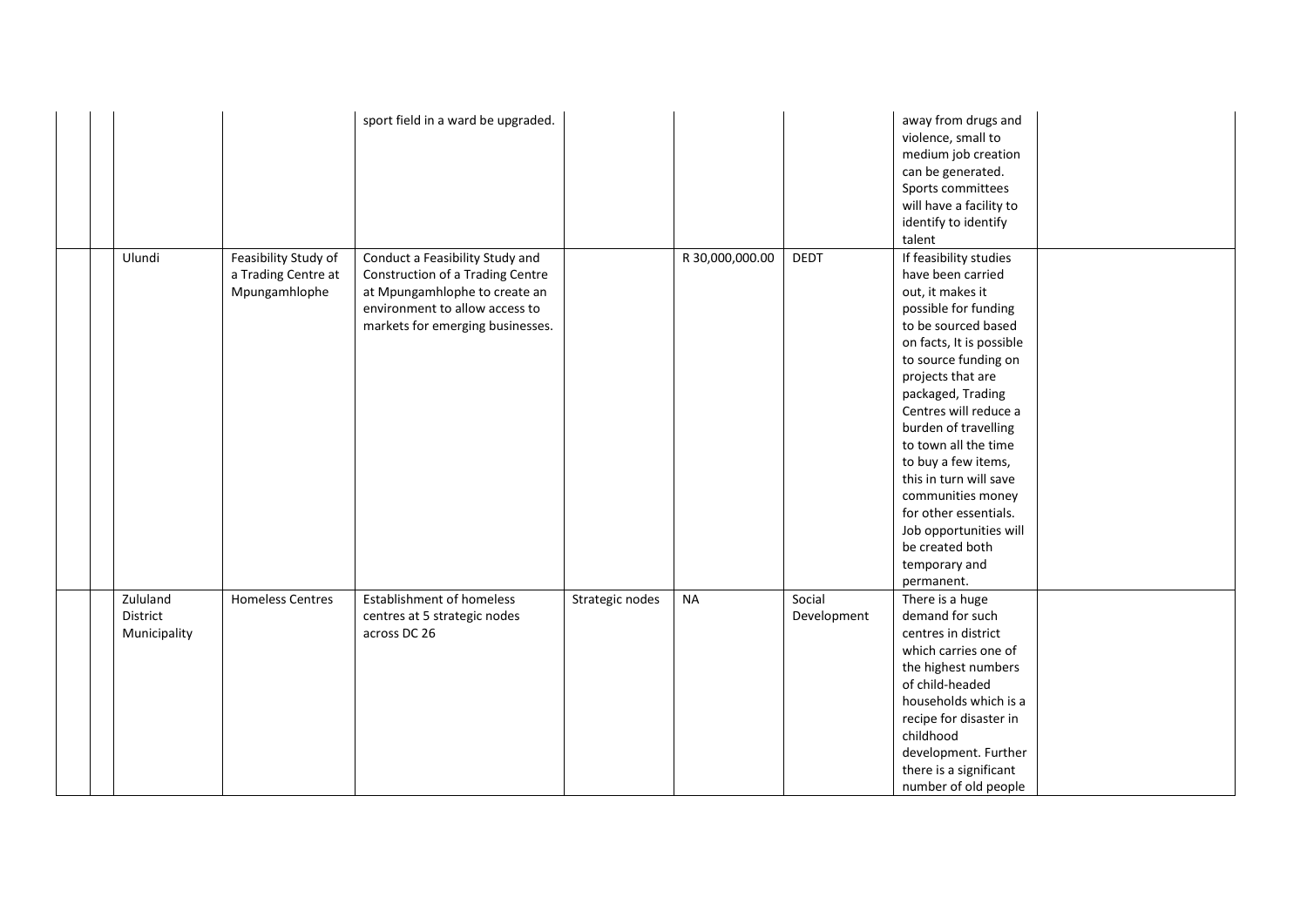|                                      |                                                              | sport field in a ward be upgraded.                                                                                                                                         |                 |                 |                       | away from drugs and<br>violence, small to<br>medium job creation<br>can be generated.<br>Sports committees<br>will have a facility to<br>identify to identify<br>talent                                                                                                                                                                                                                                                                                          |  |
|--------------------------------------|--------------------------------------------------------------|----------------------------------------------------------------------------------------------------------------------------------------------------------------------------|-----------------|-----------------|-----------------------|------------------------------------------------------------------------------------------------------------------------------------------------------------------------------------------------------------------------------------------------------------------------------------------------------------------------------------------------------------------------------------------------------------------------------------------------------------------|--|
| Ulundi                               | Feasibility Study of<br>a Trading Centre at<br>Mpungamhlophe | Conduct a Feasibility Study and<br>Construction of a Trading Centre<br>at Mpungamhlophe to create an<br>environment to allow access to<br>markets for emerging businesses. |                 | R 30,000,000.00 | <b>DEDT</b>           | If feasibility studies<br>have been carried<br>out, it makes it<br>possible for funding<br>to be sourced based<br>on facts, It is possible<br>to source funding on<br>projects that are<br>packaged, Trading<br>Centres will reduce a<br>burden of travelling<br>to town all the time<br>to buy a few items,<br>this in turn will save<br>communities money<br>for other essentials.<br>Job opportunities will<br>be created both<br>temporary and<br>permanent. |  |
| Zululand<br>District<br>Municipality | <b>Homeless Centres</b>                                      | <b>Establishment of homeless</b><br>centres at 5 strategic nodes<br>across DC 26                                                                                           | Strategic nodes | <b>NA</b>       | Social<br>Development | There is a huge<br>demand for such<br>centres in district<br>which carries one of<br>the highest numbers<br>of child-headed<br>households which is a<br>recipe for disaster in<br>childhood<br>development. Further<br>there is a significant<br>number of old people                                                                                                                                                                                            |  |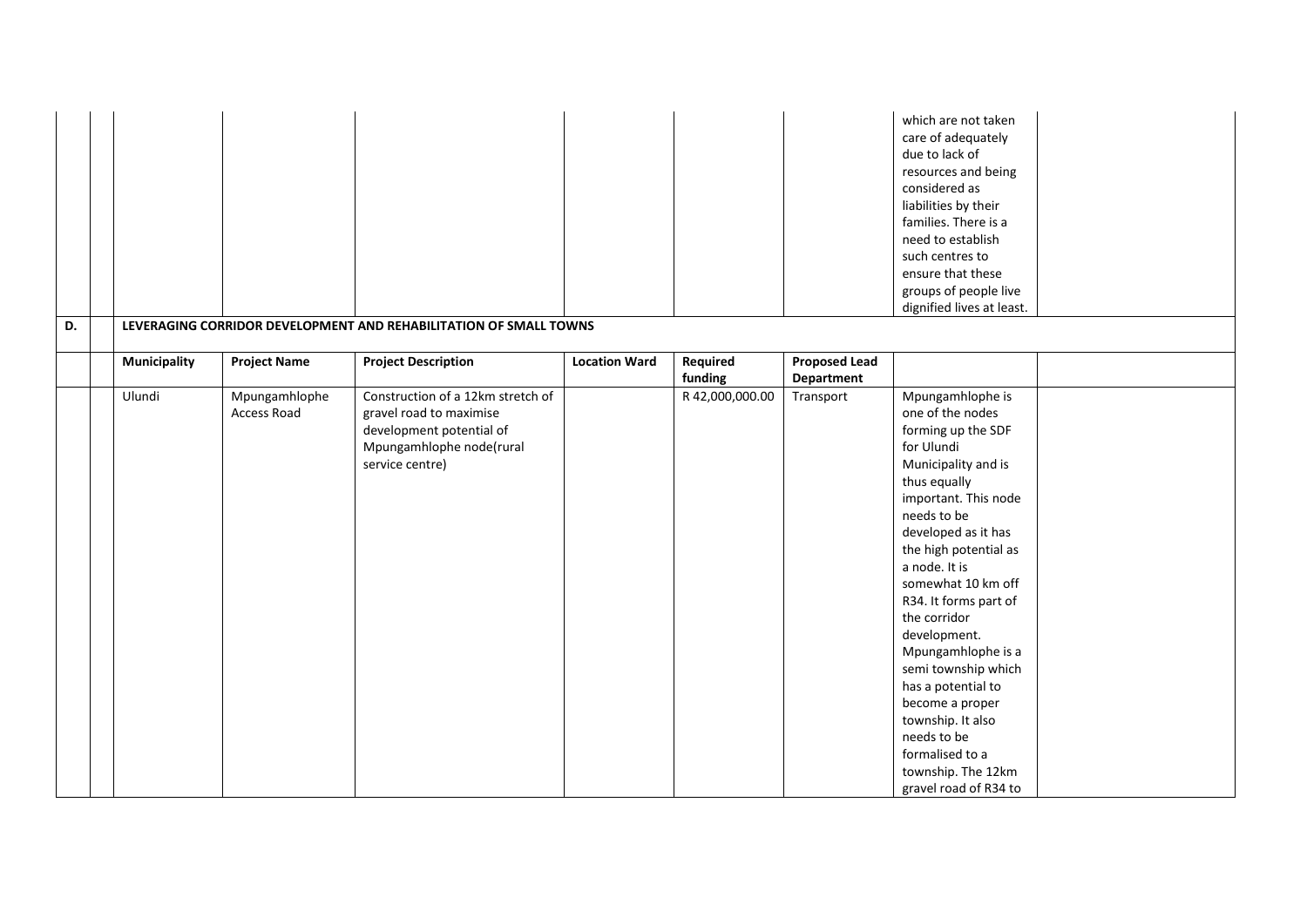|    |              |                              |                                                                                                                                         |                      |                     |                                           | which are not taken<br>care of adequately<br>due to lack of<br>resources and being<br>considered as<br>liabilities by their<br>families. There is a<br>need to establish<br>such centres to<br>ensure that these<br>groups of people live<br>dignified lives at least.                                                                                                                                                                                                                             |  |
|----|--------------|------------------------------|-----------------------------------------------------------------------------------------------------------------------------------------|----------------------|---------------------|-------------------------------------------|----------------------------------------------------------------------------------------------------------------------------------------------------------------------------------------------------------------------------------------------------------------------------------------------------------------------------------------------------------------------------------------------------------------------------------------------------------------------------------------------------|--|
| D. |              |                              | LEVERAGING CORRIDOR DEVELOPMENT AND REHABILITATION OF SMALL TOWNS                                                                       |                      |                     |                                           |                                                                                                                                                                                                                                                                                                                                                                                                                                                                                                    |  |
|    | Municipality | <b>Project Name</b>          | <b>Project Description</b>                                                                                                              | <b>Location Ward</b> | Required<br>funding | <b>Proposed Lead</b><br><b>Department</b> |                                                                                                                                                                                                                                                                                                                                                                                                                                                                                                    |  |
|    | Ulundi       | Mpungamhlophe<br>Access Road | Construction of a 12km stretch of<br>gravel road to maximise<br>development potential of<br>Mpungamhlophe node(rural<br>service centre) |                      | R 42,000,000.00     | Transport                                 | Mpungamhlophe is<br>one of the nodes<br>forming up the SDF<br>for Ulundi<br>Municipality and is<br>thus equally<br>important. This node<br>needs to be<br>developed as it has<br>the high potential as<br>a node. It is<br>somewhat 10 km off<br>R34. It forms part of<br>the corridor<br>development.<br>Mpungamhlophe is a<br>semi township which<br>has a potential to<br>become a proper<br>township. It also<br>needs to be<br>formalised to a<br>township. The 12km<br>gravel road of R34 to |  |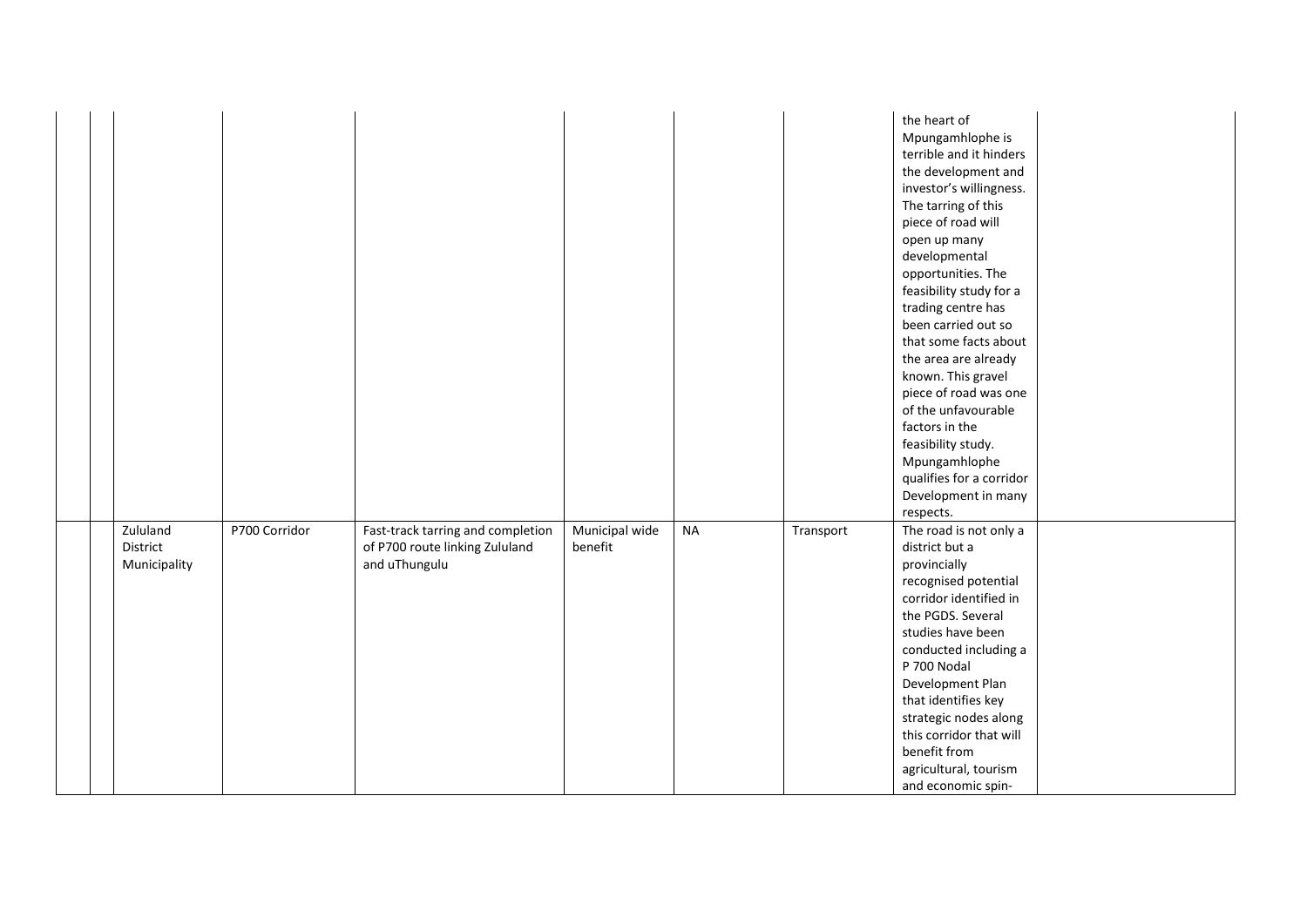|                                      |               |                                                                                      |                           |           |           | the heart of<br>Mpungamhlophe is<br>terrible and it hinders<br>the development and<br>investor's willingness.<br>The tarring of this<br>piece of road will<br>open up many<br>developmental<br>opportunities. The<br>feasibility study for a<br>trading centre has<br>been carried out so<br>that some facts about<br>the area are already<br>known. This gravel<br>piece of road was one<br>of the unfavourable<br>factors in the<br>feasibility study.<br>Mpungamhlophe<br>qualifies for a corridor<br>Development in many<br>respects. |  |
|--------------------------------------|---------------|--------------------------------------------------------------------------------------|---------------------------|-----------|-----------|-------------------------------------------------------------------------------------------------------------------------------------------------------------------------------------------------------------------------------------------------------------------------------------------------------------------------------------------------------------------------------------------------------------------------------------------------------------------------------------------------------------------------------------------|--|
| Zululand<br>District<br>Municipality | P700 Corridor | Fast-track tarring and completion<br>of P700 route linking Zululand<br>and uThungulu | Municipal wide<br>benefit | <b>NA</b> | Transport | The road is not only a<br>district but a<br>provincially<br>recognised potential<br>corridor identified in<br>the PGDS. Several<br>studies have been<br>conducted including a<br>P 700 Nodal<br>Development Plan<br>that identifies key<br>strategic nodes along<br>this corridor that will<br>benefit from<br>agricultural, tourism<br>and economic spin-                                                                                                                                                                                |  |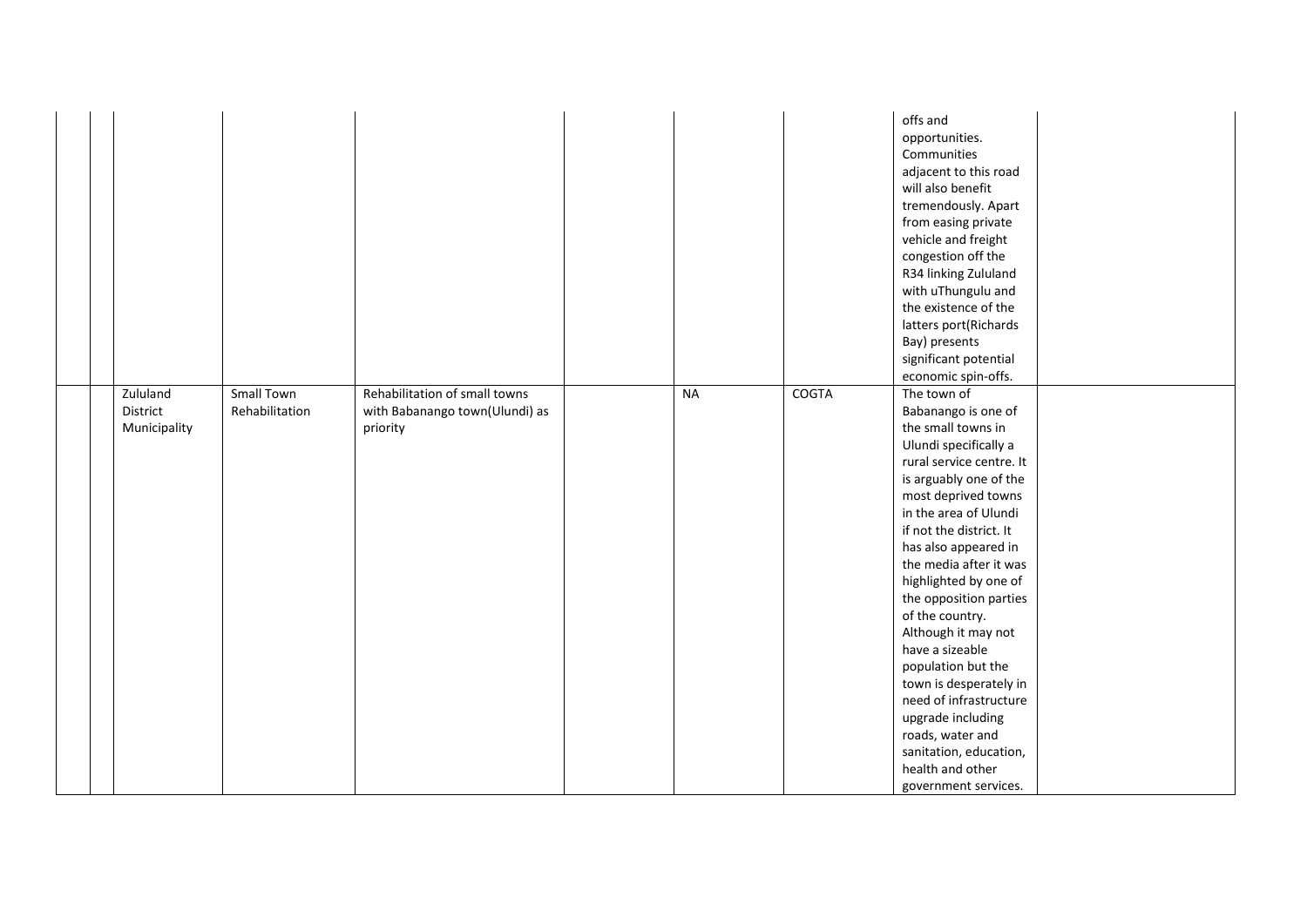|                                      |                              |                                                                             |           |              | offs and<br>opportunities.<br>Communities<br>adjacent to this road<br>will also benefit<br>tremendously. Apart<br>from easing private<br>vehicle and freight<br>congestion off the<br>R34 linking Zululand<br>with uThungulu and<br>the existence of the<br>latters port(Richards<br>Bay) presents<br>significant potential<br>economic spin-offs.                                                                                                                                                                                                                            |
|--------------------------------------|------------------------------|-----------------------------------------------------------------------------|-----------|--------------|-------------------------------------------------------------------------------------------------------------------------------------------------------------------------------------------------------------------------------------------------------------------------------------------------------------------------------------------------------------------------------------------------------------------------------------------------------------------------------------------------------------------------------------------------------------------------------|
| Zululand<br>District<br>Municipality | Small Town<br>Rehabilitation | Rehabilitation of small towns<br>with Babanango town(Ulundi) as<br>priority | <b>NA</b> | <b>COGTA</b> | The town of<br>Babanango is one of<br>the small towns in<br>Ulundi specifically a<br>rural service centre. It<br>is arguably one of the<br>most deprived towns<br>in the area of Ulundi<br>if not the district. It<br>has also appeared in<br>the media after it was<br>highlighted by one of<br>the opposition parties<br>of the country.<br>Although it may not<br>have a sizeable<br>population but the<br>town is desperately in<br>need of infrastructure<br>upgrade including<br>roads, water and<br>sanitation, education,<br>health and other<br>government services. |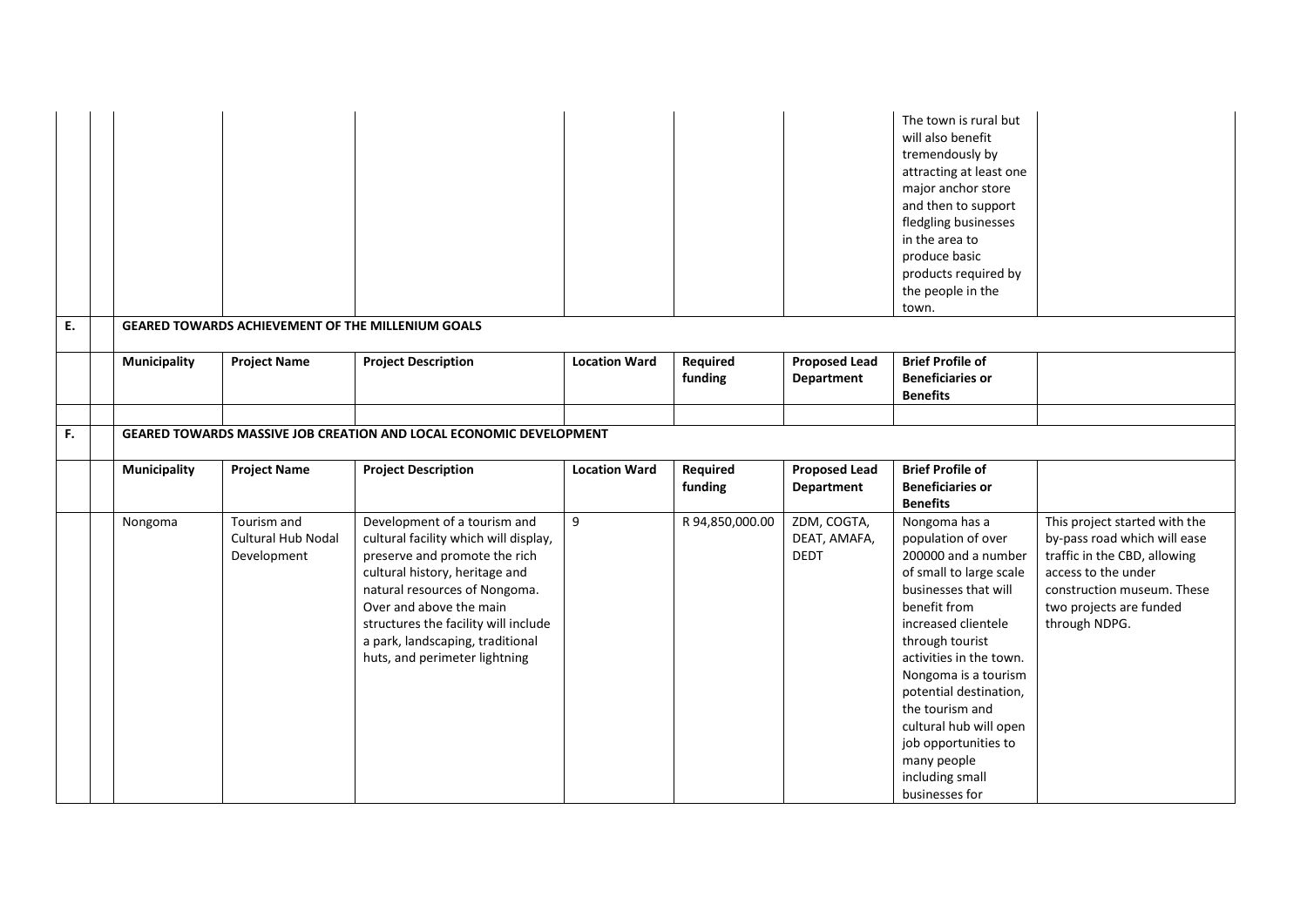|    |                     |                                                          |                                                                                                                                                                                                                                                                                                                   |                      |                     |                                            | The town is rural but<br>will also benefit<br>tremendously by<br>attracting at least one<br>major anchor store<br>and then to support<br>fledgling businesses<br>in the area to<br>produce basic<br>products required by<br>the people in the<br>town.                                                                                                      |                                                                                                                                                                                                |
|----|---------------------|----------------------------------------------------------|-------------------------------------------------------------------------------------------------------------------------------------------------------------------------------------------------------------------------------------------------------------------------------------------------------------------|----------------------|---------------------|--------------------------------------------|-------------------------------------------------------------------------------------------------------------------------------------------------------------------------------------------------------------------------------------------------------------------------------------------------------------------------------------------------------------|------------------------------------------------------------------------------------------------------------------------------------------------------------------------------------------------|
| E. |                     | <b>GEARED TOWARDS ACHIEVEMENT OF THE MILLENIUM GOALS</b> |                                                                                                                                                                                                                                                                                                                   |                      |                     |                                            |                                                                                                                                                                                                                                                                                                                                                             |                                                                                                                                                                                                |
|    | <b>Municipality</b> | <b>Project Name</b>                                      | <b>Project Description</b>                                                                                                                                                                                                                                                                                        | <b>Location Ward</b> | Required<br>funding | <b>Proposed Lead</b><br>Department         | <b>Brief Profile of</b><br><b>Beneficiaries or</b><br><b>Benefits</b>                                                                                                                                                                                                                                                                                       |                                                                                                                                                                                                |
|    |                     |                                                          |                                                                                                                                                                                                                                                                                                                   |                      |                     |                                            |                                                                                                                                                                                                                                                                                                                                                             |                                                                                                                                                                                                |
| F. |                     |                                                          | GEARED TOWARDS MASSIVE JOB CREATION AND LOCAL ECONOMIC DEVELOPMENT                                                                                                                                                                                                                                                |                      |                     |                                            |                                                                                                                                                                                                                                                                                                                                                             |                                                                                                                                                                                                |
|    | <b>Municipality</b> | <b>Project Name</b>                                      | <b>Project Description</b>                                                                                                                                                                                                                                                                                        | <b>Location Ward</b> | Required<br>funding | <b>Proposed Lead</b><br>Department         | <b>Brief Profile of</b><br><b>Beneficiaries or</b><br><b>Benefits</b>                                                                                                                                                                                                                                                                                       |                                                                                                                                                                                                |
|    | Nongoma             | Tourism and<br><b>Cultural Hub Nodal</b><br>Development  | Development of a tourism and<br>cultural facility which will display,<br>preserve and promote the rich<br>cultural history, heritage and<br>natural resources of Nongoma.<br>Over and above the main<br>structures the facility will include<br>a park, landscaping, traditional<br>huts, and perimeter lightning | 9                    | R 94,850,000.00     | ZDM, COGTA,<br>DEAT, AMAFA,<br><b>DEDT</b> | Nongoma has a<br>population of over<br>200000 and a number<br>of small to large scale<br>businesses that will<br>benefit from<br>increased clientele<br>through tourist<br>activities in the town.<br>Nongoma is a tourism<br>potential destination,<br>the tourism and<br>cultural hub will open<br>job opportunities to<br>many people<br>including small | This project started with the<br>by-pass road which will ease<br>traffic in the CBD, allowing<br>access to the under<br>construction museum. These<br>two projects are funded<br>through NDPG. |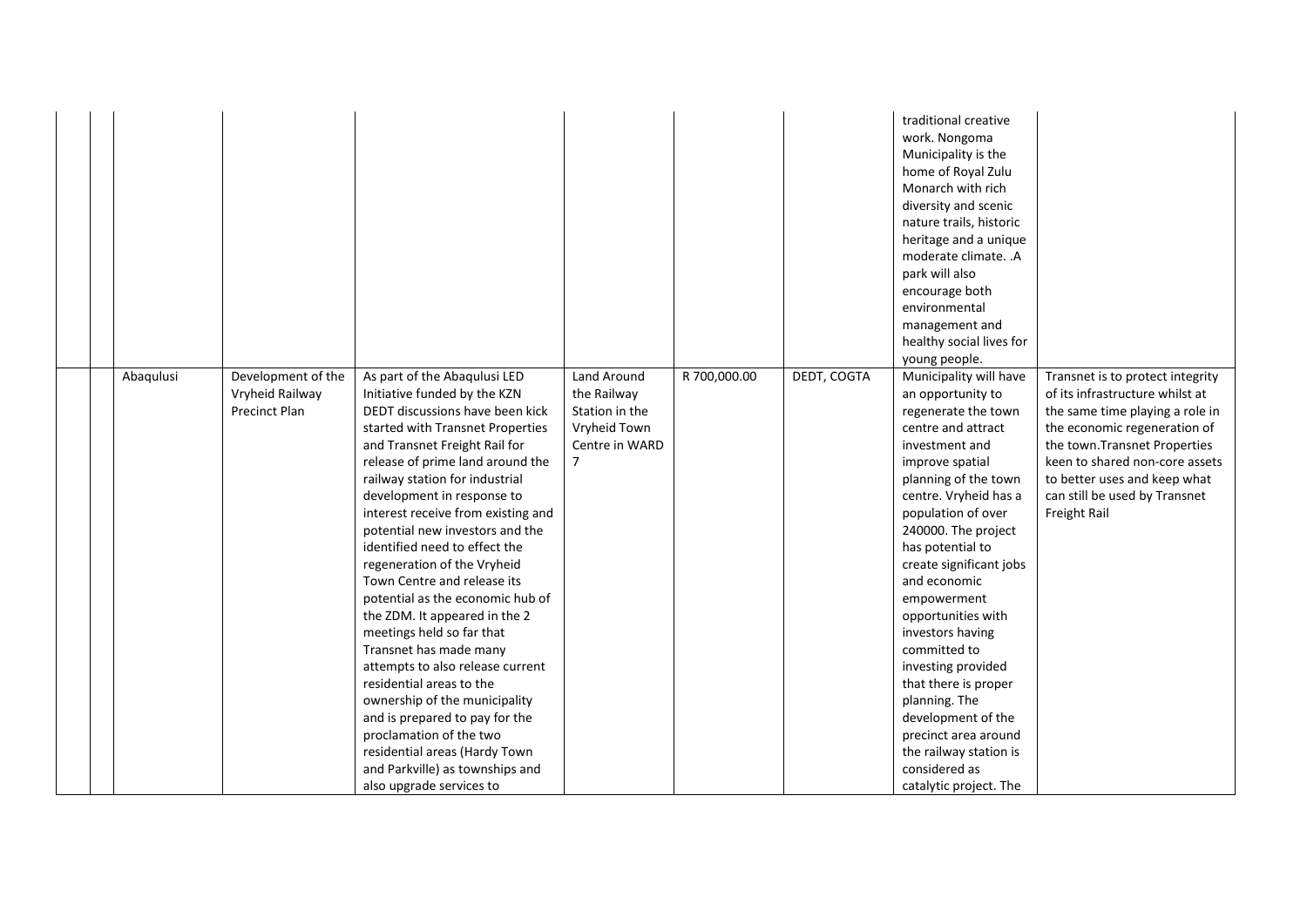|           |                                                               |                                                                                                                                                                                                                                                                                                                                                                                                                                                                                                                                                                                                                                                                                                                                                                                                                                            |                                                                                                  |              |             | traditional creative<br>work. Nongoma<br>Municipality is the<br>home of Royal Zulu<br>Monarch with rich<br>diversity and scenic<br>nature trails, historic<br>heritage and a unique<br>moderate climate. .A<br>park will also<br>encourage both<br>environmental<br>management and<br>healthy social lives for<br>young people.                                                                                                                                                                                                                       |                                                                                                                                                                                                                                                                                            |
|-----------|---------------------------------------------------------------|--------------------------------------------------------------------------------------------------------------------------------------------------------------------------------------------------------------------------------------------------------------------------------------------------------------------------------------------------------------------------------------------------------------------------------------------------------------------------------------------------------------------------------------------------------------------------------------------------------------------------------------------------------------------------------------------------------------------------------------------------------------------------------------------------------------------------------------------|--------------------------------------------------------------------------------------------------|--------------|-------------|-------------------------------------------------------------------------------------------------------------------------------------------------------------------------------------------------------------------------------------------------------------------------------------------------------------------------------------------------------------------------------------------------------------------------------------------------------------------------------------------------------------------------------------------------------|--------------------------------------------------------------------------------------------------------------------------------------------------------------------------------------------------------------------------------------------------------------------------------------------|
| Abaqulusi | Development of the<br>Vryheid Railway<br><b>Precinct Plan</b> | As part of the Abaqulusi LED<br>Initiative funded by the KZN<br>DEDT discussions have been kick<br>started with Transnet Properties<br>and Transnet Freight Rail for<br>release of prime land around the<br>railway station for industrial<br>development in response to<br>interest receive from existing and<br>potential new investors and the<br>identified need to effect the<br>regeneration of the Vryheid<br>Town Centre and release its<br>potential as the economic hub of<br>the ZDM. It appeared in the 2<br>meetings held so far that<br>Transnet has made many<br>attempts to also release current<br>residential areas to the<br>ownership of the municipality<br>and is prepared to pay for the<br>proclamation of the two<br>residential areas (Hardy Town<br>and Parkville) as townships and<br>also upgrade services to | Land Around<br>the Railway<br>Station in the<br>Vryheid Town<br>Centre in WARD<br>$\overline{7}$ | R 700,000.00 | DEDT, COGTA | Municipality will have<br>an opportunity to<br>regenerate the town<br>centre and attract<br>investment and<br>improve spatial<br>planning of the town<br>centre. Vryheid has a<br>population of over<br>240000. The project<br>has potential to<br>create significant jobs<br>and economic<br>empowerment<br>opportunities with<br>investors having<br>committed to<br>investing provided<br>that there is proper<br>planning. The<br>development of the<br>precinct area around<br>the railway station is<br>considered as<br>catalytic project. The | Transnet is to protect integrity<br>of its infrastructure whilst at<br>the same time playing a role in<br>the economic regeneration of<br>the town. Transnet Properties<br>keen to shared non-core assets<br>to better uses and keep what<br>can still be used by Transnet<br>Freight Rail |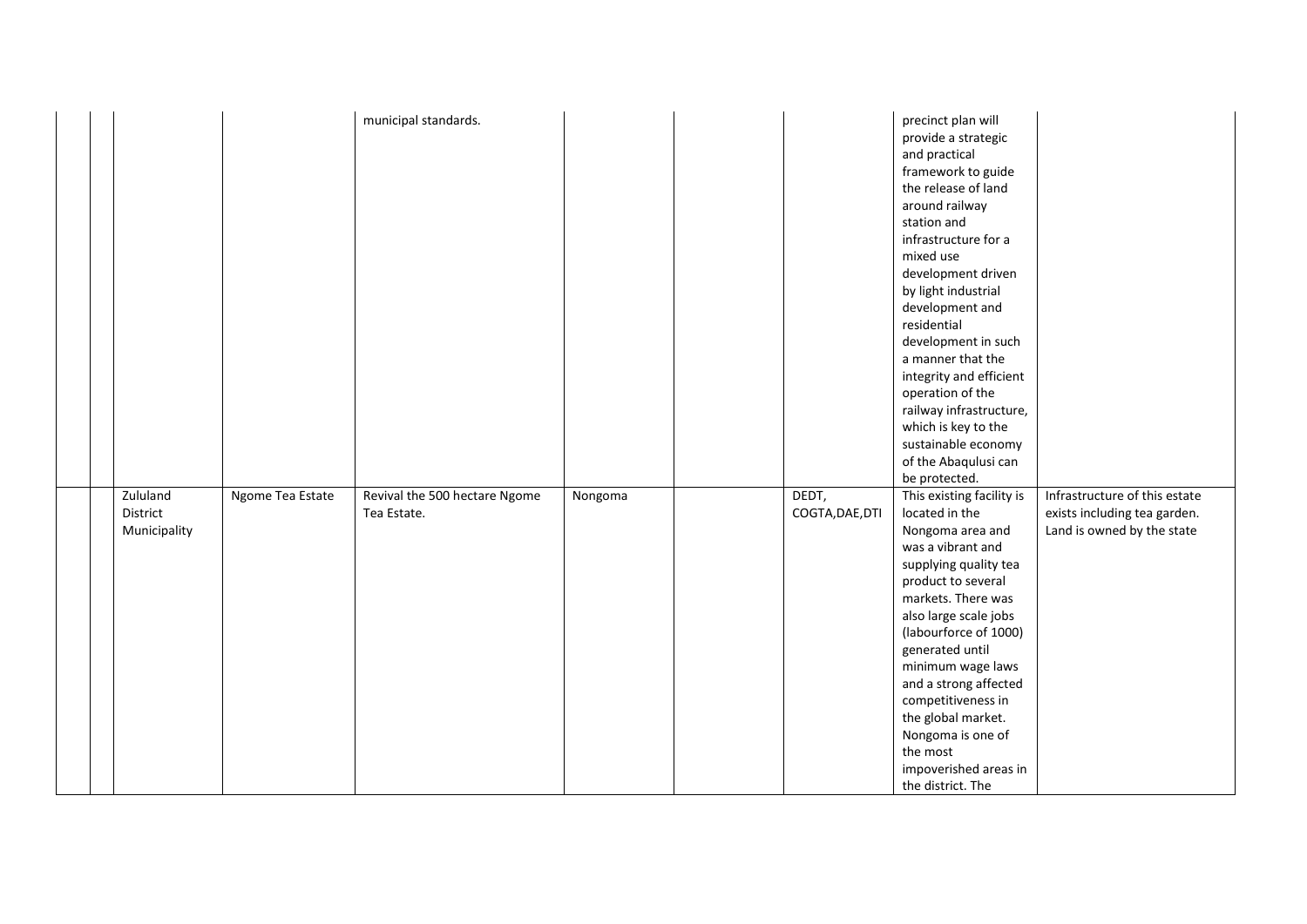|                                      |                  | municipal standards.                         |         |                          | precinct plan will<br>provide a strategic<br>and practical<br>framework to guide<br>the release of land<br>around railway<br>station and<br>infrastructure for a<br>mixed use<br>development driven<br>by light industrial<br>development and<br>residential<br>development in such<br>a manner that the<br>integrity and efficient<br>operation of the<br>railway infrastructure,<br>which is key to the<br>sustainable economy<br>of the Abaqulusi can<br>be protected. |                                                                                             |
|--------------------------------------|------------------|----------------------------------------------|---------|--------------------------|---------------------------------------------------------------------------------------------------------------------------------------------------------------------------------------------------------------------------------------------------------------------------------------------------------------------------------------------------------------------------------------------------------------------------------------------------------------------------|---------------------------------------------------------------------------------------------|
| Zululand<br>District<br>Municipality | Ngome Tea Estate | Revival the 500 hectare Ngome<br>Tea Estate. | Nongoma | DEDT,<br>COGTA, DAE, DTI | This existing facility is<br>located in the<br>Nongoma area and<br>was a vibrant and<br>supplying quality tea<br>product to several<br>markets. There was<br>also large scale jobs<br>(labourforce of 1000)<br>generated until<br>minimum wage laws<br>and a strong affected<br>competitiveness in<br>the global market.<br>Nongoma is one of<br>the most<br>impoverished areas in<br>the district. The                                                                   | Infrastructure of this estate<br>exists including tea garden.<br>Land is owned by the state |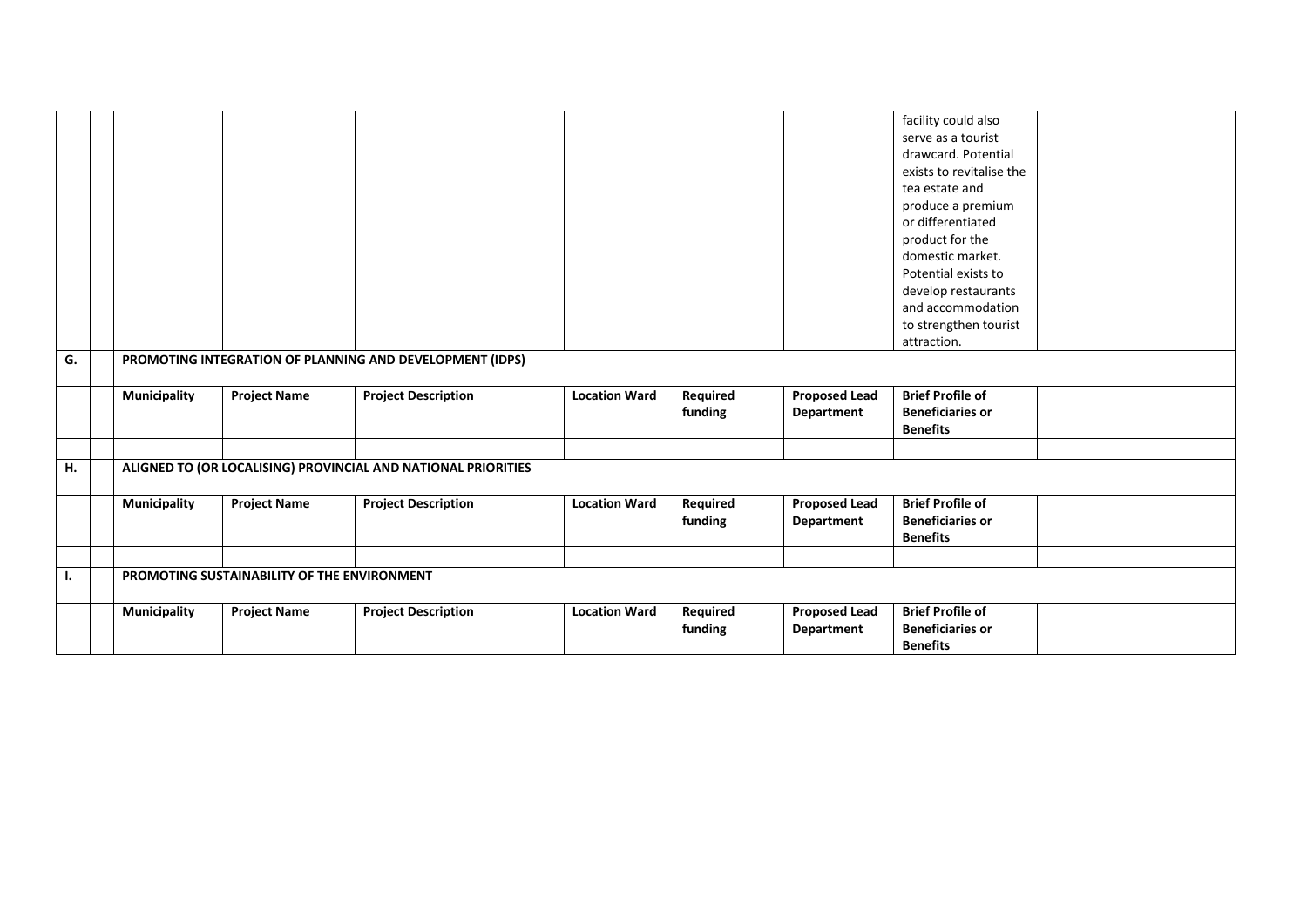|    |                                                          |                                             |                                                               |                      |                     |                                    | facility could also<br>serve as a tourist<br>drawcard. Potential<br>exists to revitalise the<br>tea estate and<br>produce a premium<br>or differentiated<br>product for the<br>domestic market.<br>Potential exists to<br>develop restaurants<br>and accommodation<br>to strengthen tourist<br>attraction. |  |  |  |
|----|----------------------------------------------------------|---------------------------------------------|---------------------------------------------------------------|----------------------|---------------------|------------------------------------|------------------------------------------------------------------------------------------------------------------------------------------------------------------------------------------------------------------------------------------------------------------------------------------------------------|--|--|--|
| G. | PROMOTING INTEGRATION OF PLANNING AND DEVELOPMENT (IDPS) |                                             |                                                               |                      |                     |                                    |                                                                                                                                                                                                                                                                                                            |  |  |  |
|    | Municipality                                             | <b>Project Name</b>                         | <b>Project Description</b>                                    | <b>Location Ward</b> | Required<br>funding | <b>Proposed Lead</b><br>Department | <b>Brief Profile of</b><br><b>Beneficiaries or</b><br><b>Benefits</b>                                                                                                                                                                                                                                      |  |  |  |
| Н. |                                                          |                                             | ALIGNED TO (OR LOCALISING) PROVINCIAL AND NATIONAL PRIORITIES |                      |                     |                                    |                                                                                                                                                                                                                                                                                                            |  |  |  |
|    |                                                          |                                             |                                                               |                      |                     |                                    |                                                                                                                                                                                                                                                                                                            |  |  |  |
|    | <b>Municipality</b>                                      | <b>Project Name</b>                         | <b>Project Description</b>                                    | <b>Location Ward</b> | Required<br>funding | <b>Proposed Lead</b><br>Department | <b>Brief Profile of</b><br><b>Beneficiaries or</b><br><b>Benefits</b>                                                                                                                                                                                                                                      |  |  |  |
|    |                                                          |                                             |                                                               |                      |                     |                                    |                                                                                                                                                                                                                                                                                                            |  |  |  |
| Ι. |                                                          | PROMOTING SUSTAINABILITY OF THE ENVIRONMENT |                                                               |                      |                     |                                    |                                                                                                                                                                                                                                                                                                            |  |  |  |
|    | Municipality                                             | <b>Project Name</b>                         | <b>Project Description</b>                                    | <b>Location Ward</b> | Required<br>funding | <b>Proposed Lead</b><br>Department | <b>Brief Profile of</b><br><b>Beneficiaries or</b><br><b>Benefits</b>                                                                                                                                                                                                                                      |  |  |  |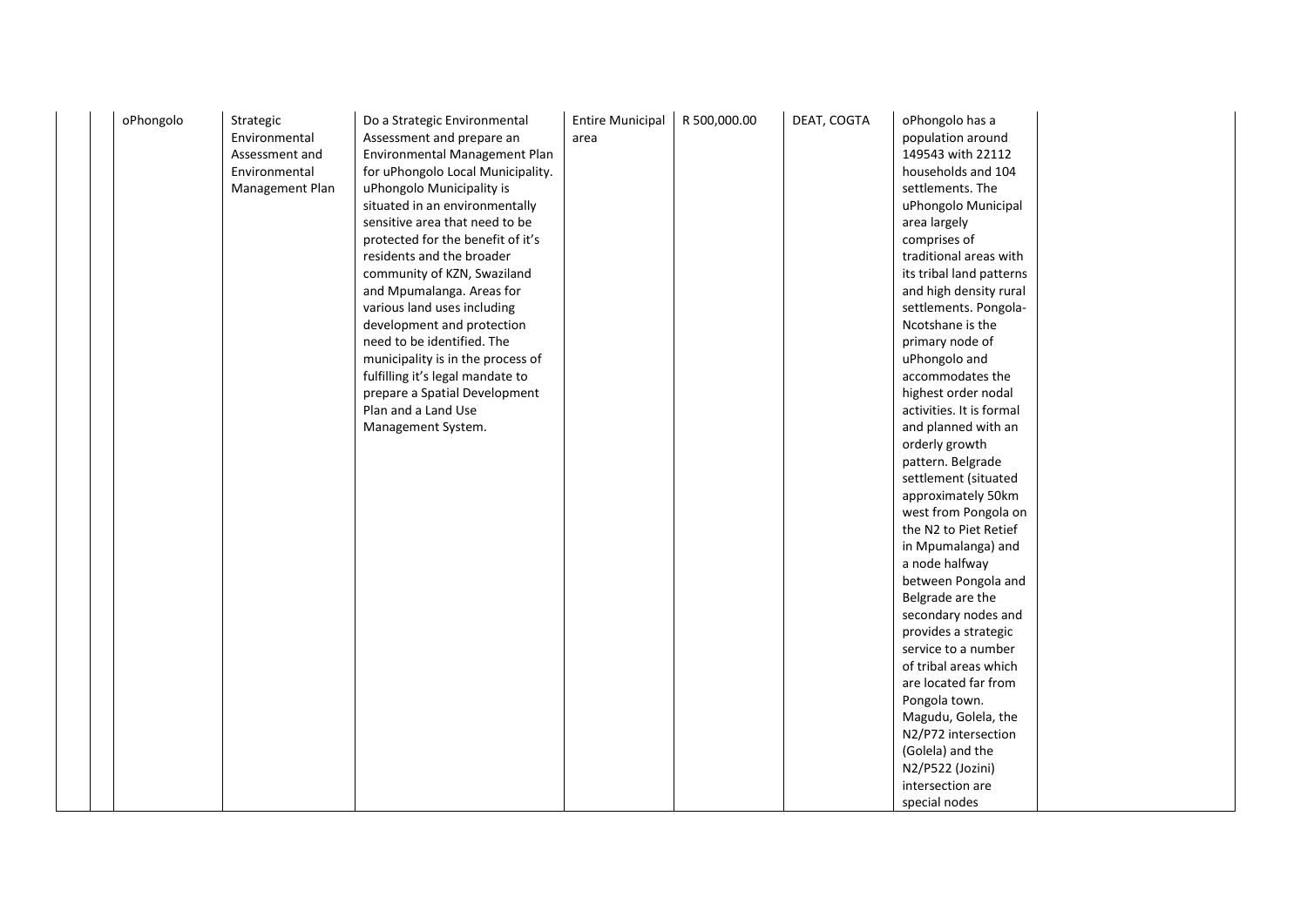| oPhongolo | Strategic<br>Environmental<br>Assessment and<br>Environmental<br>Management Plan | Do a Strategic Environmental<br>Assessment and prepare an<br>Environmental Management Plan<br>for uPhongolo Local Municipality.<br>uPhongolo Municipality is<br>situated in an environmentally<br>sensitive area that need to be<br>protected for the benefit of it's<br>residents and the broader<br>community of KZN, Swaziland<br>and Mpumalanga. Areas for<br>various land uses including<br>development and protection<br>need to be identified. The<br>municipality is in the process of<br>fulfilling it's legal mandate to<br>prepare a Spatial Development<br>Plan and a Land Use<br>Management System. | <b>Entire Municipal</b><br>area | R 500,000.00 | DEAT, COGTA | oPhongolo has a<br>population around<br>149543 with 22112<br>households and 104<br>settlements. The<br>uPhongolo Municipal<br>area largely<br>comprises of<br>traditional areas with<br>its tribal land patterns<br>and high density rural<br>settlements. Pongola-<br>Ncotshane is the<br>primary node of<br>uPhongolo and<br>accommodates the<br>highest order nodal<br>activities. It is formal<br>and planned with an<br>orderly growth<br>pattern. Belgrade<br>settlement (situated |  |
|-----------|----------------------------------------------------------------------------------|------------------------------------------------------------------------------------------------------------------------------------------------------------------------------------------------------------------------------------------------------------------------------------------------------------------------------------------------------------------------------------------------------------------------------------------------------------------------------------------------------------------------------------------------------------------------------------------------------------------|---------------------------------|--------------|-------------|------------------------------------------------------------------------------------------------------------------------------------------------------------------------------------------------------------------------------------------------------------------------------------------------------------------------------------------------------------------------------------------------------------------------------------------------------------------------------------------|--|
|           |                                                                                  |                                                                                                                                                                                                                                                                                                                                                                                                                                                                                                                                                                                                                  |                                 |              |             | west from Pongola on<br>the N2 to Piet Retief<br>in Mpumalanga) and<br>a node halfway<br>between Pongola and<br>Belgrade are the<br>secondary nodes and<br>provides a strategic<br>service to a number<br>of tribal areas which<br>are located far from<br>Pongola town.<br>Magudu, Golela, the<br>N2/P72 intersection<br>(Golela) and the<br>N2/P522 (Jozini)<br>intersection are<br>special nodes                                                                                      |  |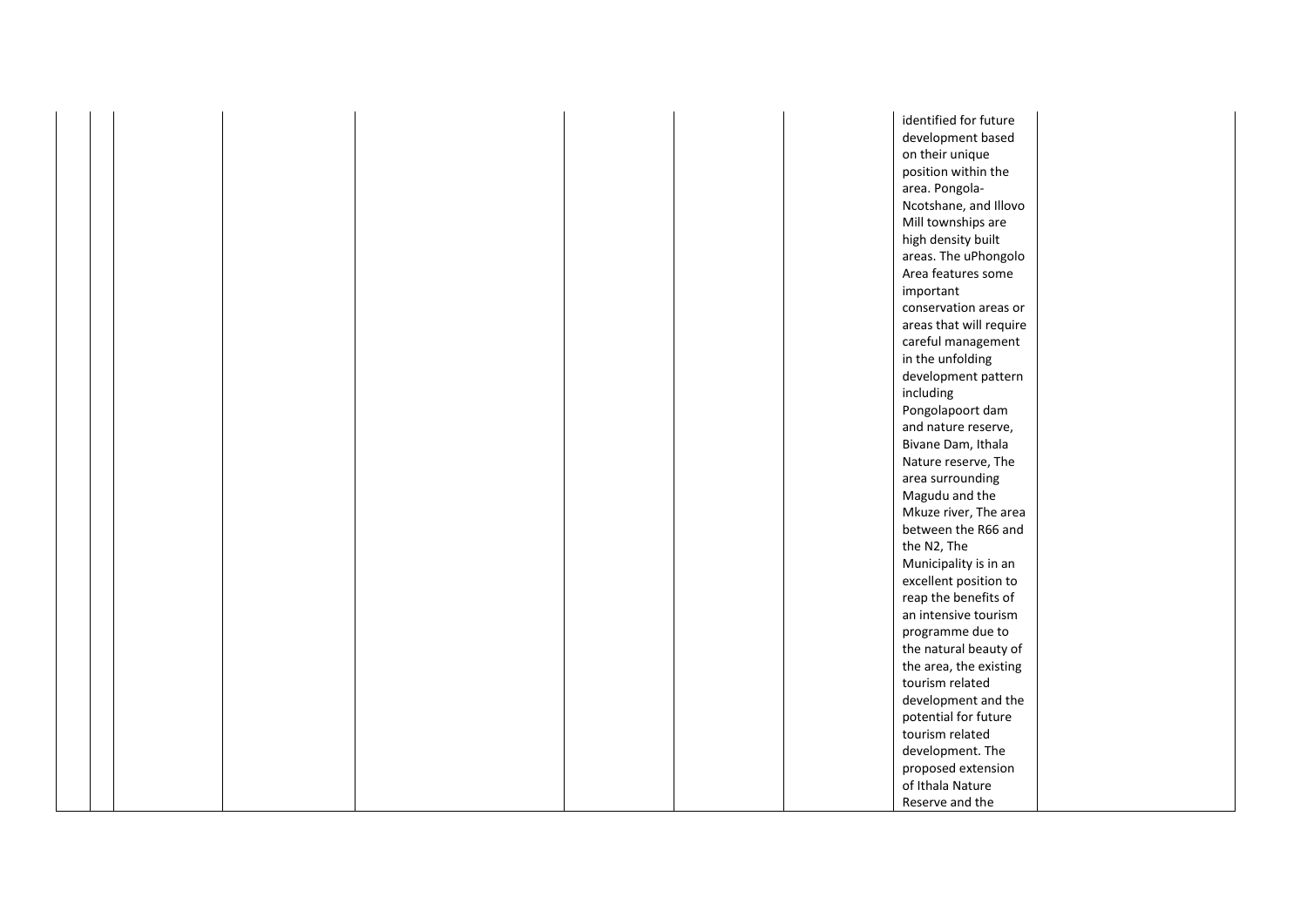|  |  |  |  | identified for future   |  |
|--|--|--|--|-------------------------|--|
|  |  |  |  | development based       |  |
|  |  |  |  | on their unique         |  |
|  |  |  |  | position within the     |  |
|  |  |  |  | area. Pongola-          |  |
|  |  |  |  | Ncotshane, and Illovo   |  |
|  |  |  |  | Mill townships are      |  |
|  |  |  |  | high density built      |  |
|  |  |  |  | areas. The uPhongolo    |  |
|  |  |  |  | Area features some      |  |
|  |  |  |  | important               |  |
|  |  |  |  | conservation areas or   |  |
|  |  |  |  | areas that will require |  |
|  |  |  |  | careful management      |  |
|  |  |  |  | in the unfolding        |  |
|  |  |  |  | development pattern     |  |
|  |  |  |  | including               |  |
|  |  |  |  | Pongolapoort dam        |  |
|  |  |  |  | and nature reserve,     |  |
|  |  |  |  | Bivane Dam, Ithala      |  |
|  |  |  |  | Nature reserve, The     |  |
|  |  |  |  | area surrounding        |  |
|  |  |  |  | Magudu and the          |  |
|  |  |  |  | Mkuze river, The area   |  |
|  |  |  |  | between the R66 and     |  |
|  |  |  |  | the N2, The             |  |
|  |  |  |  | Municipality is in an   |  |
|  |  |  |  | excellent position to   |  |
|  |  |  |  | reap the benefits of    |  |
|  |  |  |  | an intensive tourism    |  |
|  |  |  |  | programme due to        |  |
|  |  |  |  |                         |  |
|  |  |  |  | the natural beauty of   |  |
|  |  |  |  | the area, the existing  |  |
|  |  |  |  | tourism related         |  |
|  |  |  |  | development and the     |  |
|  |  |  |  | potential for future    |  |
|  |  |  |  | tourism related         |  |
|  |  |  |  | development. The        |  |
|  |  |  |  | proposed extension      |  |
|  |  |  |  | of Ithala Nature        |  |
|  |  |  |  | Reserve and the         |  |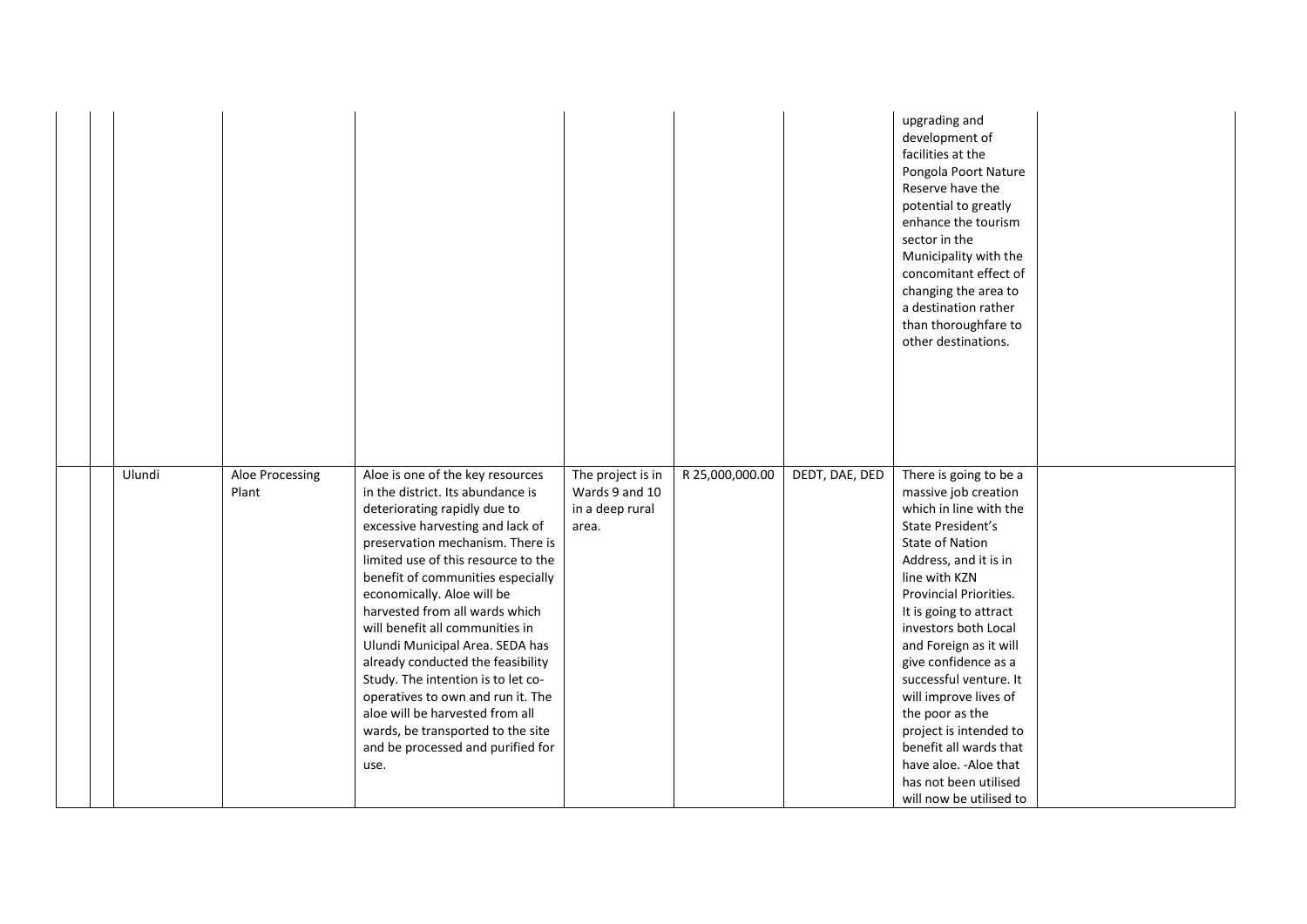|  |        |                          |                                                                                                                                                                                                                                                                                                                                                                                                                                                                                                                                                                                                                                      |                                                                 |                 |                | upgrading and<br>development of<br>facilities at the<br>Pongola Poort Nature<br>Reserve have the<br>potential to greatly<br>enhance the tourism<br>sector in the<br>Municipality with the<br>concomitant effect of<br>changing the area to<br>a destination rather<br>than thoroughfare to<br>other destinations.                                                                                                                                                                                              |  |
|--|--------|--------------------------|--------------------------------------------------------------------------------------------------------------------------------------------------------------------------------------------------------------------------------------------------------------------------------------------------------------------------------------------------------------------------------------------------------------------------------------------------------------------------------------------------------------------------------------------------------------------------------------------------------------------------------------|-----------------------------------------------------------------|-----------------|----------------|----------------------------------------------------------------------------------------------------------------------------------------------------------------------------------------------------------------------------------------------------------------------------------------------------------------------------------------------------------------------------------------------------------------------------------------------------------------------------------------------------------------|--|
|  | Ulundi | Aloe Processing<br>Plant | Aloe is one of the key resources<br>in the district. Its abundance is<br>deteriorating rapidly due to<br>excessive harvesting and lack of<br>preservation mechanism. There is<br>limited use of this resource to the<br>benefit of communities especially<br>economically. Aloe will be<br>harvested from all wards which<br>will benefit all communities in<br>Ulundi Municipal Area. SEDA has<br>already conducted the feasibility<br>Study. The intention is to let co-<br>operatives to own and run it. The<br>aloe will be harvested from all<br>wards, be transported to the site<br>and be processed and purified for<br>use. | The project is in<br>Wards 9 and 10<br>in a deep rural<br>area. | R 25,000,000.00 | DEDT, DAE, DED | There is going to be a<br>massive job creation<br>which in line with the<br>State President's<br><b>State of Nation</b><br>Address, and it is in<br>line with KZN<br><b>Provincial Priorities.</b><br>It is going to attract<br>investors both Local<br>and Foreign as it will<br>give confidence as a<br>successful venture. It<br>will improve lives of<br>the poor as the<br>project is intended to<br>benefit all wards that<br>have aloe. - Aloe that<br>has not been utilised<br>will now be utilised to |  |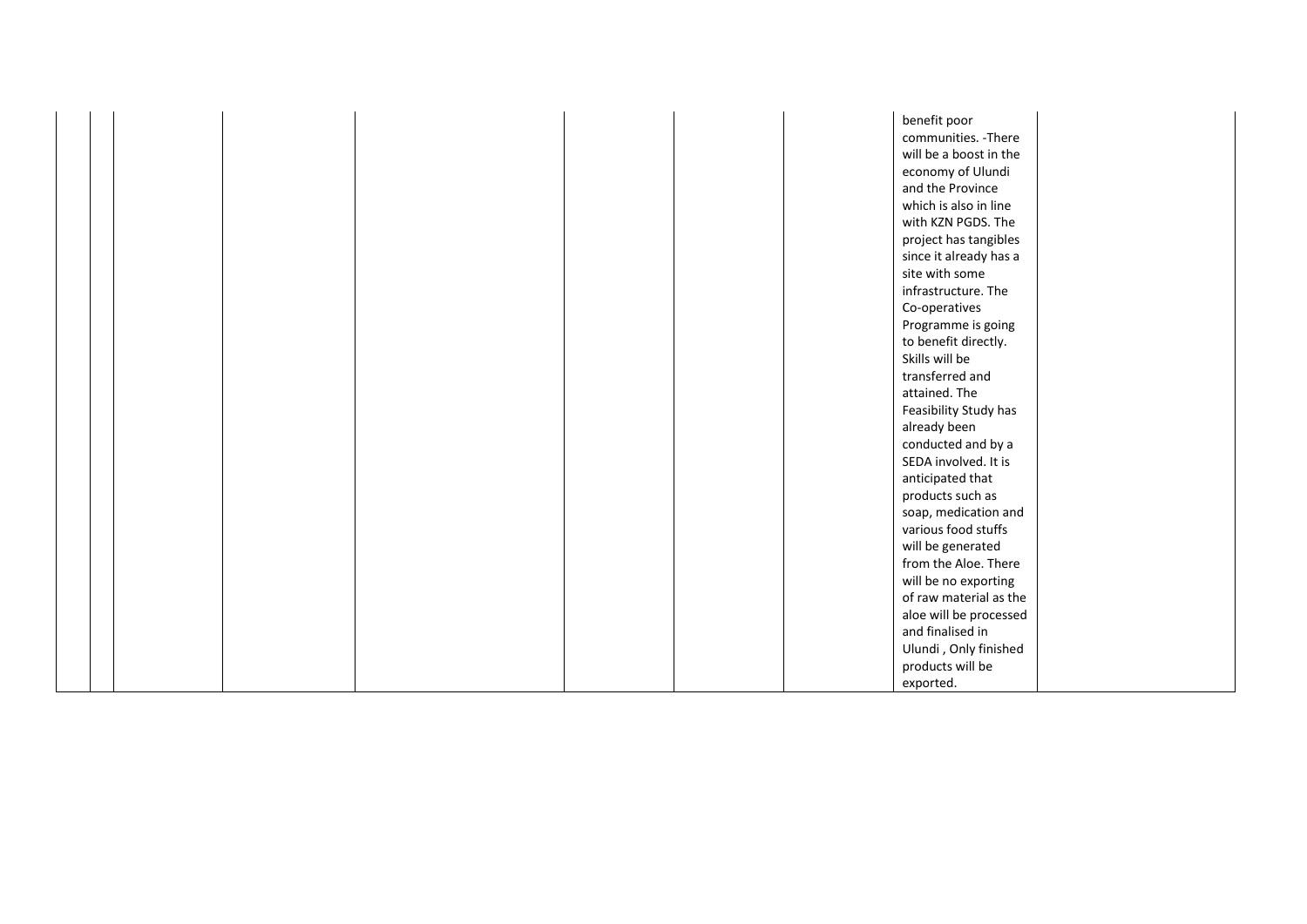|  |  |  |  | benefit poor           |  |
|--|--|--|--|------------------------|--|
|  |  |  |  | communities. - There   |  |
|  |  |  |  | will be a boost in the |  |
|  |  |  |  | economy of Ulundi      |  |
|  |  |  |  | and the Province       |  |
|  |  |  |  | which is also in line  |  |
|  |  |  |  | with KZN PGDS. The     |  |
|  |  |  |  | project has tangibles  |  |
|  |  |  |  | since it already has a |  |
|  |  |  |  | site with some         |  |
|  |  |  |  | infrastructure. The    |  |
|  |  |  |  | Co-operatives          |  |
|  |  |  |  | Programme is going     |  |
|  |  |  |  | to benefit directly.   |  |
|  |  |  |  | Skills will be         |  |
|  |  |  |  | transferred and        |  |
|  |  |  |  | attained. The          |  |
|  |  |  |  | Feasibility Study has  |  |
|  |  |  |  | already been           |  |
|  |  |  |  | conducted and by a     |  |
|  |  |  |  | SEDA involved. It is   |  |
|  |  |  |  | anticipated that       |  |
|  |  |  |  | products such as       |  |
|  |  |  |  | soap, medication and   |  |
|  |  |  |  | various food stuffs    |  |
|  |  |  |  | will be generated      |  |
|  |  |  |  | from the Aloe. There   |  |
|  |  |  |  | will be no exporting   |  |
|  |  |  |  | of raw material as the |  |
|  |  |  |  | aloe will be processed |  |
|  |  |  |  | and finalised in       |  |
|  |  |  |  | Ulundi, Only finished  |  |
|  |  |  |  | products will be       |  |
|  |  |  |  | exported.              |  |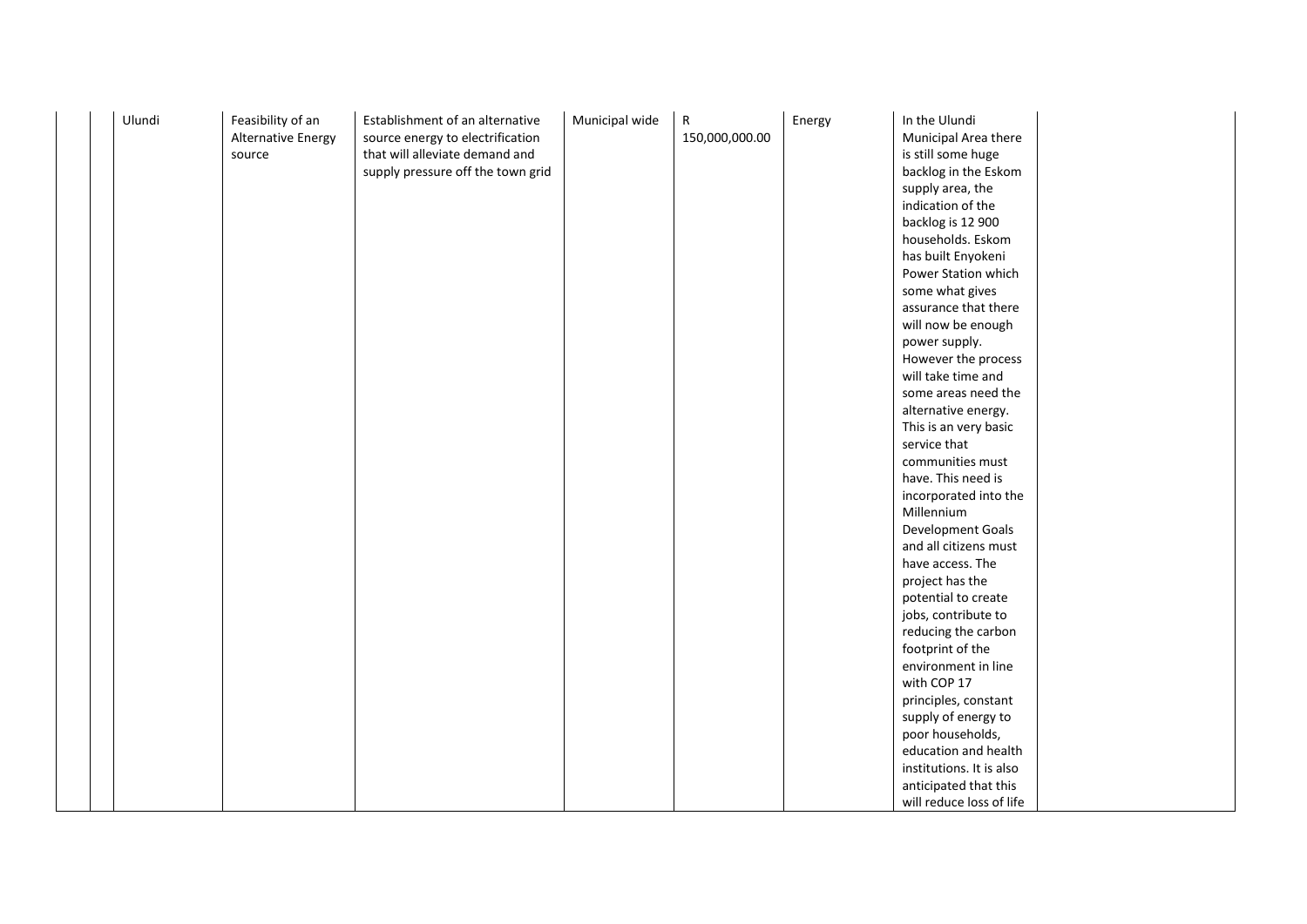|  | Ulundi | Feasibility of an<br><b>Alternative Energy</b><br>source | Establishment of an alternative<br>source energy to electrification<br>that will alleviate demand and<br>supply pressure off the town grid | Municipal wide | R<br>150,000,000.00 | Energy | In the Ulundi<br>Municipal Area there<br>is still some huge<br>backlog in the Eskom<br>supply area, the<br>indication of the<br>backlog is 12 900<br>households. Eskom<br>has built Enyokeni<br>Power Station which<br>some what gives<br>assurance that there<br>will now be enough<br>power supply.<br>However the process<br>will take time and<br>some areas need the<br>alternative energy.<br>This is an very basic<br>service that<br>communities must<br>have. This need is<br>incorporated into the<br>Millennium<br>Development Goals<br>and all citizens must<br>have access. The |  |
|--|--------|----------------------------------------------------------|--------------------------------------------------------------------------------------------------------------------------------------------|----------------|---------------------|--------|----------------------------------------------------------------------------------------------------------------------------------------------------------------------------------------------------------------------------------------------------------------------------------------------------------------------------------------------------------------------------------------------------------------------------------------------------------------------------------------------------------------------------------------------------------------------------------------------|--|
|  |        |                                                          |                                                                                                                                            |                |                     |        |                                                                                                                                                                                                                                                                                                                                                                                                                                                                                                                                                                                              |  |
|  |        |                                                          |                                                                                                                                            |                |                     |        |                                                                                                                                                                                                                                                                                                                                                                                                                                                                                                                                                                                              |  |
|  |        |                                                          |                                                                                                                                            |                |                     |        |                                                                                                                                                                                                                                                                                                                                                                                                                                                                                                                                                                                              |  |
|  |        |                                                          |                                                                                                                                            |                |                     |        |                                                                                                                                                                                                                                                                                                                                                                                                                                                                                                                                                                                              |  |
|  |        |                                                          |                                                                                                                                            |                |                     |        |                                                                                                                                                                                                                                                                                                                                                                                                                                                                                                                                                                                              |  |
|  |        |                                                          |                                                                                                                                            |                |                     |        |                                                                                                                                                                                                                                                                                                                                                                                                                                                                                                                                                                                              |  |
|  |        |                                                          |                                                                                                                                            |                |                     |        |                                                                                                                                                                                                                                                                                                                                                                                                                                                                                                                                                                                              |  |
|  |        |                                                          |                                                                                                                                            |                |                     |        |                                                                                                                                                                                                                                                                                                                                                                                                                                                                                                                                                                                              |  |
|  |        |                                                          |                                                                                                                                            |                |                     |        |                                                                                                                                                                                                                                                                                                                                                                                                                                                                                                                                                                                              |  |
|  |        |                                                          |                                                                                                                                            |                |                     |        |                                                                                                                                                                                                                                                                                                                                                                                                                                                                                                                                                                                              |  |
|  |        |                                                          |                                                                                                                                            |                |                     |        |                                                                                                                                                                                                                                                                                                                                                                                                                                                                                                                                                                                              |  |
|  |        |                                                          |                                                                                                                                            |                |                     |        |                                                                                                                                                                                                                                                                                                                                                                                                                                                                                                                                                                                              |  |
|  |        |                                                          |                                                                                                                                            |                |                     |        |                                                                                                                                                                                                                                                                                                                                                                                                                                                                                                                                                                                              |  |
|  |        |                                                          |                                                                                                                                            |                |                     |        |                                                                                                                                                                                                                                                                                                                                                                                                                                                                                                                                                                                              |  |
|  |        |                                                          |                                                                                                                                            |                |                     |        | project has the                                                                                                                                                                                                                                                                                                                                                                                                                                                                                                                                                                              |  |
|  |        |                                                          |                                                                                                                                            |                |                     |        | potential to create                                                                                                                                                                                                                                                                                                                                                                                                                                                                                                                                                                          |  |
|  |        |                                                          |                                                                                                                                            |                |                     |        | jobs, contribute to                                                                                                                                                                                                                                                                                                                                                                                                                                                                                                                                                                          |  |
|  |        |                                                          |                                                                                                                                            |                |                     |        | reducing the carbon                                                                                                                                                                                                                                                                                                                                                                                                                                                                                                                                                                          |  |
|  |        |                                                          |                                                                                                                                            |                |                     |        | footprint of the                                                                                                                                                                                                                                                                                                                                                                                                                                                                                                                                                                             |  |
|  |        |                                                          |                                                                                                                                            |                |                     |        | environment in line                                                                                                                                                                                                                                                                                                                                                                                                                                                                                                                                                                          |  |
|  |        |                                                          |                                                                                                                                            |                |                     |        | with COP 17                                                                                                                                                                                                                                                                                                                                                                                                                                                                                                                                                                                  |  |
|  |        |                                                          |                                                                                                                                            |                |                     |        | principles, constant                                                                                                                                                                                                                                                                                                                                                                                                                                                                                                                                                                         |  |
|  |        |                                                          |                                                                                                                                            |                |                     |        | supply of energy to                                                                                                                                                                                                                                                                                                                                                                                                                                                                                                                                                                          |  |
|  |        |                                                          |                                                                                                                                            |                |                     |        | poor households,                                                                                                                                                                                                                                                                                                                                                                                                                                                                                                                                                                             |  |
|  |        |                                                          |                                                                                                                                            |                |                     |        | education and health                                                                                                                                                                                                                                                                                                                                                                                                                                                                                                                                                                         |  |
|  |        |                                                          |                                                                                                                                            |                |                     |        | institutions. It is also                                                                                                                                                                                                                                                                                                                                                                                                                                                                                                                                                                     |  |
|  |        |                                                          |                                                                                                                                            |                |                     |        | anticipated that this                                                                                                                                                                                                                                                                                                                                                                                                                                                                                                                                                                        |  |
|  |        |                                                          |                                                                                                                                            |                |                     |        | will reduce loss of life                                                                                                                                                                                                                                                                                                                                                                                                                                                                                                                                                                     |  |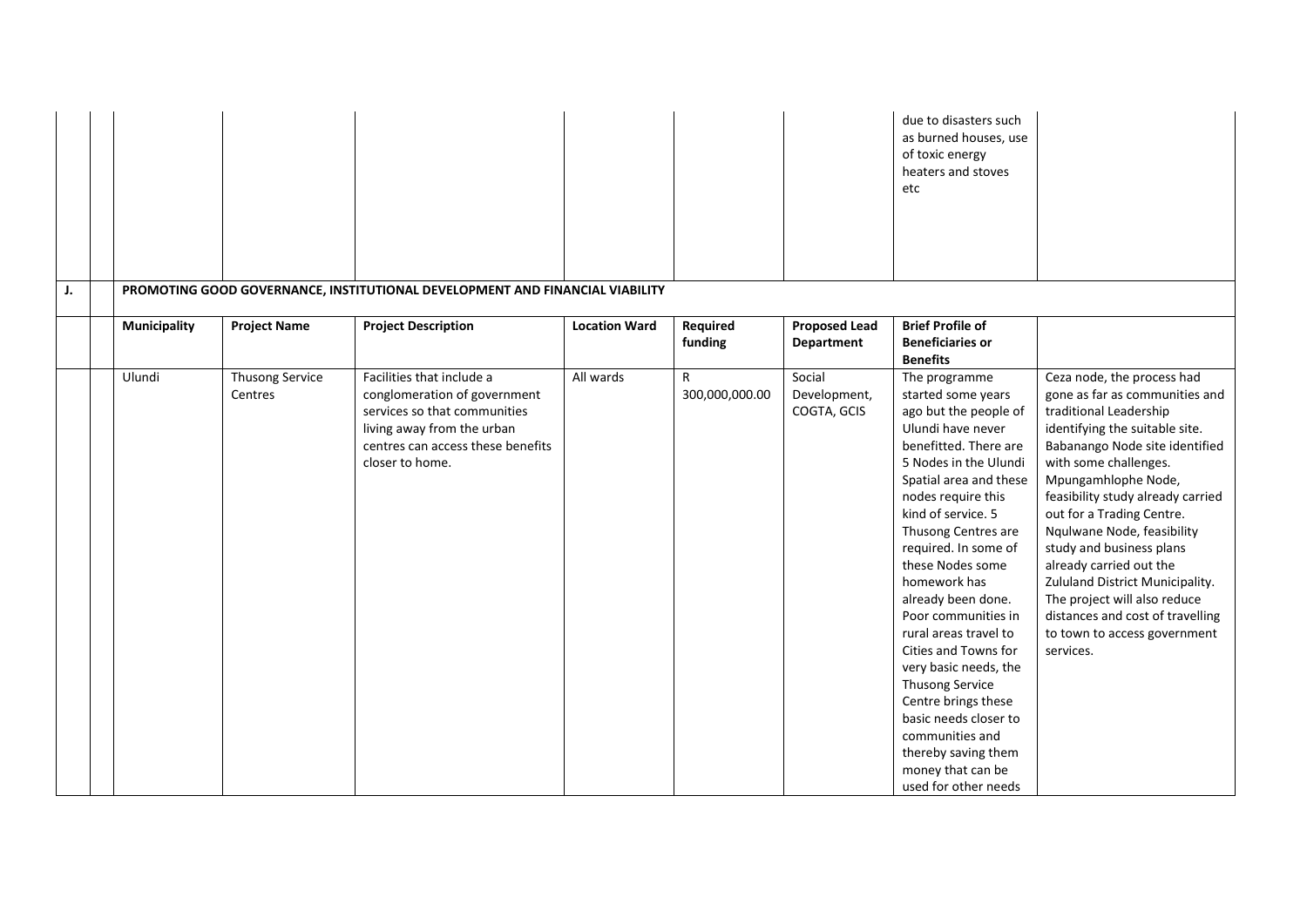| J. |                     |                            | PROMOTING GOOD GOVERNANCE, INSTITUTIONAL DEVELOPMENT AND FINANCIAL VIABILITY                                                                                                    |                      |                     |                                       | due to disasters such<br>as burned houses, use<br>of toxic energy<br>heaters and stoves<br>etc                                                                                                                                                                                                                                                                                                                                                                                                                                                                                |                                                                                                                                                                                                                                                                                                                                                                                                                                                                                                                       |
|----|---------------------|----------------------------|---------------------------------------------------------------------------------------------------------------------------------------------------------------------------------|----------------------|---------------------|---------------------------------------|-------------------------------------------------------------------------------------------------------------------------------------------------------------------------------------------------------------------------------------------------------------------------------------------------------------------------------------------------------------------------------------------------------------------------------------------------------------------------------------------------------------------------------------------------------------------------------|-----------------------------------------------------------------------------------------------------------------------------------------------------------------------------------------------------------------------------------------------------------------------------------------------------------------------------------------------------------------------------------------------------------------------------------------------------------------------------------------------------------------------|
|    | <b>Municipality</b> | <b>Project Name</b>        | <b>Project Description</b>                                                                                                                                                      | <b>Location Ward</b> | Required<br>funding | <b>Proposed Lead</b><br>Department    | <b>Brief Profile of</b><br><b>Beneficiaries or</b><br><b>Benefits</b>                                                                                                                                                                                                                                                                                                                                                                                                                                                                                                         |                                                                                                                                                                                                                                                                                                                                                                                                                                                                                                                       |
|    | Ulundi              | Thusong Service<br>Centres | Facilities that include a<br>conglomeration of government<br>services so that communities<br>living away from the urban<br>centres can access these benefits<br>closer to home. | All wards            | R<br>300,000,000.00 | Social<br>Development,<br>COGTA, GCIS | The programme<br>started some years<br>ago but the people of<br>Ulundi have never<br>benefitted. There are<br>5 Nodes in the Ulundi<br>Spatial area and these<br>nodes require this<br>kind of service. 5<br>Thusong Centres are<br>required. In some of<br>these Nodes some<br>homework has<br>already been done.<br>Poor communities in<br>rural areas travel to<br>Cities and Towns for<br>very basic needs, the<br>Thusong Service<br>Centre brings these<br>basic needs closer to<br>communities and<br>thereby saving them<br>money that can be<br>used for other needs | Ceza node, the process had<br>gone as far as communities and<br>traditional Leadership<br>identifying the suitable site.<br>Babanango Node site identified<br>with some challenges.<br>Mpungamhlophe Node,<br>feasibility study already carried<br>out for a Trading Centre.<br>Nqulwane Node, feasibility<br>study and business plans<br>already carried out the<br>Zululand District Municipality.<br>The project will also reduce<br>distances and cost of travelling<br>to town to access government<br>services. |